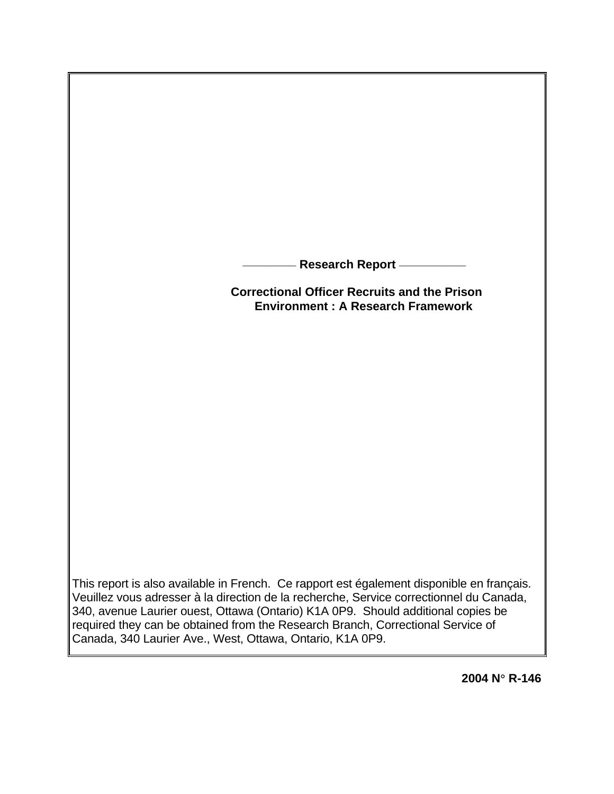**\_\_\_\_\_\_\_\_ Research Report \_\_\_\_\_\_\_\_\_\_**

**Correctional Officer Recruits and the Prison Environment : A Research Framework** 

This report is also available in French. Ce rapport est également disponible en français. Veuillez vous adresser à la direction de la recherche, Service correctionnel du Canada, 340, avenue Laurier ouest, Ottawa (Ontario) K1A 0P9. Should additional copies be required they can be obtained from the Research Branch, Correctional Service of Canada, 340 Laurier Ave., West, Ottawa, Ontario, K1A 0P9.

**2004 N**° **R-146**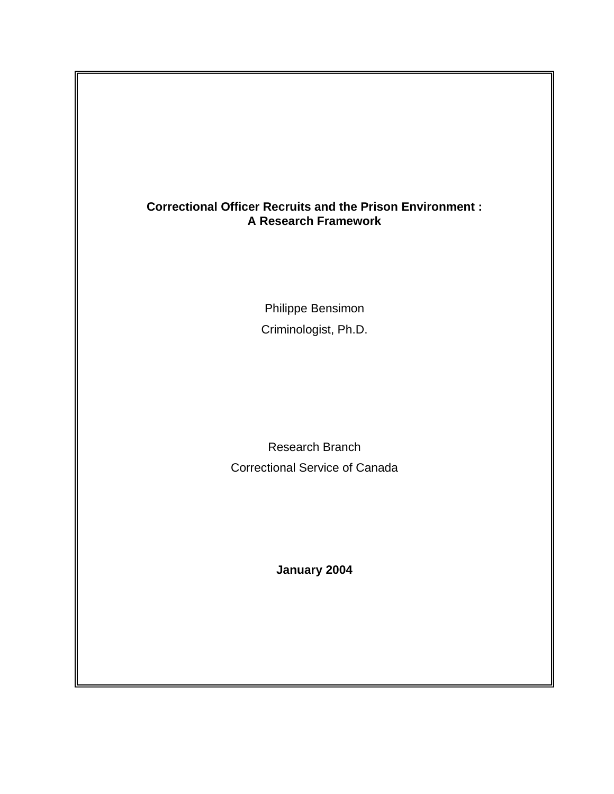# **Correctional Officer Recruits and the Prison Environment : A Research Framework**

Philippe Bensimon Criminologist, Ph.D.

Research Branch Correctional Service of Canada

**January 2004**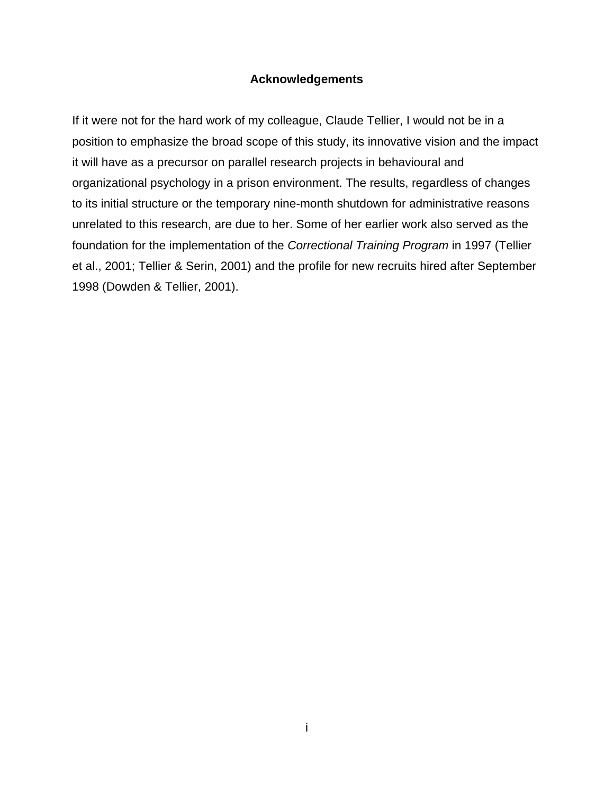## **Acknowledgements**

<span id="page-2-0"></span>If it were not for the hard work of my colleague, Claude Tellier, I would not be in a position to emphasize the broad scope of this study, its innovative vision and the impact it will have as a precursor on parallel research projects in behavioural and organizational psychology in a prison environment. The results, regardless of changes to its initial structure or the temporary nine-month shutdown for administrative reasons unrelated to this research, are due to her. Some of her earlier work also served as the foundation for the implementation of the *Correctional Training Program* in 1997 (Tellier et al., 2001; Tellier & Serin, 2001) and the profile for new recruits hired after September 1998 (Dowden & Tellier, 2001).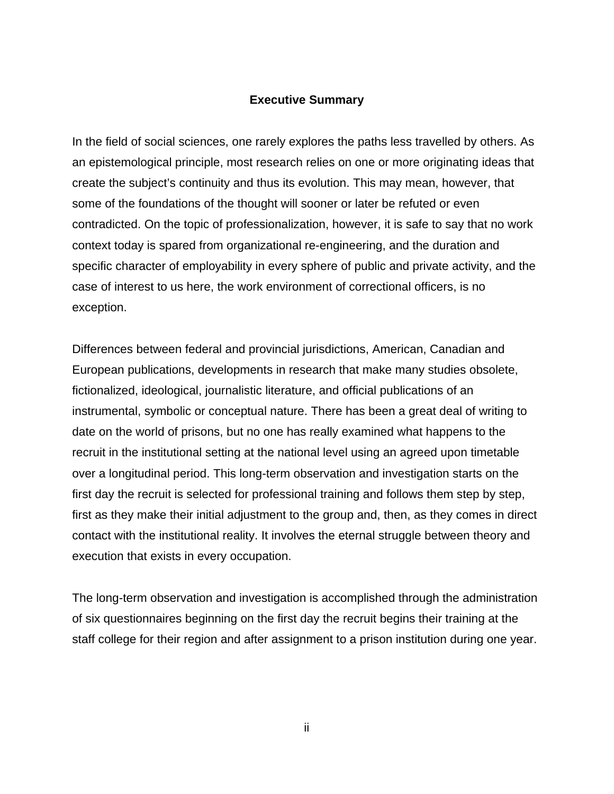# **Executive Summary**

<span id="page-3-0"></span>In the field of social sciences, one rarely explores the paths less travelled by others. As an epistemological principle, most research relies on one or more originating ideas that create the subject's continuity and thus its evolution. This may mean, however, that some of the foundations of the thought will sooner or later be refuted or even contradicted. On the topic of professionalization, however, it is safe to say that no work context today is spared from organizational re-engineering, and the duration and specific character of employability in every sphere of public and private activity, and the case of interest to us here, the work environment of correctional officers, is no exception.

Differences between federal and provincial jurisdictions, American, Canadian and European publications, developments in research that make many studies obsolete, fictionalized, ideological, journalistic literature, and official publications of an instrumental, symbolic or conceptual nature. There has been a great deal of writing to date on the world of prisons, but no one has really examined what happens to the recruit in the institutional setting at the national level using an agreed upon timetable over a longitudinal period. This long-term observation and investigation starts on the first day the recruit is selected for professional training and follows them step by step, first as they make their initial adjustment to the group and, then, as they comes in direct contact with the institutional reality. It involves the eternal struggle between theory and execution that exists in every occupation.

The long-term observation and investigation is accomplished through the administration of six questionnaires beginning on the first day the recruit begins their training at the staff college for their region and after assignment to a prison institution during one year.

ii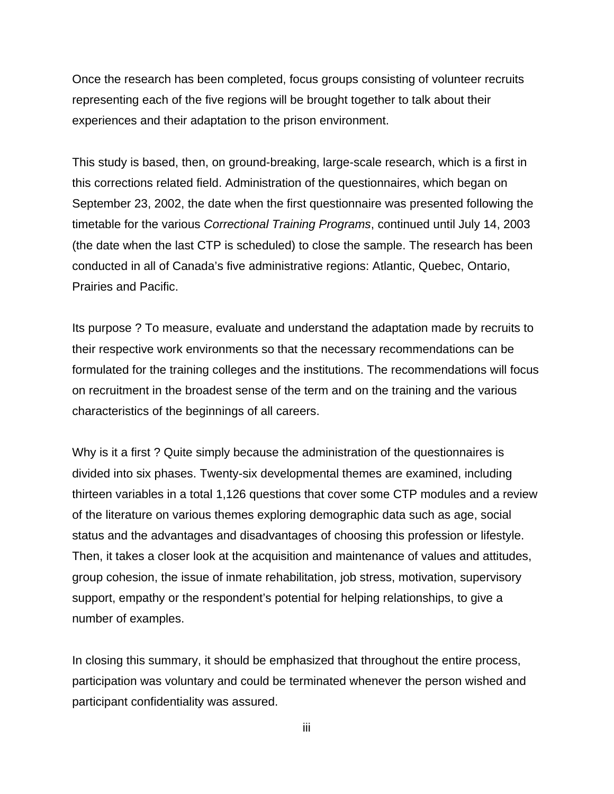Once the research has been completed, focus groups consisting of volunteer recruits representing each of the five regions will be brought together to talk about their experiences and their adaptation to the prison environment.

This study is based, then, on ground-breaking, large-scale research, which is a first in this corrections related field. Administration of the questionnaires, which began on September 23, 2002, the date when the first questionnaire was presented following the timetable for the various *Correctional Training Programs*, continued until July 14, 2003 (the date when the last CTP is scheduled) to close the sample. The research has been conducted in all of Canada's five administrative regions: Atlantic, Quebec, Ontario, Prairies and Pacific.

Its purpose ? To measure, evaluate and understand the adaptation made by recruits to their respective work environments so that the necessary recommendations can be formulated for the training colleges and the institutions. The recommendations will focus on recruitment in the broadest sense of the term and on the training and the various characteristics of the beginnings of all careers.

Why is it a first ? Quite simply because the administration of the questionnaires is divided into six phases. Twenty-six developmental themes are examined, including thirteen variables in a total 1,126 questions that cover some CTP modules and a review of the literature on various themes exploring demographic data such as age, social status and the advantages and disadvantages of choosing this profession or lifestyle. Then, it takes a closer look at the acquisition and maintenance of values and attitudes, group cohesion, the issue of inmate rehabilitation, job stress, motivation, supervisory support, empathy or the respondent's potential for helping relationships, to give a number of examples.

In closing this summary, it should be emphasized that throughout the entire process, participation was voluntary and could be terminated whenever the person wished and participant confidentiality was assured.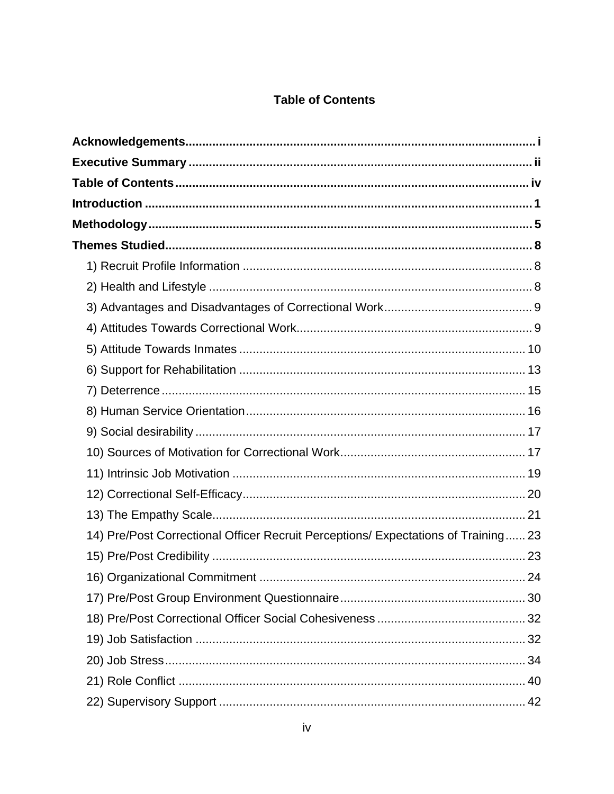# **Table of Contents**

<span id="page-5-0"></span>

| 14) Pre/Post Correctional Officer Recruit Perceptions/ Expectations of Training 23 |  |
|------------------------------------------------------------------------------------|--|
|                                                                                    |  |
|                                                                                    |  |
|                                                                                    |  |
|                                                                                    |  |
|                                                                                    |  |
|                                                                                    |  |
|                                                                                    |  |
|                                                                                    |  |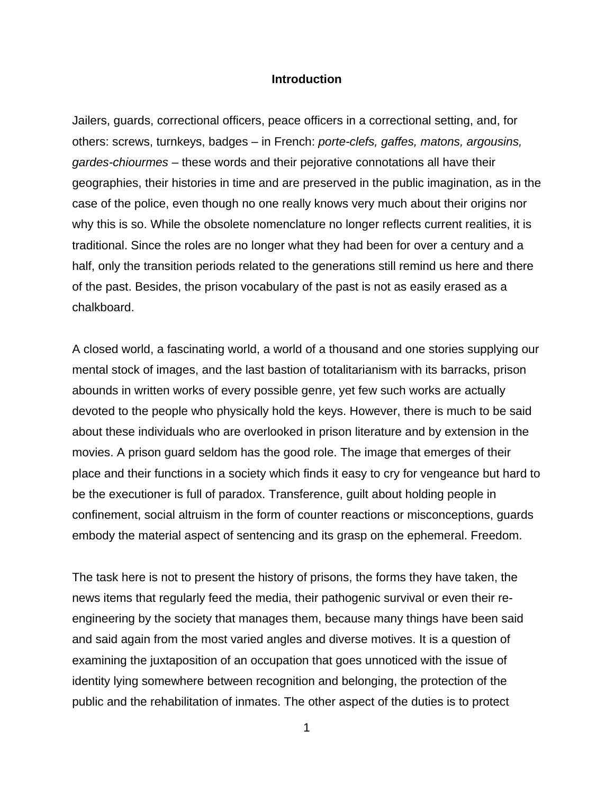## **Introduction**

<span id="page-7-0"></span>Jailers, guards, correctional officers, peace officers in a correctional setting, and, for others: screws, turnkeys, badges – in French: *porte-clefs, gaffes, matons, argousins, gardes-chiourmes* – these words and their pejorative connotations all have their geographies, their histories in time and are preserved in the public imagination, as in the case of the police, even though no one really knows very much about their origins nor why this is so. While the obsolete nomenclature no longer reflects current realities, it is traditional. Since the roles are no longer what they had been for over a century and a half, only the transition periods related to the generations still remind us here and there of the past. Besides, the prison vocabulary of the past is not as easily erased as a chalkboard.

A closed world, a fascinating world, a world of a thousand and one stories supplying our mental stock of images, and the last bastion of totalitarianism with its barracks, prison abounds in written works of every possible genre, yet few such works are actually devoted to the people who physically hold the keys. However, there is much to be said about these individuals who are overlooked in prison literature and by extension in the movies. A prison guard seldom has the good role. The image that emerges of their place and their functions in a society which finds it easy to cry for vengeance but hard to be the executioner is full of paradox. Transference, guilt about holding people in confinement, social altruism in the form of counter reactions or misconceptions, guards embody the material aspect of sentencing and its grasp on the ephemeral. Freedom.

The task here is not to present the history of prisons, the forms they have taken, the news items that regularly feed the media, their pathogenic survival or even their reengineering by the society that manages them, because many things have been said and said again from the most varied angles and diverse motives. It is a question of examining the juxtaposition of an occupation that goes unnoticed with the issue of identity lying somewhere between recognition and belonging, the protection of the public and the rehabilitation of inmates. The other aspect of the duties is to protect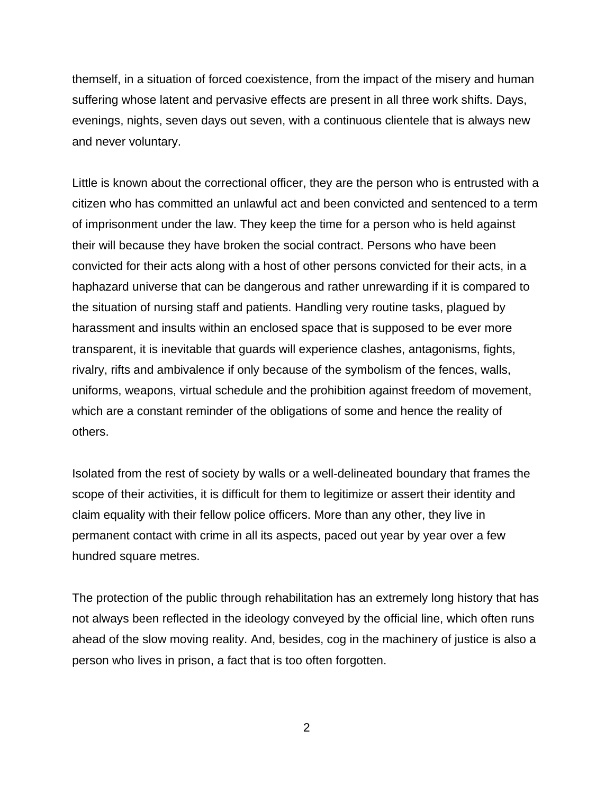themself, in a situation of forced coexistence, from the impact of the misery and human suffering whose latent and pervasive effects are present in all three work shifts. Days, evenings, nights, seven days out seven, with a continuous clientele that is always new and never voluntary.

Little is known about the correctional officer, they are the person who is entrusted with a citizen who has committed an unlawful act and been convicted and sentenced to a term of imprisonment under the law. They keep the time for a person who is held against their will because they have broken the social contract. Persons who have been convicted for their acts along with a host of other persons convicted for their acts, in a haphazard universe that can be dangerous and rather unrewarding if it is compared to the situation of nursing staff and patients. Handling very routine tasks, plagued by harassment and insults within an enclosed space that is supposed to be ever more transparent, it is inevitable that guards will experience clashes, antagonisms, fights, rivalry, rifts and ambivalence if only because of the symbolism of the fences, walls, uniforms, weapons, virtual schedule and the prohibition against freedom of movement, which are a constant reminder of the obligations of some and hence the reality of others.

Isolated from the rest of society by walls or a well-delineated boundary that frames the scope of their activities, it is difficult for them to legitimize or assert their identity and claim equality with their fellow police officers. More than any other, they live in permanent contact with crime in all its aspects, paced out year by year over a few hundred square metres.

The protection of the public through rehabilitation has an extremely long history that has not always been reflected in the ideology conveyed by the official line, which often runs ahead of the slow moving reality. And, besides, cog in the machinery of justice is also a person who lives in prison, a fact that is too often forgotten.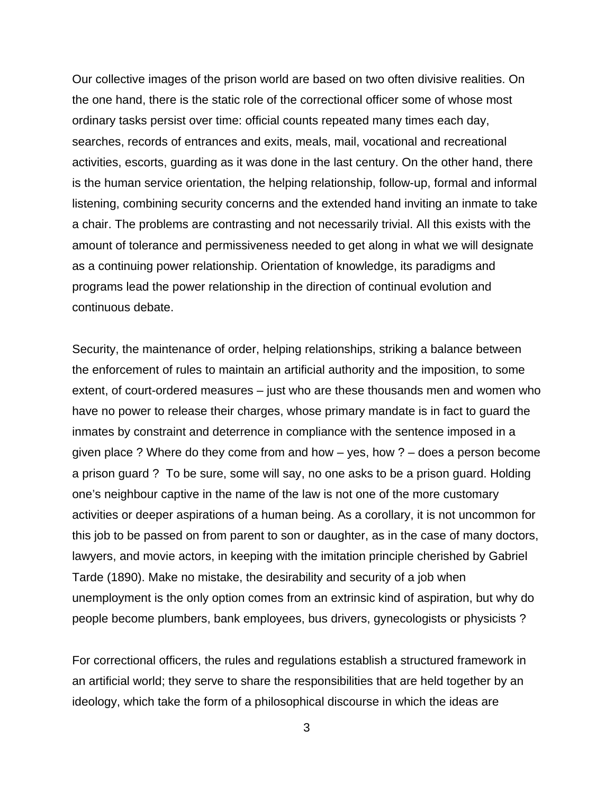Our collective images of the prison world are based on two often divisive realities. On the one hand, there is the static role of the correctional officer some of whose most ordinary tasks persist over time: official counts repeated many times each day, searches, records of entrances and exits, meals, mail, vocational and recreational activities, escorts, guarding as it was done in the last century. On the other hand, there is the human service orientation, the helping relationship, follow-up, formal and informal listening, combining security concerns and the extended hand inviting an inmate to take a chair. The problems are contrasting and not necessarily trivial. All this exists with the amount of tolerance and permissiveness needed to get along in what we will designate as a continuing power relationship. Orientation of knowledge, its paradigms and programs lead the power relationship in the direction of continual evolution and continuous debate.

Security, the maintenance of order, helping relationships, striking a balance between the enforcement of rules to maintain an artificial authority and the imposition, to some extent, of court-ordered measures – just who are these thousands men and women who have no power to release their charges, whose primary mandate is in fact to guard the inmates by constraint and deterrence in compliance with the sentence imposed in a given place ? Where do they come from and how – yes, how ? – does a person become a prison guard ? To be sure, some will say, no one asks to be a prison guard. Holding one's neighbour captive in the name of the law is not one of the more customary activities or deeper aspirations of a human being. As a corollary, it is not uncommon for this job to be passed on from parent to son or daughter, as in the case of many doctors, lawyers, and movie actors, in keeping with the imitation principle cherished by Gabriel Tarde (1890). Make no mistake, the desirability and security of a job when unemployment is the only option comes from an extrinsic kind of aspiration, but why do people become plumbers, bank employees, bus drivers, gynecologists or physicists ?

For correctional officers, the rules and regulations establish a structured framework in an artificial world; they serve to share the responsibilities that are held together by an ideology, which take the form of a philosophical discourse in which the ideas are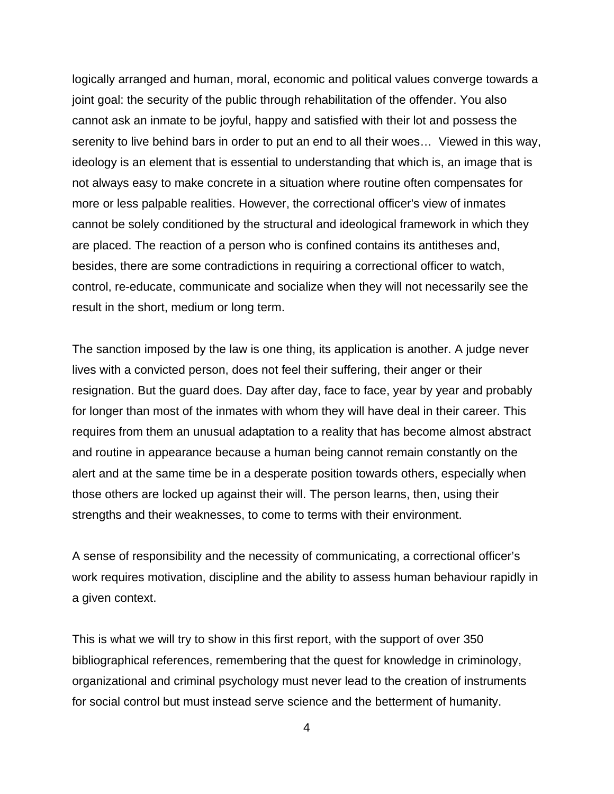logically arranged and human, moral, economic and political values converge towards a joint goal: the security of the public through rehabilitation of the offender. You also cannot ask an inmate to be joyful, happy and satisfied with their lot and possess the serenity to live behind bars in order to put an end to all their woes… Viewed in this way, ideology is an element that is essential to understanding that which is, an image that is not always easy to make concrete in a situation where routine often compensates for more or less palpable realities. However, the correctional officer's view of inmates cannot be solely conditioned by the structural and ideological framework in which they are placed. The reaction of a person who is confined contains its antitheses and, besides, there are some contradictions in requiring a correctional officer to watch, control, re-educate, communicate and socialize when they will not necessarily see the result in the short, medium or long term.

The sanction imposed by the law is one thing, its application is another. A judge never lives with a convicted person, does not feel their suffering, their anger or their resignation. But the guard does. Day after day, face to face, year by year and probably for longer than most of the inmates with whom they will have deal in their career. This requires from them an unusual adaptation to a reality that has become almost abstract and routine in appearance because a human being cannot remain constantly on the alert and at the same time be in a desperate position towards others, especially when those others are locked up against their will. The person learns, then, using their strengths and their weaknesses, to come to terms with their environment.

A sense of responsibility and the necessity of communicating, a correctional officer's work requires motivation, discipline and the ability to assess human behaviour rapidly in a given context.

This is what we will try to show in this first report, with the support of over 350 bibliographical references, remembering that the quest for knowledge in criminology, organizational and criminal psychology must never lead to the creation of instruments for social control but must instead serve science and the betterment of humanity.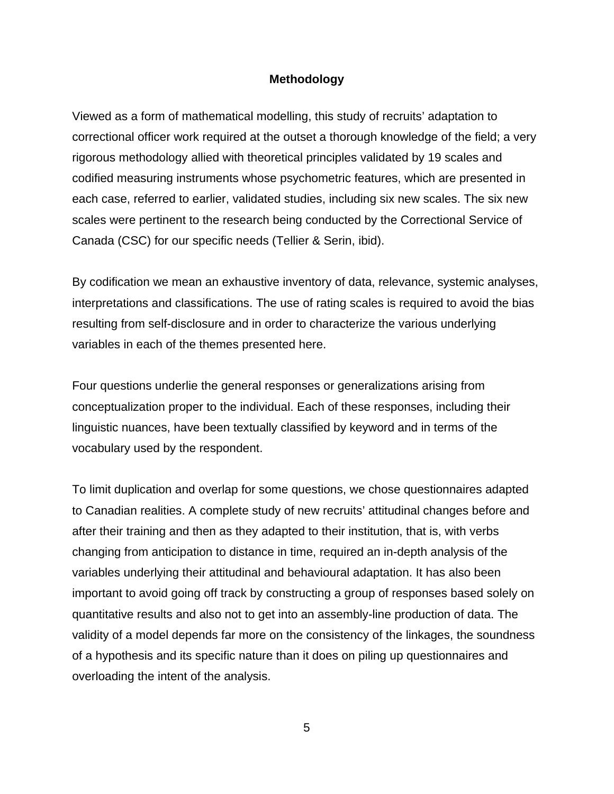## **Methodology**

<span id="page-11-0"></span>Viewed as a form of mathematical modelling, this study of recruits' adaptation to correctional officer work required at the outset a thorough knowledge of the field; a very rigorous methodology allied with theoretical principles validated by 19 scales and codified measuring instruments whose psychometric features, which are presented in each case, referred to earlier, validated studies, including six new scales. The six new scales were pertinent to the research being conducted by the Correctional Service of Canada (CSC) for our specific needs (Tellier & Serin, ibid).

By codification we mean an exhaustive inventory of data, relevance, systemic analyses, interpretations and classifications. The use of rating scales is required to avoid the bias resulting from self-disclosure and in order to characterize the various underlying variables in each of the themes presented here.

Four questions underlie the general responses or generalizations arising from conceptualization proper to the individual. Each of these responses, including their linguistic nuances, have been textually classified by keyword and in terms of the vocabulary used by the respondent.

To limit duplication and overlap for some questions, we chose questionnaires adapted to Canadian realities. A complete study of new recruits' attitudinal changes before and after their training and then as they adapted to their institution, that is, with verbs changing from anticipation to distance in time, required an in-depth analysis of the variables underlying their attitudinal and behavioural adaptation. It has also been important to avoid going off track by constructing a group of responses based solely on quantitative results and also not to get into an assembly-line production of data. The validity of a model depends far more on the consistency of the linkages, the soundness of a hypothesis and its specific nature than it does on piling up questionnaires and overloading the intent of the analysis.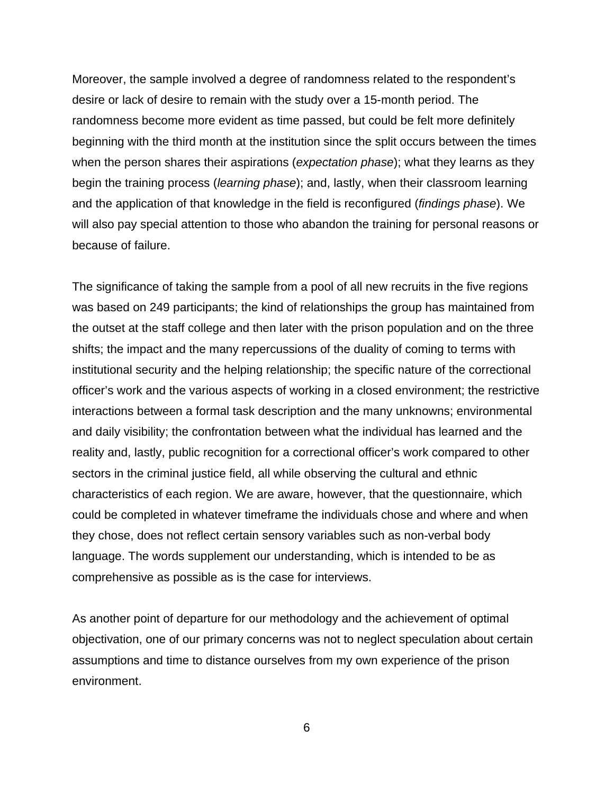Moreover, the sample involved a degree of randomness related to the respondent's desire or lack of desire to remain with the study over a 15-month period. The randomness become more evident as time passed, but could be felt more definitely beginning with the third month at the institution since the split occurs between the times when the person shares their aspirations (*expectation phase*); what they learns as they begin the training process (*learning phase*); and, lastly, when their classroom learning and the application of that knowledge in the field is reconfigured (*findings phase*). We will also pay special attention to those who abandon the training for personal reasons or because of failure.

The significance of taking the sample from a pool of all new recruits in the five regions was based on 249 participants; the kind of relationships the group has maintained from the outset at the staff college and then later with the prison population and on the three shifts; the impact and the many repercussions of the duality of coming to terms with institutional security and the helping relationship; the specific nature of the correctional officer's work and the various aspects of working in a closed environment; the restrictive interactions between a formal task description and the many unknowns; environmental and daily visibility; the confrontation between what the individual has learned and the reality and, lastly, public recognition for a correctional officer's work compared to other sectors in the criminal justice field, all while observing the cultural and ethnic characteristics of each region. We are aware, however, that the questionnaire, which could be completed in whatever timeframe the individuals chose and where and when they chose, does not reflect certain sensory variables such as non-verbal body language. The words supplement our understanding, which is intended to be as comprehensive as possible as is the case for interviews.

As another point of departure for our methodology and the achievement of optimal objectivation, one of our primary concerns was not to neglect speculation about certain assumptions and time to distance ourselves from my own experience of the prison environment.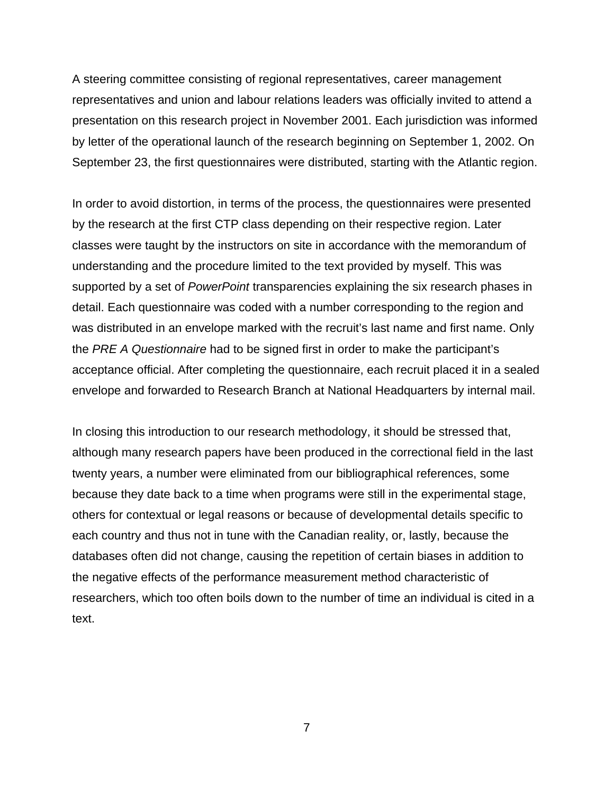A steering committee consisting of regional representatives, career management representatives and union and labour relations leaders was officially invited to attend a presentation on this research project in November 2001. Each jurisdiction was informed by letter of the operational launch of the research beginning on September 1, 2002. On September 23, the first questionnaires were distributed, starting with the Atlantic region.

In order to avoid distortion, in terms of the process, the questionnaires were presented by the research at the first CTP class depending on their respective region. Later classes were taught by the instructors on site in accordance with the memorandum of understanding and the procedure limited to the text provided by myself. This was supported by a set of *PowerPoint* transparencies explaining the six research phases in detail. Each questionnaire was coded with a number corresponding to the region and was distributed in an envelope marked with the recruit's last name and first name. Only the *PRE A Questionnaire* had to be signed first in order to make the participant's acceptance official. After completing the questionnaire, each recruit placed it in a sealed envelope and forwarded to Research Branch at National Headquarters by internal mail.

In closing this introduction to our research methodology, it should be stressed that, although many research papers have been produced in the correctional field in the last twenty years, a number were eliminated from our bibliographical references, some because they date back to a time when programs were still in the experimental stage, others for contextual or legal reasons or because of developmental details specific to each country and thus not in tune with the Canadian reality, or, lastly, because the databases often did not change, causing the repetition of certain biases in addition to the negative effects of the performance measurement method characteristic of researchers, which too often boils down to the number of time an individual is cited in a text.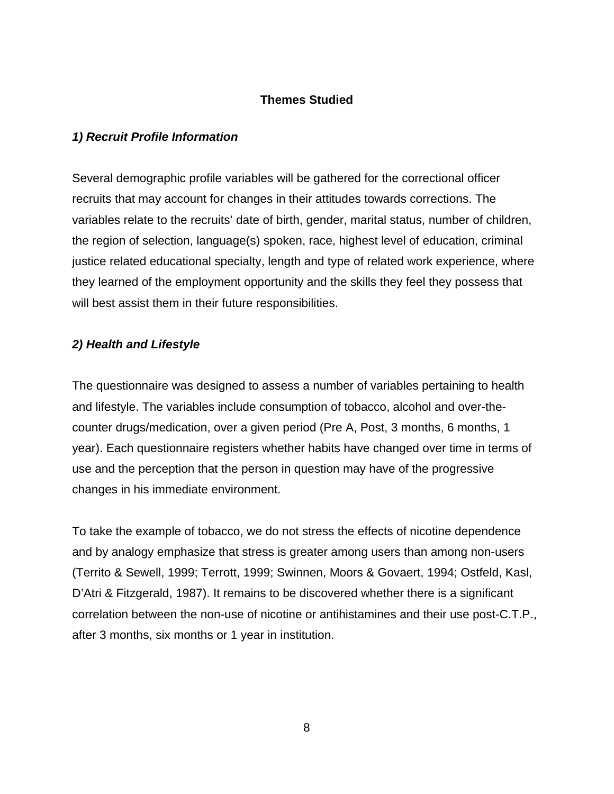# **Themes Studied**

# <span id="page-14-0"></span>*1) Recruit Profile Information*

Several demographic profile variables will be gathered for the correctional officer recruits that may account for changes in their attitudes towards corrections. The variables relate to the recruits' date of birth, gender, marital status, number of children, the region of selection, language(s) spoken, race, highest level of education, criminal justice related educational specialty, length and type of related work experience, where they learned of the employment opportunity and the skills they feel they possess that will best assist them in their future responsibilities.

## *2) Health and Lifestyle*

The questionnaire was designed to assess a number of variables pertaining to health and lifestyle. The variables include consumption of tobacco, alcohol and over-thecounter drugs/medication, over a given period (Pre A, Post, 3 months, 6 months, 1 year). Each questionnaire registers whether habits have changed over time in terms of use and the perception that the person in question may have of the progressive changes in his immediate environment.

To take the example of tobacco, we do not stress the effects of nicotine dependence and by analogy emphasize that stress is greater among users than among non-users (Territo & Sewell, 1999; Terrott, 1999; Swinnen, Moors & Govaert, 1994; Ostfeld, Kasl, D'Atri & Fitzgerald, 1987). It remains to be discovered whether there is a significant correlation between the non-use of nicotine or antihistamines and their use post-C.T.P., after 3 months, six months or 1 year in institution.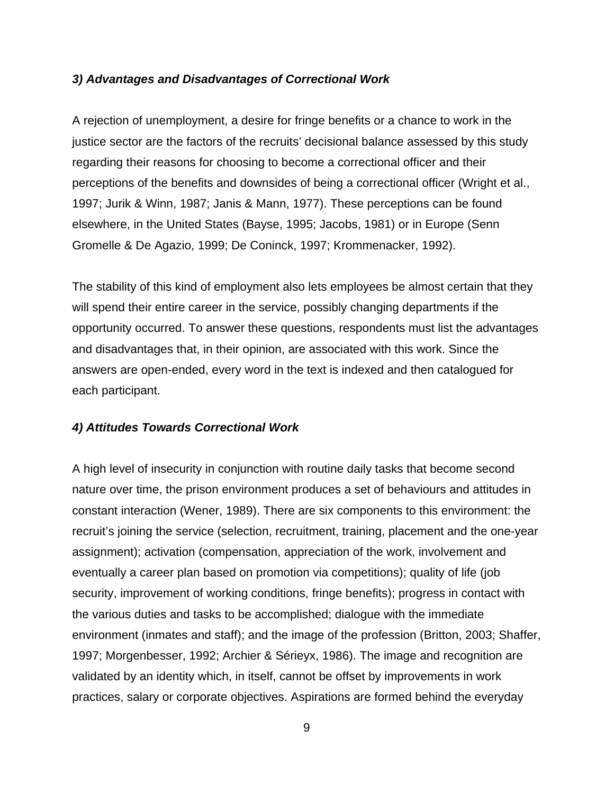## <span id="page-15-0"></span>*3) Advantages and Disadvantages of Correctional Work*

A rejection of unemployment, a desire for fringe benefits or a chance to work in the justice sector are the factors of the recruits' decisional balance assessed by this study regarding their reasons for choosing to become a correctional officer and their perceptions of the benefits and downsides of being a correctional officer (Wright et al., 1997; Jurik & Winn, 1987; Janis & Mann, 1977). These perceptions can be found elsewhere, in the United States (Bayse, 1995; Jacobs, 1981) or in Europe (Senn Gromelle & De Agazio, 1999; De Coninck, 1997; Krommenacker, 1992).

The stability of this kind of employment also lets employees be almost certain that they will spend their entire career in the service, possibly changing departments if the opportunity occurred. To answer these questions, respondents must list the advantages and disadvantages that, in their opinion, are associated with this work. Since the answers are open-ended, every word in the text is indexed and then catalogued for each participant.

## *4) Attitudes Towards Correctional Work*

A high level of insecurity in conjunction with routine daily tasks that become second nature over time, the prison environment produces a set of behaviours and attitudes in constant interaction (Wener, 1989). There are six components to this environment: the recruit's joining the service (selection, recruitment, training, placement and the one-year assignment); activation (compensation, appreciation of the work, involvement and eventually a career plan based on promotion via competitions); quality of life (job security, improvement of working conditions, fringe benefits); progress in contact with the various duties and tasks to be accomplished; dialogue with the immediate environment (inmates and staff); and the image of the profession (Britton, 2003; Shaffer, 1997; Morgenbesser, 1992; Archier & Sérieyx, 1986). The image and recognition are validated by an identity which, in itself, cannot be offset by improvements in work practices, salary or corporate objectives. Aspirations are formed behind the everyday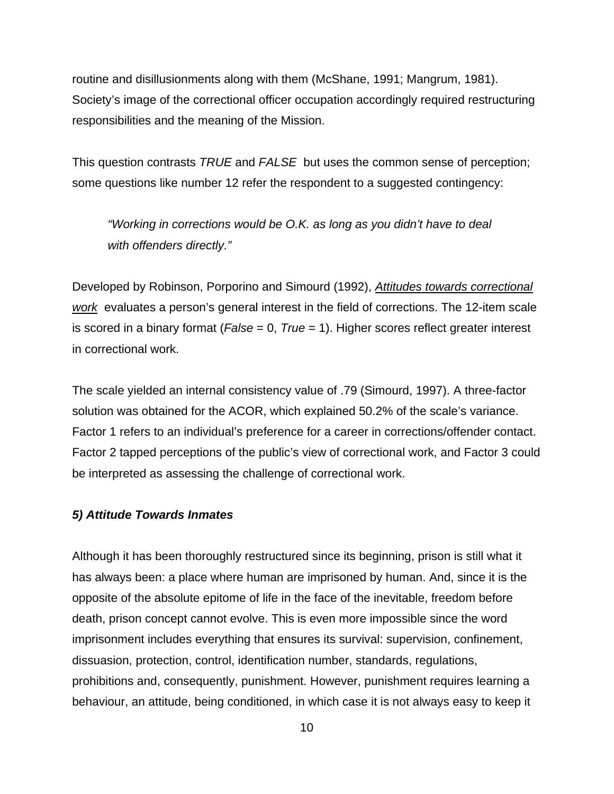<span id="page-16-0"></span>routine and disillusionments along with them (McShane, 1991; Mangrum, 1981). Society's image of the correctional officer occupation accordingly required restructuring responsibilities and the meaning of the Mission.

This question contrasts *TRUE* and *FALSE* but uses the common sense of perception; some questions like number 12 refer the respondent to a suggested contingency:

*"Working in corrections would be O.K. as long as you didn't have to deal with offenders directly."* 

Developed by Robinson, Porporino and Simourd (1992), *Attitudes towards correctional work* evaluates a person's general interest in the field of corrections. The 12-item scale is scored in a binary format (*False* = 0, *True* = 1). Higher scores reflect greater interest in correctional work.

The scale yielded an internal consistency value of .79 (Simourd, 1997). A three-factor solution was obtained for the ACOR, which explained 50.2% of the scale's variance. Factor 1 refers to an individual's preference for a career in corrections/offender contact. Factor 2 tapped perceptions of the public's view of correctional work, and Factor 3 could be interpreted as assessing the challenge of correctional work.

## *5) Attitude Towards Inmates*

Although it has been thoroughly restructured since its beginning, prison is still what it has always been: a place where human are imprisoned by human. And, since it is the opposite of the absolute epitome of life in the face of the inevitable, freedom before death, prison concept cannot evolve. This is even more impossible since the word imprisonment includes everything that ensures its survival: supervision, confinement, dissuasion, protection, control, identification number, standards, regulations, prohibitions and, consequently, punishment. However, punishment requires learning a behaviour, an attitude, being conditioned, in which case it is not always easy to keep it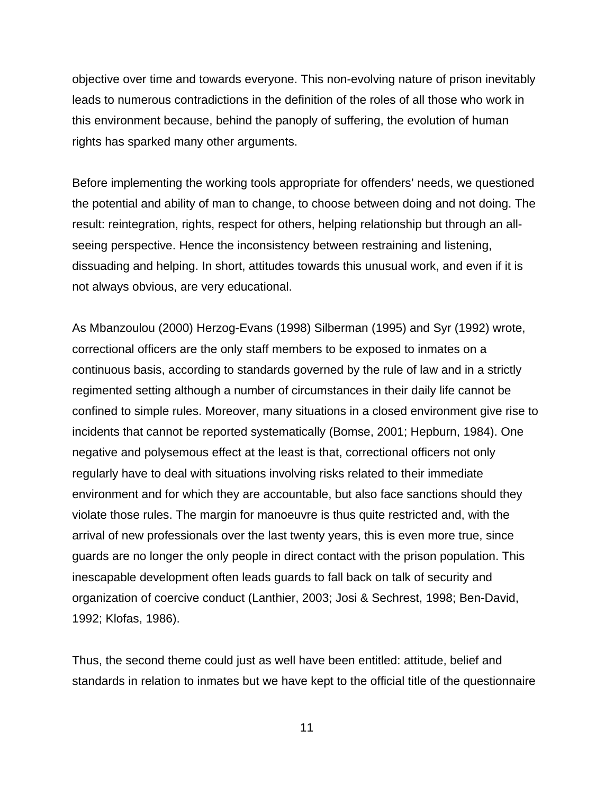objective over time and towards everyone. This non-evolving nature of prison inevitably leads to numerous contradictions in the definition of the roles of all those who work in this environment because, behind the panoply of suffering, the evolution of human rights has sparked many other arguments.

Before implementing the working tools appropriate for offenders' needs, we questioned the potential and ability of man to change, to choose between doing and not doing. The result: reintegration, rights, respect for others, helping relationship but through an allseeing perspective. Hence the inconsistency between restraining and listening, dissuading and helping. In short, attitudes towards this unusual work, and even if it is not always obvious, are very educational.

As Mbanzoulou (2000) Herzog-Evans (1998) Silberman (1995) and Syr (1992) wrote, correctional officers are the only staff members to be exposed to inmates on a continuous basis, according to standards governed by the rule of law and in a strictly regimented setting although a number of circumstances in their daily life cannot be confined to simple rules. Moreover, many situations in a closed environment give rise to incidents that cannot be reported systematically (Bomse, 2001; Hepburn, 1984). One negative and polysemous effect at the least is that, correctional officers not only regularly have to deal with situations involving risks related to their immediate environment and for which they are accountable, but also face sanctions should they violate those rules. The margin for manoeuvre is thus quite restricted and, with the arrival of new professionals over the last twenty years, this is even more true, since guards are no longer the only people in direct contact with the prison population. This inescapable development often leads guards to fall back on talk of security and organization of coercive conduct (Lanthier, 2003; Josi & Sechrest, 1998; Ben-David, 1992; Klofas, 1986).

Thus, the second theme could just as well have been entitled: attitude, belief and standards in relation to inmates but we have kept to the official title of the questionnaire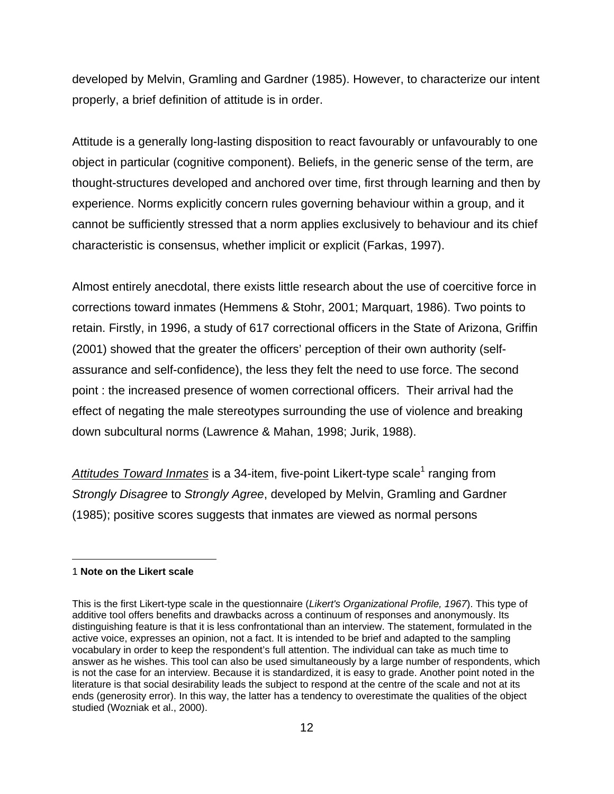developed by Melvin, Gramling and Gardner (1985). However, to characterize our intent properly, a brief definition of attitude is in order.

Attitude is a generally long-lasting disposition to react favourably or unfavourably to one object in particular (cognitive component). Beliefs, in the generic sense of the term, are thought-structures developed and anchored over time, first through learning and then by experience. Norms explicitly concern rules governing behaviour within a group, and it cannot be sufficiently stressed that a norm applies exclusively to behaviour and its chief characteristic is consensus, whether implicit or explicit (Farkas, 1997).

Almost entirely anecdotal, there exists little research about the use of coercitive force in corrections toward inmates (Hemmens & Stohr, 2001; Marquart, 1986). Two points to retain. Firstly, in 1996, a study of 617 correctional officers in the State of Arizona, Griffin (2001) showed that the greater the officers' perception of their own authority (selfassurance and self-confidence), the less they felt the need to use force. The second point : the increased presence of women correctional officers. Their arrival had the effect of negating the male stereotypes surrounding the use of violence and breaking down subcultural norms (Lawrence & Mahan, 1998; Jurik, 1988).

Attitudes Toward Inmates is a 34-item, five-point Likert-type scale<sup>[1](#page-18-0)</sup> ranging from *Strongly Disagree* to *Strongly Agree*, developed by Melvin, Gramling and Gardner (1985); positive scores suggests that inmates are viewed as normal persons

#### <span id="page-18-0"></span>1 **Note on the Likert scale**

 $\overline{a}$ 

This is the first Likert-type scale in the questionnaire (*Likert's Organizational Profile, 1967*). This type of additive tool offers benefits and drawbacks across a continuum of responses and anonymously. Its distinguishing feature is that it is less confrontational than an interview. The statement, formulated in the active voice, expresses an opinion, not a fact. It is intended to be brief and adapted to the sampling vocabulary in order to keep the respondent's full attention. The individual can take as much time to answer as he wishes. This tool can also be used simultaneously by a large number of respondents, which is not the case for an interview. Because it is standardized, it is easy to grade. Another point noted in the literature is that social desirability leads the subject to respond at the centre of the scale and not at its ends (generosity error). In this way, the latter has a tendency to overestimate the qualities of the object studied (Wozniak et al., 2000).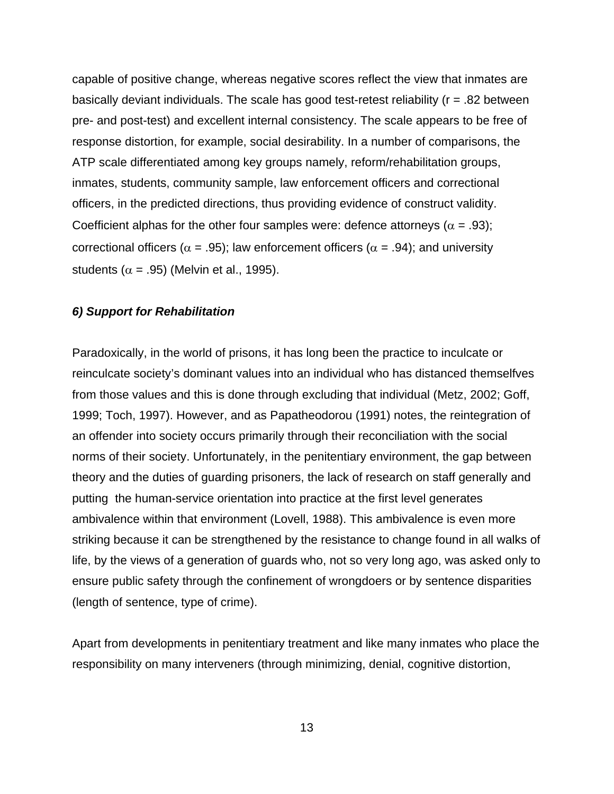<span id="page-19-0"></span>capable of positive change, whereas negative scores reflect the view that inmates are basically deviant individuals. The scale has good test-retest reliability (r = .82 between pre- and post-test) and excellent internal consistency. The scale appears to be free of response distortion, for example, social desirability. In a number of comparisons, the ATP scale differentiated among key groups namely, reform/rehabilitation groups, inmates, students, community sample, law enforcement officers and correctional officers, in the predicted directions, thus providing evidence of construct validity. Coefficient alphas for the other four samples were: defence attorneys ( $\alpha$  = .93); correctional officers ( $\alpha$  = .95); law enforcement officers ( $\alpha$  = .94); and university students ( $\alpha$  = .95) (Melvin et al., 1995).

#### *6) Support for Rehabilitation*

Paradoxically, in the world of prisons, it has long been the practice to inculcate or reinculcate society's dominant values into an individual who has distanced themselfves from those values and this is done through excluding that individual (Metz, 2002; Goff, 1999; Toch, 1997). However, and as Papatheodorou (1991) notes, the reintegration of an offender into society occurs primarily through their reconciliation with the social norms of their society. Unfortunately, in the penitentiary environment, the gap between theory and the duties of guarding prisoners, the lack of research on staff generally and putting the human-service orientation into practice at the first level generates ambivalence within that environment (Lovell, 1988). This ambivalence is even more striking because it can be strengthened by the resistance to change found in all walks of life, by the views of a generation of guards who, not so very long ago, was asked only to ensure public safety through the confinement of wrongdoers or by sentence disparities (length of sentence, type of crime).

Apart from developments in penitentiary treatment and like many inmates who place the responsibility on many interveners (through minimizing, denial, cognitive distortion,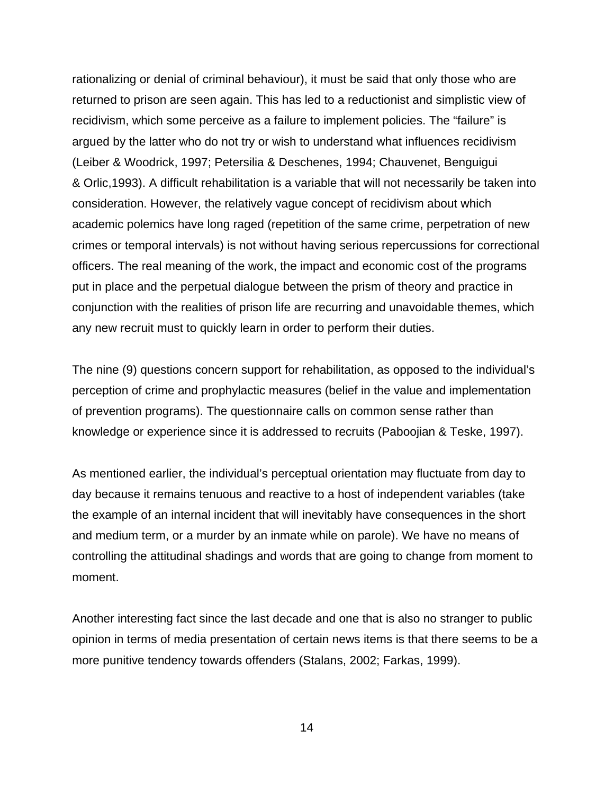rationalizing or denial of criminal behaviour), it must be said that only those who are returned to prison are seen again. This has led to a reductionist and simplistic view of recidivism, which some perceive as a failure to implement policies. The "failure" is argued by the latter who do not try or wish to understand what influences recidivism (Leiber & Woodrick, 1997; Petersilia & Deschenes, 1994; Chauvenet, Benguigui & Orlic,1993). A difficult rehabilitation is a variable that will not necessarily be taken into consideration. However, the relatively vague concept of recidivism about which academic polemics have long raged (repetition of the same crime, perpetration of new crimes or temporal intervals) is not without having serious repercussions for correctional officers. The real meaning of the work, the impact and economic cost of the programs put in place and the perpetual dialogue between the prism of theory and practice in conjunction with the realities of prison life are recurring and unavoidable themes, which any new recruit must to quickly learn in order to perform their duties.

The nine (9) questions concern support for rehabilitation, as opposed to the individual's perception of crime and prophylactic measures (belief in the value and implementation of prevention programs). The questionnaire calls on common sense rather than knowledge or experience since it is addressed to recruits (Paboojian & Teske, 1997).

As mentioned earlier, the individual's perceptual orientation may fluctuate from day to day because it remains tenuous and reactive to a host of independent variables (take the example of an internal incident that will inevitably have consequences in the short and medium term, or a murder by an inmate while on parole). We have no means of controlling the attitudinal shadings and words that are going to change from moment to moment.

Another interesting fact since the last decade and one that is also no stranger to public opinion in terms of media presentation of certain news items is that there seems to be a more punitive tendency towards offenders (Stalans, 2002; Farkas, 1999).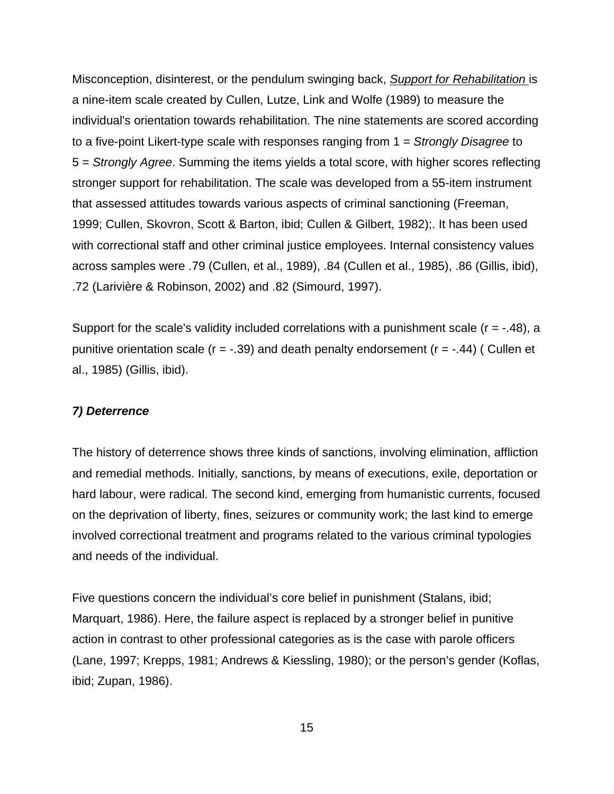<span id="page-21-0"></span>Misconception, disinterest, or the pendulum swinging back, *Support for Rehabilitation* is a nine-item scale created by Cullen, Lutze, Link and Wolfe (1989) to measure the individual's orientation towards rehabilitation. The nine statements are scored according to a five-point Likert-type scale with responses ranging from 1 = *Strongly Disagree* to 5 = *Strongly Agree*. Summing the items yields a total score, with higher scores reflecting stronger support for rehabilitation. The scale was developed from a 55-item instrument that assessed attitudes towards various aspects of criminal sanctioning (Freeman, 1999; Cullen, Skovron, Scott & Barton, ibid; Cullen & Gilbert, 1982);. It has been used with correctional staff and other criminal justice employees. Internal consistency values across samples were .79 (Cullen, et al., 1989), .84 (Cullen et al., 1985), .86 (Gillis, ibid), .72 (Larivière & Robinson, 2002) and .82 (Simourd, 1997).

Support for the scale's validity included correlations with a punishment scale  $(r = -0.48)$ , a punitive orientation scale ( $r = -.39$ ) and death penalty endorsement ( $r = -.44$ ) (Cullen et al., 1985) (Gillis, ibid).

## *7) Deterrence*

The history of deterrence shows three kinds of sanctions, involving elimination, affliction and remedial methods. Initially, sanctions, by means of executions, exile, deportation or hard labour, were radical. The second kind, emerging from humanistic currents, focused on the deprivation of liberty, fines, seizures or community work; the last kind to emerge involved correctional treatment and programs related to the various criminal typologies and needs of the individual.

Five questions concern the individual's core belief in punishment (Stalans, ibid; Marquart, 1986). Here, the failure aspect is replaced by a stronger belief in punitive action in contrast to other professional categories as is the case with parole officers (Lane, 1997; Krepps, 1981; Andrews & Kiessling, 1980); or the person's gender (Koflas, ibid; Zupan, 1986).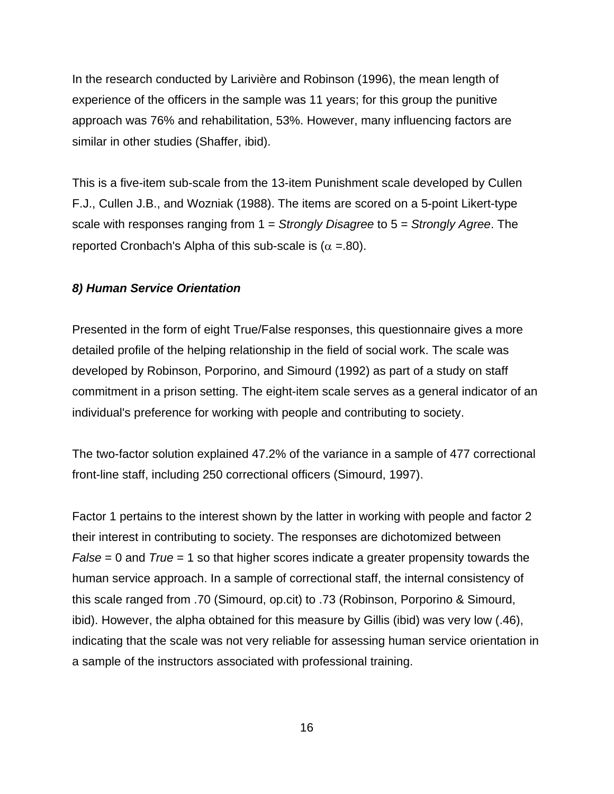<span id="page-22-0"></span>In the research conducted by Larivière and Robinson (1996), the mean length of experience of the officers in the sample was 11 years; for this group the punitive approach was 76% and rehabilitation, 53%. However, many influencing factors are similar in other studies (Shaffer, ibid).

This is a five-item sub-scale from the 13-item Punishment scale developed by Cullen F.J., Cullen J.B., and Wozniak (1988). The items are scored on a 5-point Likert-type scale with responses ranging from 1 = *Strongly Disagree* to 5 = *Strongly Agree*. The reported Cronbach's Alpha of this sub-scale is ( $\alpha$  =.80).

## *8) Human Service Orientation*

Presented in the form of eight True/False responses, this questionnaire gives a more detailed profile of the helping relationship in the field of social work. The scale was developed by Robinson, Porporino, and Simourd (1992) as part of a study on staff commitment in a prison setting. The eight-item scale serves as a general indicator of an individual's preference for working with people and contributing to society.

The two-factor solution explained 47.2% of the variance in a sample of 477 correctional front-line staff, including 250 correctional officers (Simourd, 1997).

Factor 1 pertains to the interest shown by the latter in working with people and factor 2 their interest in contributing to society. The responses are dichotomized between *False* = 0 and *True* = 1 so that higher scores indicate a greater propensity towards the human service approach. In a sample of correctional staff, the internal consistency of this scale ranged from .70 (Simourd, op.cit) to .73 (Robinson, Porporino & Simourd, ibid). However, the alpha obtained for this measure by Gillis (ibid) was very low (.46), indicating that the scale was not very reliable for assessing human service orientation in a sample of the instructors associated with professional training.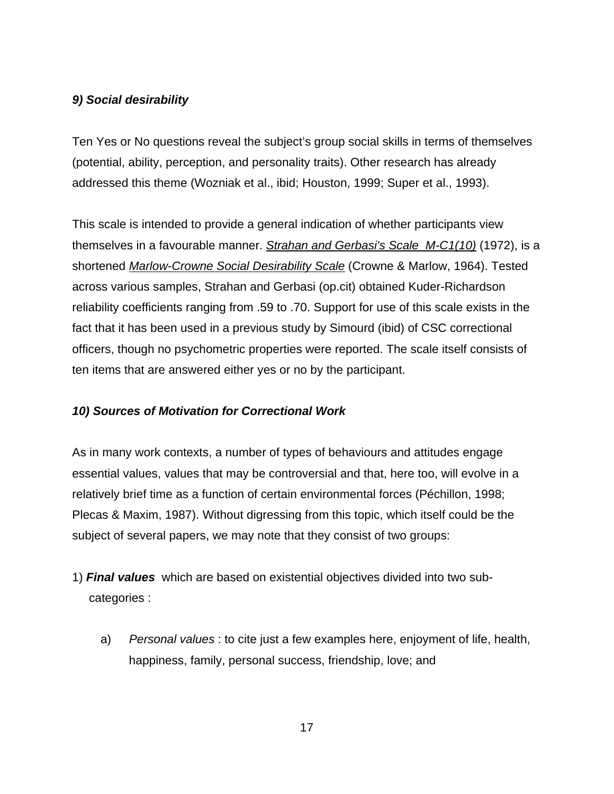# <span id="page-23-0"></span>*9) Social desirability*

Ten Yes or No questions reveal the subject's group social skills in terms of themselves (potential, ability, perception, and personality traits). Other research has already addressed this theme (Wozniak et al., ibid; Houston, 1999; Super et al., 1993).

This scale is intended to provide a general indication of whether participants view themselves in a favourable manner. *Strahan and Gerbasi's Scale M-C1(10)* (1972), is a shortened *Marlow-Crowne Social Desirability Scale* (Crowne & Marlow, 1964). Tested across various samples, Strahan and Gerbasi (op.cit) obtained Kuder-Richardson reliability coefficients ranging from .59 to .70. Support for use of this scale exists in the fact that it has been used in a previous study by Simourd (ibid) of CSC correctional officers, though no psychometric properties were reported. The scale itself consists of ten items that are answered either yes or no by the participant.

# *10) Sources of Motivation for Correctional Work*

As in many work contexts, a number of types of behaviours and attitudes engage essential values, values that may be controversial and that, here too, will evolve in a relatively brief time as a function of certain environmental forces (Péchillon, 1998; Plecas & Maxim, 1987). Without digressing from this topic, which itself could be the subject of several papers, we may note that they consist of two groups:

- 1) *Final values* which are based on existential objectives divided into two sub categories :
	- a) *Personal values* : to cite just a few examples here, enjoyment of life, health, happiness, family, personal success, friendship, love; and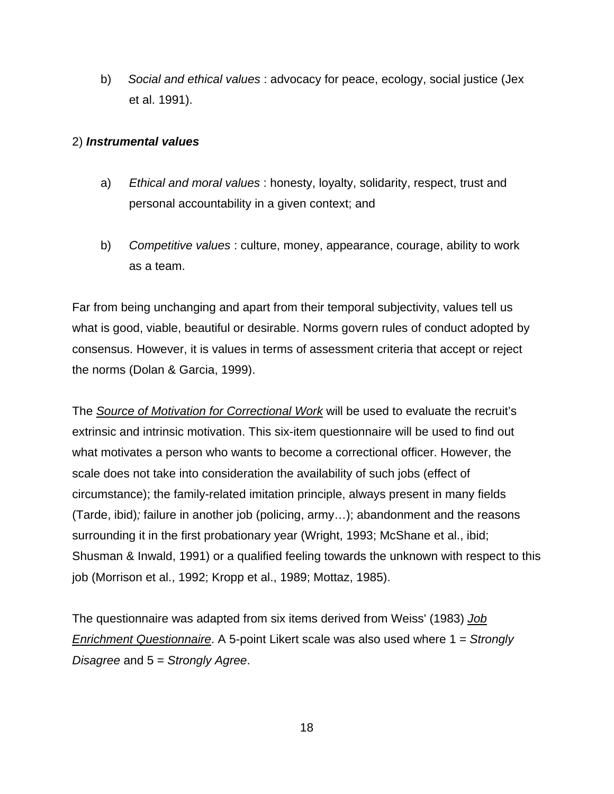b) *Social and ethical values* : advocacy for peace, ecology, social justice (Jex et al. 1991).

# 2) *Instrumental values*

- a) *Ethical and moral values* : honesty, loyalty, solidarity, respect, trust and personal accountability in a given context; and
- b) *Competitive values* : culture, money, appearance, courage, ability to work as a team.

Far from being unchanging and apart from their temporal subjectivity, values tell us what is good, viable, beautiful or desirable. Norms govern rules of conduct adopted by consensus. However, it is values in terms of assessment criteria that accept or reject the norms (Dolan & Garcia, 1999).

The *Source of Motivation for Correctional Work* will be used to evaluate the recruit's extrinsic and intrinsic motivation. This six-item questionnaire will be used to find out what motivates a person who wants to become a correctional officer. However, the scale does not take into consideration the availability of such jobs (effect of circumstance); the family-related imitation principle, always present in many fields (Tarde, ibid)*;* failure in another job (policing, army…); abandonment and the reasons surrounding it in the first probationary year (Wright, 1993; McShane et al., ibid; Shusman & Inwald, 1991) or a qualified feeling towards the unknown with respect to this job (Morrison et al., 1992; Kropp et al., 1989; Mottaz, 1985).

The questionnaire was adapted from six items derived from Weiss' (1983) *Job Enrichment Questionnaire*. A 5-point Likert scale was also used where 1 = *Strongly Disagree* and 5 = *Strongly Agree*.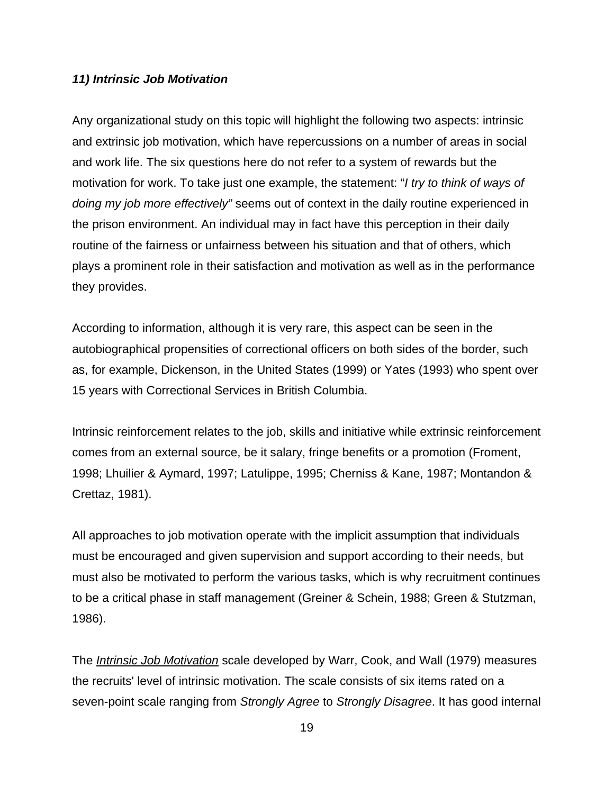## *11) Intrinsic Job Motivation*

Any organizational study on this topic will highlight the following two aspects: intrinsic and extrinsic job motivation, which have repercussions on a number of areas in social and work life. The six questions here do not refer to a system of rewards but the motivation for work. To take just one example, the statement: "*I try to think of ways of doing my job more effectively"* seems out of context in the daily routine experienced in the prison environment. An individual may in fact have this perception in their daily routine of the fairness or unfairness between his situation and that of others, which plays a prominent role in their satisfaction and motivation as well as in the performance they provides.

According to information, although it is very rare, this aspect can be seen in the autobiographical propensities of correctional officers on both sides of the border, such as, for example, Dickenson, in the United States (1999) or Yates (1993) who spent over 15 years with Correctional Services in British Columbia.

Intrinsic reinforcement relates to the job, skills and initiative while extrinsic reinforcement comes from an external source, be it salary, fringe benefits or a promotion (Froment, 1998; Lhuilier & Aymard, 1997; Latulippe, 1995; Cherniss & Kane, 1987; Montandon & Crettaz, 1981).

All approaches to job motivation operate with the implicit assumption that individuals must be encouraged and given supervision and support according to their needs, but must also be motivated to perform the various tasks, which is why recruitment continues to be a critical phase in staff management (Greiner & Schein, 1988; Green & Stutzman, 1986).

The *Intrinsic Job Motivation* scale developed by Warr, Cook, and Wall (1979) measures the recruits' level of intrinsic motivation. The scale consists of six items rated on a seven-point scale ranging from *Strongly Agree* to *Strongly Disagree*. It has good internal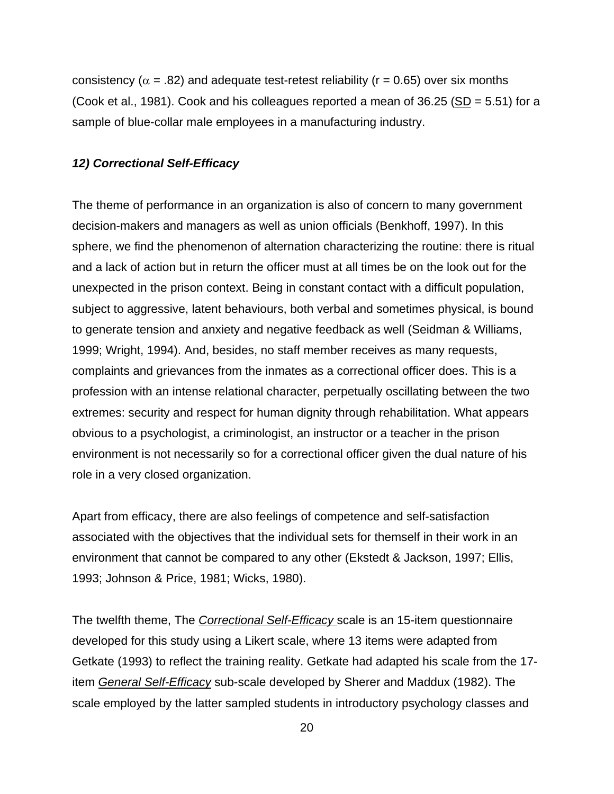<span id="page-26-0"></span>consistency ( $\alpha$  = .82) and adequate test-retest reliability ( $r$  = 0.65) over six months (Cook et al., 1981). Cook and his colleagues reported a mean of 36.25 (SD = 5.51) for a sample of blue-collar male employees in a manufacturing industry.

#### *12) Correctional Self-Efficacy*

The theme of performance in an organization is also of concern to many government decision-makers and managers as well as union officials (Benkhoff, 1997). In this sphere, we find the phenomenon of alternation characterizing the routine: there is ritual and a lack of action but in return the officer must at all times be on the look out for the unexpected in the prison context. Being in constant contact with a difficult population, subject to aggressive, latent behaviours, both verbal and sometimes physical, is bound to generate tension and anxiety and negative feedback as well (Seidman & Williams, 1999; Wright, 1994). And, besides, no staff member receives as many requests, complaints and grievances from the inmates as a correctional officer does. This is a profession with an intense relational character, perpetually oscillating between the two extremes: security and respect for human dignity through rehabilitation. What appears obvious to a psychologist, a criminologist, an instructor or a teacher in the prison environment is not necessarily so for a correctional officer given the dual nature of his role in a very closed organization.

Apart from efficacy, there are also feelings of competence and self-satisfaction associated with the objectives that the individual sets for themself in their work in an environment that cannot be compared to any other (Ekstedt & Jackson, 1997; Ellis, 1993; Johnson & Price, 1981; Wicks, 1980).

The twelfth theme, The *Correctional Self-Efficacy* scale is an 15-item questionnaire developed for this study using a Likert scale, where 13 items were adapted from Getkate (1993) to reflect the training reality. Getkate had adapted his scale from the 17 item *General Self-Efficacy* sub-scale developed by Sherer and Maddux (1982). The scale employed by the latter sampled students in introductory psychology classes and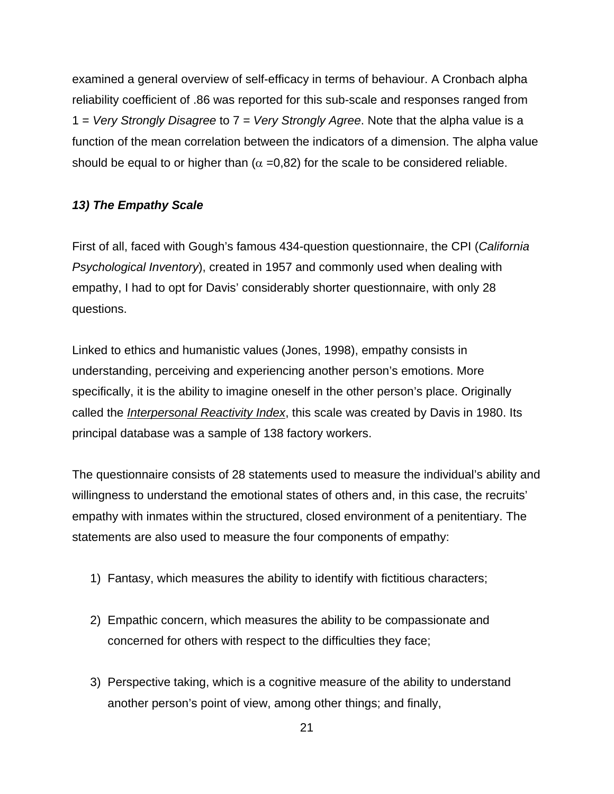<span id="page-27-0"></span>examined a general overview of self-efficacy in terms of behaviour. A Cronbach alpha reliability coefficient of .86 was reported for this sub-scale and responses ranged from 1 = *Very Strongly Disagree* to 7 = *Very Strongly Agree*. Note that the alpha value is a function of the mean correlation between the indicators of a dimension. The alpha value should be equal to or higher than  $(\alpha = 0.82)$  for the scale to be considered reliable.

# *13) The Empathy Scale*

First of all, faced with Gough's famous 434-question questionnaire, the CPI (*California Psychological Inventory*), created in 1957 and commonly used when dealing with empathy, I had to opt for Davis' considerably shorter questionnaire, with only 28 questions.

Linked to ethics and humanistic values (Jones, 1998), empathy consists in understanding, perceiving and experiencing another person's emotions. More specifically, it is the ability to imagine oneself in the other person's place. Originally called the *Interpersonal Reactivity Index*, this scale was created by Davis in 1980. Its principal database was a sample of 138 factory workers.

The questionnaire consists of 28 statements used to measure the individual's ability and willingness to understand the emotional states of others and, in this case, the recruits' empathy with inmates within the structured, closed environment of a penitentiary. The statements are also used to measure the four components of empathy:

- 1) Fantasy, which measures the ability to identify with fictitious characters;
- 2) Empathic concern, which measures the ability to be compassionate and concerned for others with respect to the difficulties they face;
- 3) Perspective taking, which is a cognitive measure of the ability to understand another person's point of view, among other things; and finally,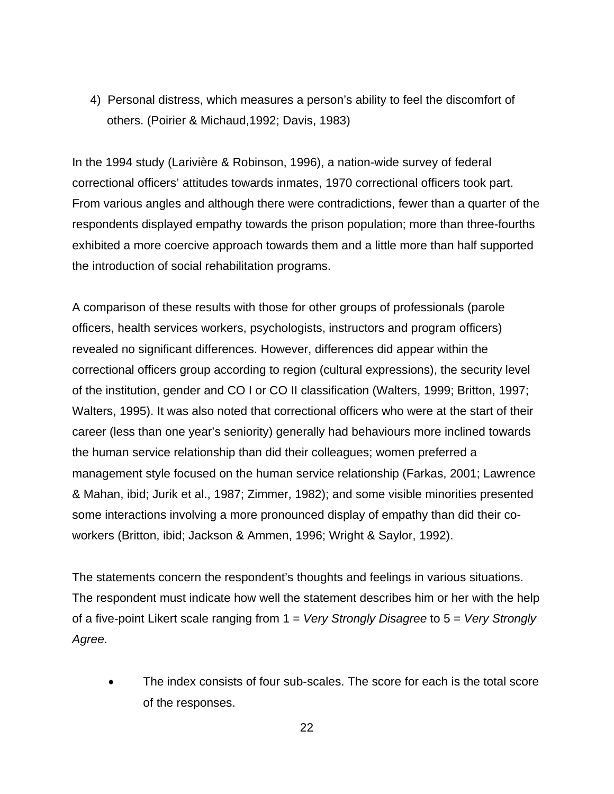4) Personal distress, which measures a person's ability to feel the discomfort of others. (Poirier & Michaud,1992; Davis, 1983)

In the 1994 study (Larivière & Robinson, 1996), a nation-wide survey of federal correctional officers' attitudes towards inmates, 1970 correctional officers took part. From various angles and although there were contradictions, fewer than a quarter of the respondents displayed empathy towards the prison population; more than three-fourths exhibited a more coercive approach towards them and a little more than half supported the introduction of social rehabilitation programs.

A comparison of these results with those for other groups of professionals (parole officers, health services workers, psychologists, instructors and program officers) revealed no significant differences. However, differences did appear within the correctional officers group according to region (cultural expressions), the security level of the institution, gender and CO I or CO II classification (Walters, 1999; Britton, 1997; Walters, 1995). It was also noted that correctional officers who were at the start of their career (less than one year's seniority) generally had behaviours more inclined towards the human service relationship than did their colleagues; women preferred a management style focused on the human service relationship (Farkas, 2001; Lawrence & Mahan, ibid; Jurik et al., 1987; Zimmer, 1982); and some visible minorities presented some interactions involving a more pronounced display of empathy than did their coworkers (Britton, ibid; Jackson & Ammen, 1996; Wright & Saylor, 1992).

The statements concern the respondent's thoughts and feelings in various situations. The respondent must indicate how well the statement describes him or her with the help of a five-point Likert scale ranging from 1 = *Very Strongly Disagree* to 5 = *Very Strongly Agree*.

• The index consists of four sub-scales. The score for each is the total score of the responses.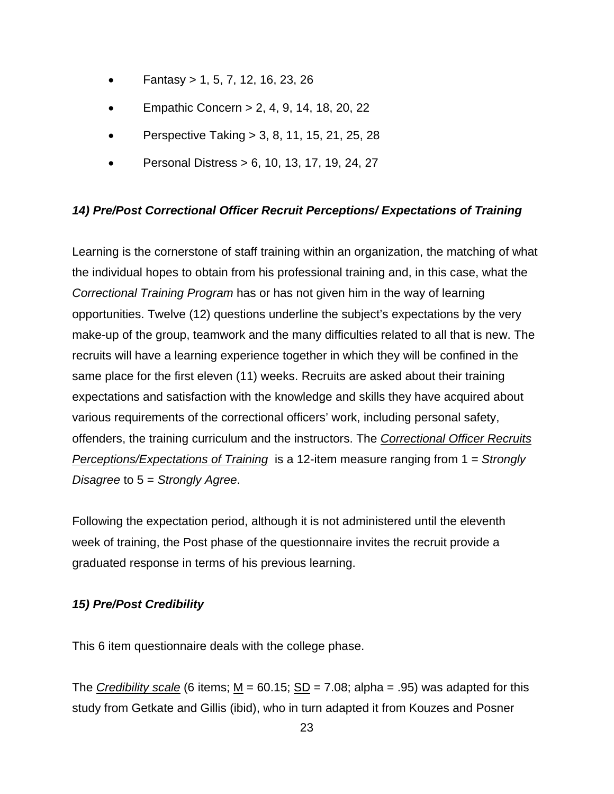- <span id="page-29-0"></span>• Fantasy > 1, 5, 7, 12, 16, 23, 26
- Empathic Concern > 2, 4, 9, 14, 18, 20, 22
- Perspective Taking > 3, 8, 11, 15, 21, 25, 28
- Personal Distress > 6, 10, 13, 17, 19, 24, 27

# *14) Pre/Post Correctional Officer Recruit Perceptions/ Expectations of Training*

Learning is the cornerstone of staff training within an organization, the matching of what the individual hopes to obtain from his professional training and, in this case, what the *Correctional Training Program* has or has not given him in the way of learning opportunities. Twelve (12) questions underline the subject's expectations by the very make-up of the group, teamwork and the many difficulties related to all that is new. The recruits will have a learning experience together in which they will be confined in the same place for the first eleven (11) weeks. Recruits are asked about their training expectations and satisfaction with the knowledge and skills they have acquired about various requirements of the correctional officers' work, including personal safety, offenders, the training curriculum and the instructors. The *Correctional Officer Recruits Perceptions/Expectations of Training* is a 12-item measure ranging from 1 = *Strongly Disagree* to 5 = *Strongly Agree*.

Following the expectation period, although it is not administered until the eleventh week of training, the Post phase of the questionnaire invites the recruit provide a graduated response in terms of his previous learning.

# *15) Pre/Post Credibility*

This 6 item questionnaire deals with the college phase.

The *Credibility scale* (6 items;  $M = 60.15$ ;  $SD = 7.08$ ; alpha = .95) was adapted for this study from Getkate and Gillis (ibid), who in turn adapted it from Kouzes and Posner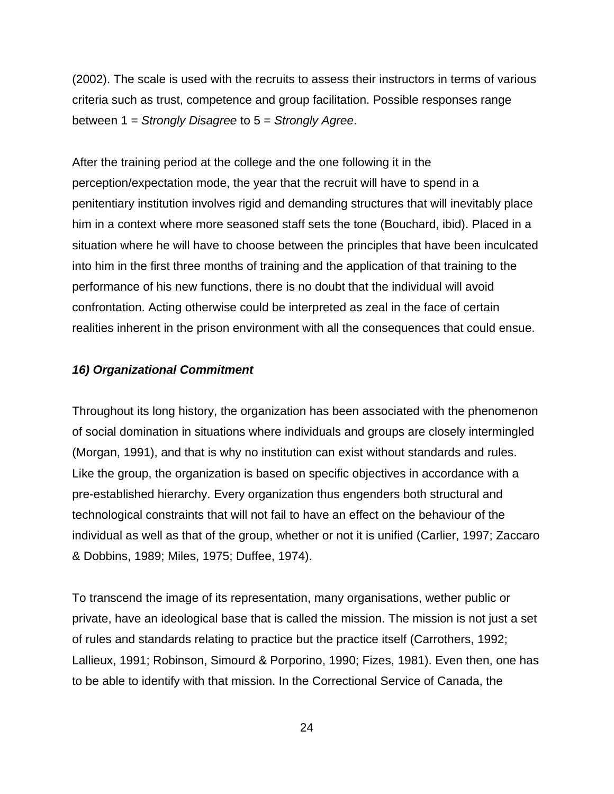<span id="page-30-0"></span>(2002). The scale is used with the recruits to assess their instructors in terms of various criteria such as trust, competence and group facilitation. Possible responses range between 1 = *Strongly Disagree* to 5 = *Strongly Agree*.

After the training period at the college and the one following it in the perception/expectation mode, the year that the recruit will have to spend in a penitentiary institution involves rigid and demanding structures that will inevitably place him in a context where more seasoned staff sets the tone (Bouchard, ibid). Placed in a situation where he will have to choose between the principles that have been inculcated into him in the first three months of training and the application of that training to the performance of his new functions, there is no doubt that the individual will avoid confrontation. Acting otherwise could be interpreted as zeal in the face of certain realities inherent in the prison environment with all the consequences that could ensue.

## *16) Organizational Commitment*

Throughout its long history, the organization has been associated with the phenomenon of social domination in situations where individuals and groups are closely intermingled (Morgan, 1991), and that is why no institution can exist without standards and rules. Like the group, the organization is based on specific objectives in accordance with a pre-established hierarchy. Every organization thus engenders both structural and technological constraints that will not fail to have an effect on the behaviour of the individual as well as that of the group, whether or not it is unified (Carlier, 1997; Zaccaro & Dobbins, 1989; Miles, 1975; Duffee, 1974).

To transcend the image of its representation, many organisations, wether public or private, have an ideological base that is called the mission. The mission is not just a set of rules and standards relating to practice but the practice itself (Carrothers, 1992; Lallieux, 1991; Robinson, Simourd & Porporino, 1990; Fizes, 1981). Even then, one has to be able to identify with that mission. In the Correctional Service of Canada, the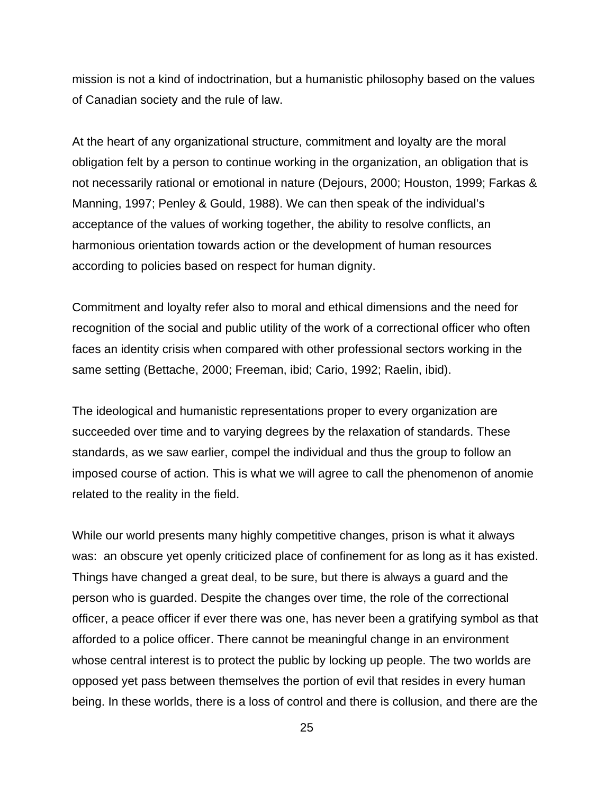mission is not a kind of indoctrination, but a humanistic philosophy based on the values of Canadian society and the rule of law.

At the heart of any organizational structure, commitment and loyalty are the moral obligation felt by a person to continue working in the organization, an obligation that is not necessarily rational or emotional in nature (Dejours, 2000; Houston, 1999; Farkas & Manning, 1997; Penley & Gould, 1988). We can then speak of the individual's acceptance of the values of working together, the ability to resolve conflicts, an harmonious orientation towards action or the development of human resources according to policies based on respect for human dignity.

Commitment and loyalty refer also to moral and ethical dimensions and the need for recognition of the social and public utility of the work of a correctional officer who often faces an identity crisis when compared with other professional sectors working in the same setting (Bettache, 2000; Freeman, ibid; Cario, 1992; Raelin, ibid).

The ideological and humanistic representations proper to every organization are succeeded over time and to varying degrees by the relaxation of standards. These standards, as we saw earlier, compel the individual and thus the group to follow an imposed course of action. This is what we will agree to call the phenomenon of anomie related to the reality in the field.

While our world presents many highly competitive changes, prison is what it always was: an obscure yet openly criticized place of confinement for as long as it has existed. Things have changed a great deal, to be sure, but there is always a guard and the person who is guarded. Despite the changes over time, the role of the correctional officer, a peace officer if ever there was one, has never been a gratifying symbol as that afforded to a police officer. There cannot be meaningful change in an environment whose central interest is to protect the public by locking up people. The two worlds are opposed yet pass between themselves the portion of evil that resides in every human being. In these worlds, there is a loss of control and there is collusion, and there are the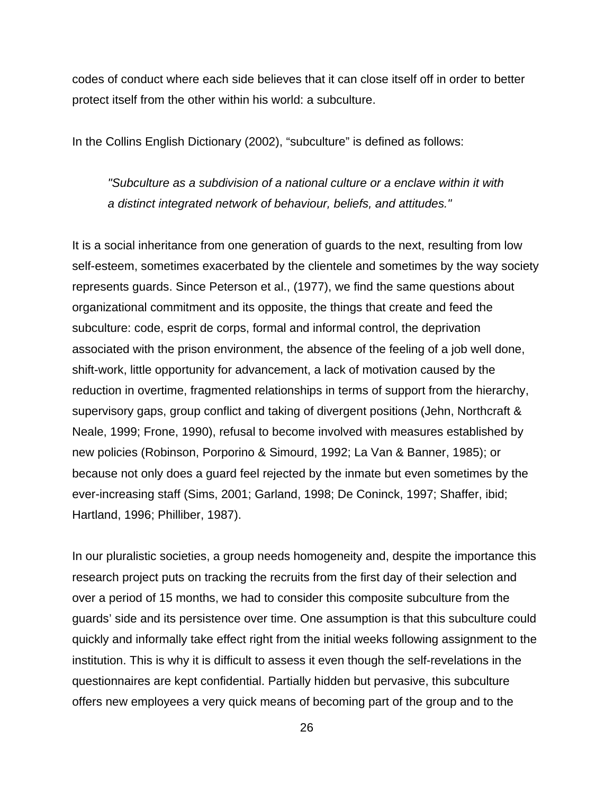codes of conduct where each side believes that it can close itself off in order to better protect itself from the other within his world: a subculture.

In the Collins English Dictionary (2002), "subculture" is defined as follows:

*"Subculture as a subdivision of a national culture or a enclave within it with a distinct integrated network of behaviour, beliefs, and attitudes."* 

It is a social inheritance from one generation of guards to the next, resulting from low self-esteem, sometimes exacerbated by the clientele and sometimes by the way society represents guards. Since Peterson et al., (1977), we find the same questions about organizational commitment and its opposite, the things that create and feed the subculture: code, esprit de corps, formal and informal control, the deprivation associated with the prison environment, the absence of the feeling of a job well done, shift-work, little opportunity for advancement, a lack of motivation caused by the reduction in overtime, fragmented relationships in terms of support from the hierarchy, supervisory gaps, group conflict and taking of divergent positions (Jehn, Northcraft & Neale, 1999; Frone, 1990), refusal to become involved with measures established by new policies (Robinson, Porporino & Simourd, 1992; La Van & Banner, 1985); or because not only does a guard feel rejected by the inmate but even sometimes by the ever-increasing staff (Sims, 2001; Garland, 1998; De Coninck, 1997; Shaffer, ibid; Hartland, 1996; Philliber, 1987).

In our pluralistic societies, a group needs homogeneity and, despite the importance this research project puts on tracking the recruits from the first day of their selection and over a period of 15 months, we had to consider this composite subculture from the guards' side and its persistence over time. One assumption is that this subculture could quickly and informally take effect right from the initial weeks following assignment to the institution. This is why it is difficult to assess it even though the self-revelations in the questionnaires are kept confidential. Partially hidden but pervasive, this subculture offers new employees a very quick means of becoming part of the group and to the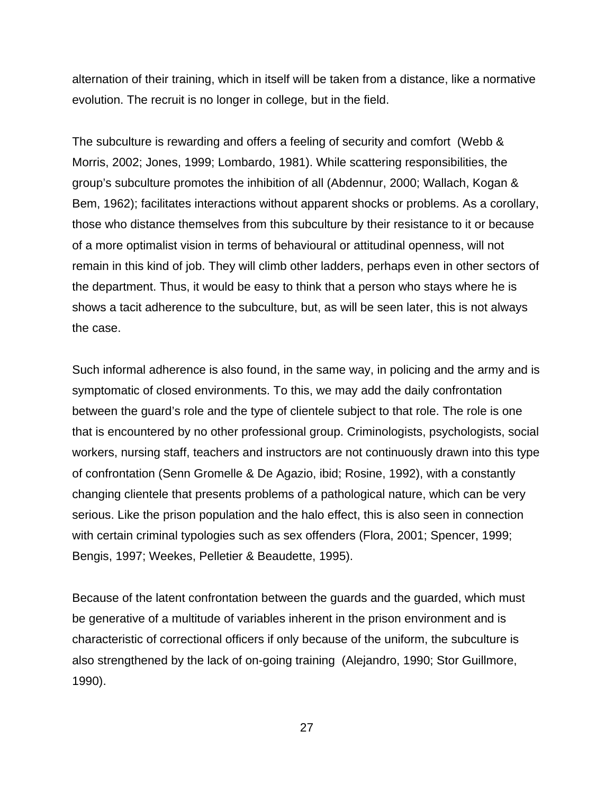alternation of their training, which in itself will be taken from a distance, like a normative evolution. The recruit is no longer in college, but in the field.

The subculture is rewarding and offers a feeling of security and comfort (Webb & Morris, 2002; Jones, 1999; Lombardo, 1981). While scattering responsibilities, the group's subculture promotes the inhibition of all (Abdennur, 2000; Wallach, Kogan & Bem, 1962); facilitates interactions without apparent shocks or problems. As a corollary, those who distance themselves from this subculture by their resistance to it or because of a more optimalist vision in terms of behavioural or attitudinal openness, will not remain in this kind of job. They will climb other ladders, perhaps even in other sectors of the department. Thus, it would be easy to think that a person who stays where he is shows a tacit adherence to the subculture, but, as will be seen later, this is not always the case.

Such informal adherence is also found, in the same way, in policing and the army and is symptomatic of closed environments. To this, we may add the daily confrontation between the guard's role and the type of clientele subject to that role. The role is one that is encountered by no other professional group. Criminologists, psychologists, social workers, nursing staff, teachers and instructors are not continuously drawn into this type of confrontation (Senn Gromelle & De Agazio, ibid; Rosine, 1992), with a constantly changing clientele that presents problems of a pathological nature, which can be very serious. Like the prison population and the halo effect, this is also seen in connection with certain criminal typologies such as sex offenders (Flora, 2001; Spencer, 1999; Bengis, 1997; Weekes, Pelletier & Beaudette, 1995).

Because of the latent confrontation between the guards and the guarded, which must be generative of a multitude of variables inherent in the prison environment and is characteristic of correctional officers if only because of the uniform, the subculture is also strengthened by the lack of on-going training (Alejandro, 1990; Stor Guillmore, 1990).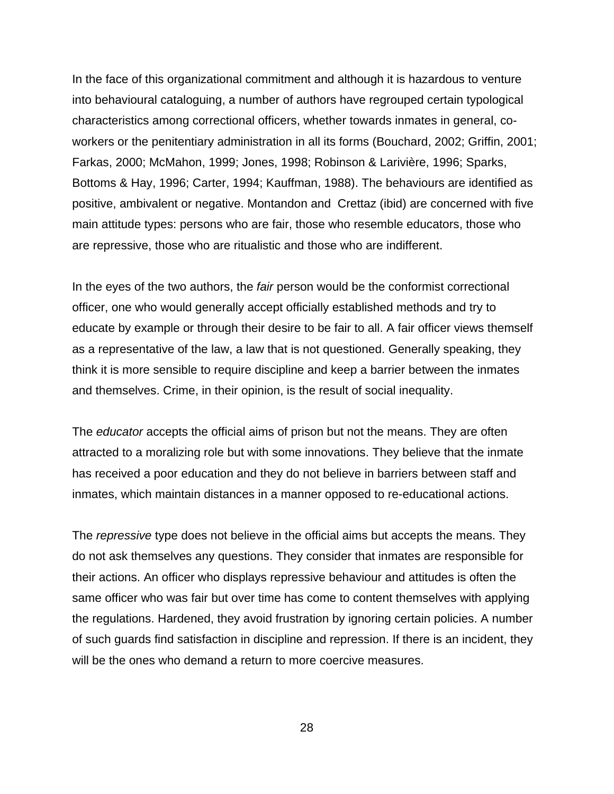In the face of this organizational commitment and although it is hazardous to venture into behavioural cataloguing, a number of authors have regrouped certain typological characteristics among correctional officers, whether towards inmates in general, coworkers or the penitentiary administration in all its forms (Bouchard, 2002; Griffin, 2001; Farkas, 2000; McMahon, 1999; Jones, 1998; Robinson & Larivière, 1996; Sparks, Bottoms & Hay, 1996; Carter, 1994; Kauffman, 1988). The behaviours are identified as positive, ambivalent or negative. Montandon and Crettaz (ibid) are concerned with five main attitude types: persons who are fair, those who resemble educators, those who are repressive, those who are ritualistic and those who are indifferent.

In the eyes of the two authors, the *fair* person would be the conformist correctional officer, one who would generally accept officially established methods and try to educate by example or through their desire to be fair to all. A fair officer views themself as a representative of the law, a law that is not questioned. Generally speaking, they think it is more sensible to require discipline and keep a barrier between the inmates and themselves. Crime, in their opinion, is the result of social inequality.

The *educator* accepts the official aims of prison but not the means. They are often attracted to a moralizing role but with some innovations. They believe that the inmate has received a poor education and they do not believe in barriers between staff and inmates, which maintain distances in a manner opposed to re-educational actions.

The *repressive* type does not believe in the official aims but accepts the means. They do not ask themselves any questions. They consider that inmates are responsible for their actions. An officer who displays repressive behaviour and attitudes is often the same officer who was fair but over time has come to content themselves with applying the regulations. Hardened, they avoid frustration by ignoring certain policies. A number of such guards find satisfaction in discipline and repression. If there is an incident, they will be the ones who demand a return to more coercive measures.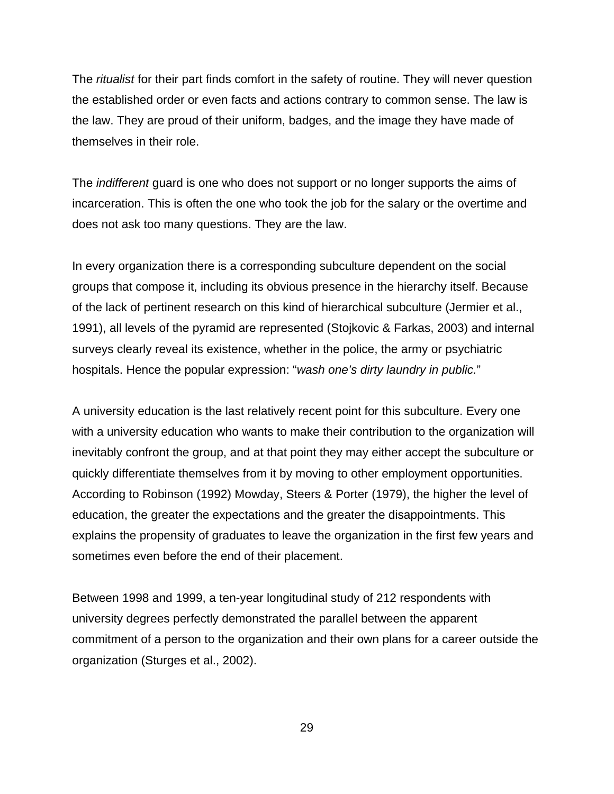The *ritualist* for their part finds comfort in the safety of routine. They will never question the established order or even facts and actions contrary to common sense. The law is the law. They are proud of their uniform, badges, and the image they have made of themselves in their role.

The *indifferent* guard is one who does not support or no longer supports the aims of incarceration. This is often the one who took the job for the salary or the overtime and does not ask too many questions. They are the law.

In every organization there is a corresponding subculture dependent on the social groups that compose it, including its obvious presence in the hierarchy itself. Because of the lack of pertinent research on this kind of hierarchical subculture (Jermier et al., 1991), all levels of the pyramid are represented (Stojkovic & Farkas, 2003) and internal surveys clearly reveal its existence, whether in the police, the army or psychiatric hospitals. Hence the popular expression: "*wash one's dirty laundry in public.*"

A university education is the last relatively recent point for this subculture. Every one with a university education who wants to make their contribution to the organization will inevitably confront the group, and at that point they may either accept the subculture or quickly differentiate themselves from it by moving to other employment opportunities. According to Robinson (1992) Mowday, Steers & Porter (1979), the higher the level of education, the greater the expectations and the greater the disappointments. This explains the propensity of graduates to leave the organization in the first few years and sometimes even before the end of their placement.

Between 1998 and 1999, a ten-year longitudinal study of 212 respondents with university degrees perfectly demonstrated the parallel between the apparent commitment of a person to the organization and their own plans for a career outside the organization (Sturges et al., 2002).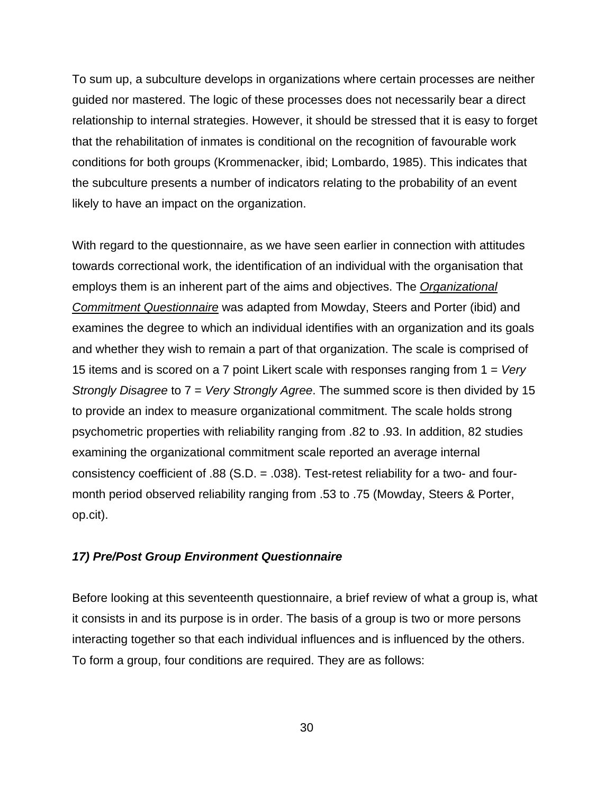To sum up, a subculture develops in organizations where certain processes are neither guided nor mastered. The logic of these processes does not necessarily bear a direct relationship to internal strategies. However, it should be stressed that it is easy to forget that the rehabilitation of inmates is conditional on the recognition of favourable work conditions for both groups (Krommenacker, ibid; Lombardo, 1985). This indicates that the subculture presents a number of indicators relating to the probability of an event likely to have an impact on the organization.

With regard to the questionnaire, as we have seen earlier in connection with attitudes towards correctional work, the identification of an individual with the organisation that employs them is an inherent part of the aims and objectives. The *Organizational Commitment Questionnaire* was adapted from Mowday, Steers and Porter (ibid) and examines the degree to which an individual identifies with an organization and its goals and whether they wish to remain a part of that organization. The scale is comprised of 15 items and is scored on a 7 point Likert scale with responses ranging from 1 = *Very Strongly Disagree* to 7 = *Very Strongly Agree*. The summed score is then divided by 15 to provide an index to measure organizational commitment. The scale holds strong psychometric properties with reliability ranging from .82 to .93. In addition, 82 studies examining the organizational commitment scale reported an average internal consistency coefficient of .88 (S.D. = .038). Test-retest reliability for a two- and fourmonth period observed reliability ranging from .53 to .75 (Mowday, Steers & Porter, op.cit).

# *17) Pre/Post Group Environment Questionnaire*

Before looking at this seventeenth questionnaire, a brief review of what a group is, what it consists in and its purpose is in order. The basis of a group is two or more persons interacting together so that each individual influences and is influenced by the others. To form a group, four conditions are required. They are as follows: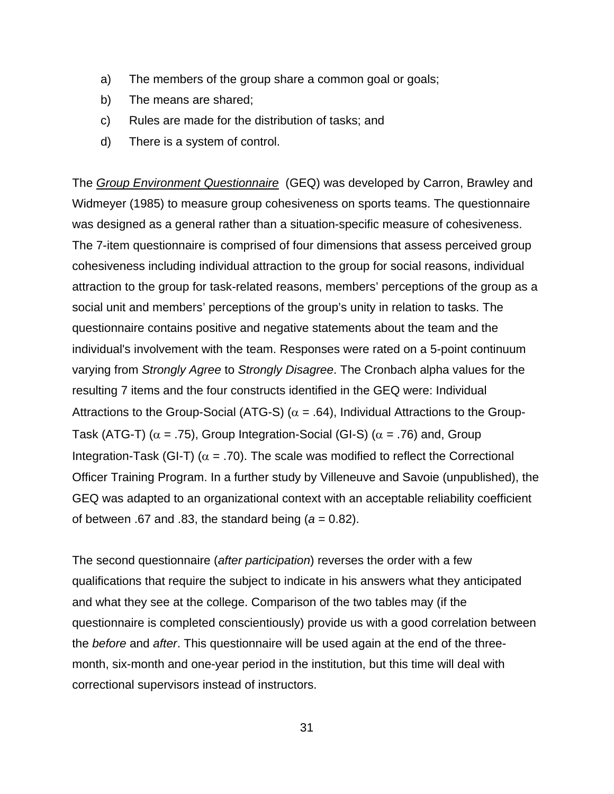- a) The members of the group share a common goal or goals;
- b) The means are shared;
- c) Rules are made for the distribution of tasks; and
- d) There is a system of control.

The *Group Environment Questionnaire* (GEQ) was developed by Carron, Brawley and Widmeyer (1985) to measure group cohesiveness on sports teams. The questionnaire was designed as a general rather than a situation-specific measure of cohesiveness. The 7-item questionnaire is comprised of four dimensions that assess perceived group cohesiveness including individual attraction to the group for social reasons, individual attraction to the group for task-related reasons, members' perceptions of the group as a social unit and members' perceptions of the group's unity in relation to tasks. The questionnaire contains positive and negative statements about the team and the individual's involvement with the team. Responses were rated on a 5-point continuum varying from *Strongly Agree* to *Strongly Disagree*. The Cronbach alpha values for the resulting 7 items and the four constructs identified in the GEQ were: Individual Attractions to the Group-Social (ATG-S) ( $\alpha$  = .64), Individual Attractions to the Group-Task (ATG-T) ( $\alpha$  = .75), Group Integration-Social (GI-S) ( $\alpha$  = .76) and, Group Integration-Task (GI-T) ( $\alpha$  = .70). The scale was modified to reflect the Correctional Officer Training Program. In a further study by Villeneuve and Savoie (unpublished), the GEQ was adapted to an organizational context with an acceptable reliability coefficient of between .67 and .83, the standard being  $(a = 0.82)$ .

The second questionnaire (*after participation*) reverses the order with a few qualifications that require the subject to indicate in his answers what they anticipated and what they see at the college. Comparison of the two tables may (if the questionnaire is completed conscientiously) provide us with a good correlation between the *before* and *after*. This questionnaire will be used again at the end of the threemonth, six-month and one-year period in the institution, but this time will deal with correctional supervisors instead of instructors.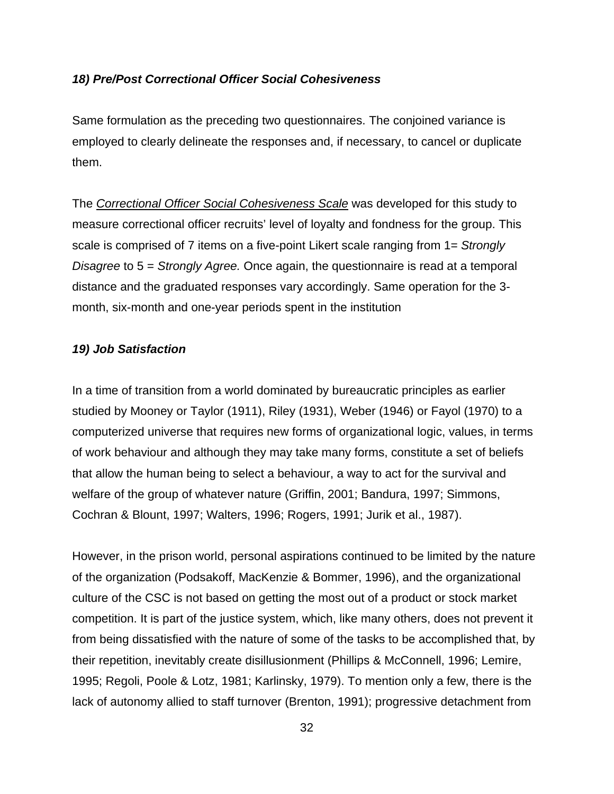## *18) Pre/Post Correctional Officer Social Cohesiveness*

Same formulation as the preceding two questionnaires. The conjoined variance is employed to clearly delineate the responses and, if necessary, to cancel or duplicate them.

The *Correctional Officer Social Cohesiveness Scale* was developed for this study to measure correctional officer recruits' level of loyalty and fondness for the group. This scale is comprised of 7 items on a five-point Likert scale ranging from 1= *Strongly Disagree* to 5 = *Strongly Agree.* Once again, the questionnaire is read at a temporal distance and the graduated responses vary accordingly. Same operation for the 3 month, six-month and one-year periods spent in the institution

## *19) Job Satisfaction*

In a time of transition from a world dominated by bureaucratic principles as earlier studied by Mooney or Taylor (1911), Riley (1931), Weber (1946) or Fayol (1970) to a computerized universe that requires new forms of organizational logic, values, in terms of work behaviour and although they may take many forms, constitute a set of beliefs that allow the human being to select a behaviour, a way to act for the survival and welfare of the group of whatever nature (Griffin, 2001; Bandura, 1997; Simmons, Cochran & Blount, 1997; Walters, 1996; Rogers, 1991; Jurik et al., 1987).

However, in the prison world, personal aspirations continued to be limited by the nature of the organization (Podsakoff, MacKenzie & Bommer, 1996), and the organizational culture of the CSC is not based on getting the most out of a product or stock market competition. It is part of the justice system, which, like many others, does not prevent it from being dissatisfied with the nature of some of the tasks to be accomplished that, by their repetition, inevitably create disillusionment (Phillips & McConnell, 1996; Lemire, 1995; Regoli, Poole & Lotz, 1981; Karlinsky, 1979). To mention only a few, there is the lack of autonomy allied to staff turnover (Brenton, 1991); progressive detachment from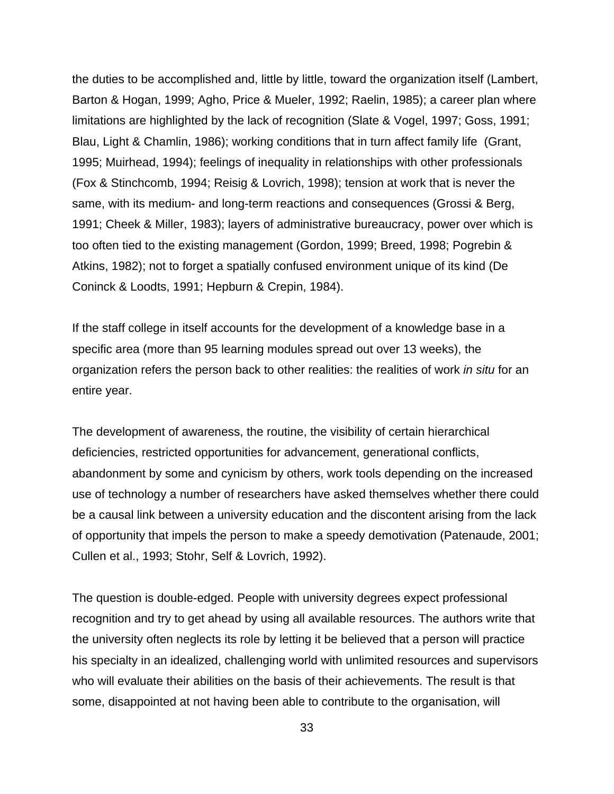the duties to be accomplished and, little by little, toward the organization itself (Lambert, Barton & Hogan, 1999; Agho, Price & Mueler, 1992; Raelin, 1985); a career plan where limitations are highlighted by the lack of recognition (Slate & Vogel, 1997; Goss, 1991; Blau, Light & Chamlin, 1986); working conditions that in turn affect family life (Grant, 1995; Muirhead, 1994); feelings of inequality in relationships with other professionals (Fox & Stinchcomb, 1994; Reisig & Lovrich, 1998); tension at work that is never the same, with its medium- and long-term reactions and consequences (Grossi & Berg, 1991; Cheek & Miller, 1983); layers of administrative bureaucracy, power over which is too often tied to the existing management (Gordon, 1999; Breed, 1998; Pogrebin & Atkins, 1982); not to forget a spatially confused environment unique of its kind (De Coninck & Loodts, 1991; Hepburn & Crepin, 1984).

If the staff college in itself accounts for the development of a knowledge base in a specific area (more than 95 learning modules spread out over 13 weeks), the organization refers the person back to other realities: the realities of work *in situ* for an entire year.

The development of awareness, the routine, the visibility of certain hierarchical deficiencies, restricted opportunities for advancement, generational conflicts, abandonment by some and cynicism by others, work tools depending on the increased use of technology a number of researchers have asked themselves whether there could be a causal link between a university education and the discontent arising from the lack of opportunity that impels the person to make a speedy demotivation (Patenaude, 2001; Cullen et al., 1993; Stohr, Self & Lovrich, 1992).

The question is double-edged. People with university degrees expect professional recognition and try to get ahead by using all available resources. The authors write that the university often neglects its role by letting it be believed that a person will practice his specialty in an idealized, challenging world with unlimited resources and supervisors who will evaluate their abilities on the basis of their achievements. The result is that some, disappointed at not having been able to contribute to the organisation, will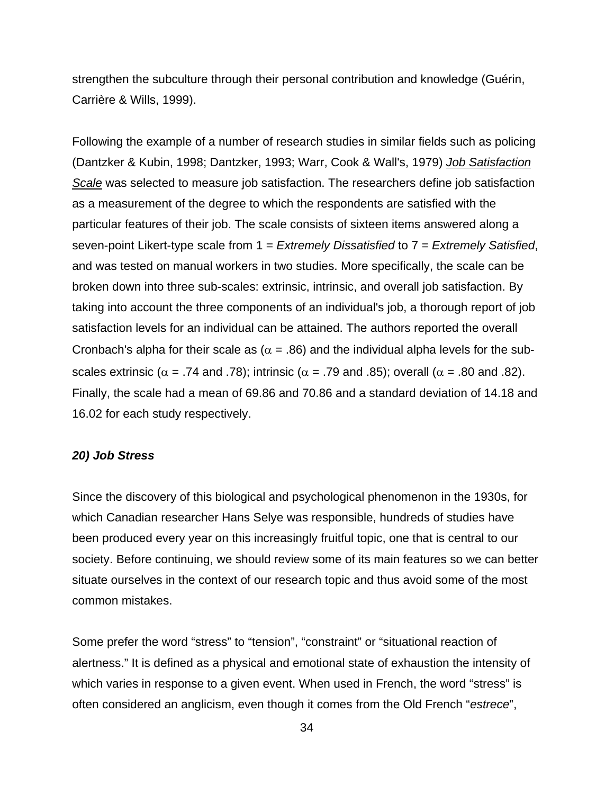strengthen the subculture through their personal contribution and knowledge (Guérin, Carrière & Wills, 1999).

Following the example of a number of research studies in similar fields such as policing (Dantzker & Kubin, 1998; Dantzker, 1993; Warr, Cook & Wall's, 1979) *Job Satisfaction Scale* was selected to measure job satisfaction. The researchers define job satisfaction as a measurement of the degree to which the respondents are satisfied with the particular features of their job. The scale consists of sixteen items answered along a seven-point Likert-type scale from 1 = *Extremely Dissatisfied* to 7 = *Extremely Satisfied*, and was tested on manual workers in two studies. More specifically, the scale can be broken down into three sub-scales: extrinsic, intrinsic, and overall job satisfaction. By taking into account the three components of an individual's job, a thorough report of job satisfaction levels for an individual can be attained. The authors reported the overall Cronbach's alpha for their scale as ( $\alpha$  = .86) and the individual alpha levels for the subscales extrinsic ( $\alpha$  = .74 and .78); intrinsic ( $\alpha$  = .79 and .85); overall ( $\alpha$  = .80 and .82). Finally, the scale had a mean of 69.86 and 70.86 and a standard deviation of 14.18 and 16.02 for each study respectively.

#### *20) Job Stress*

Since the discovery of this biological and psychological phenomenon in the 1930s, for which Canadian researcher Hans Selye was responsible, hundreds of studies have been produced every year on this increasingly fruitful topic, one that is central to our society. Before continuing, we should review some of its main features so we can better situate ourselves in the context of our research topic and thus avoid some of the most common mistakes.

Some prefer the word "stress" to "tension", "constraint" or "situational reaction of alertness." It is defined as a physical and emotional state of exhaustion the intensity of which varies in response to a given event. When used in French, the word "stress" is often considered an anglicism, even though it comes from the Old French "*estrece*",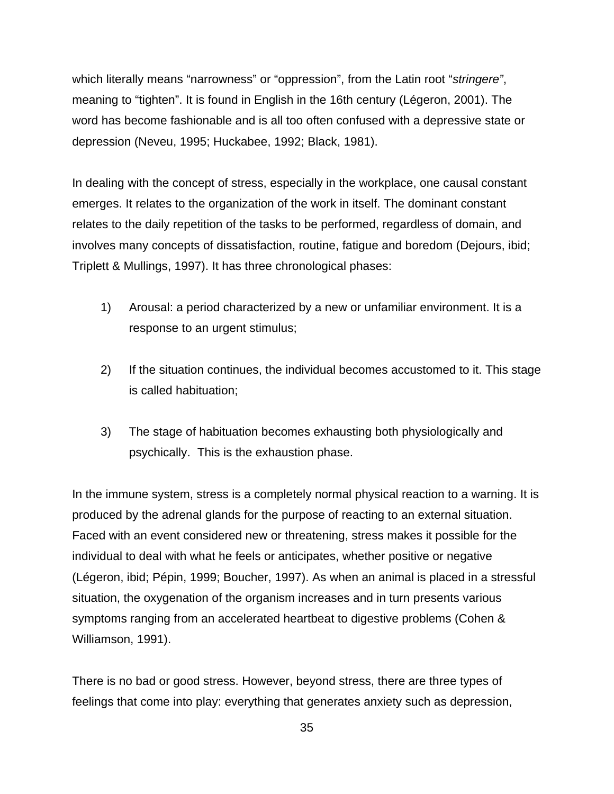which literally means "narrowness" or "oppression", from the Latin root "*stringere"*, meaning to "tighten". It is found in English in the 16th century (Légeron, 2001). The word has become fashionable and is all too often confused with a depressive state or depression (Neveu, 1995; Huckabee, 1992; Black, 1981).

In dealing with the concept of stress, especially in the workplace, one causal constant emerges. It relates to the organization of the work in itself. The dominant constant relates to the daily repetition of the tasks to be performed, regardless of domain, and involves many concepts of dissatisfaction, routine, fatigue and boredom (Dejours, ibid; Triplett & Mullings, 1997). It has three chronological phases:

- 1) Arousal: a period characterized by a new or unfamiliar environment. It is a response to an urgent stimulus;
- 2) If the situation continues, the individual becomes accustomed to it. This stage is called habituation;
- 3) The stage of habituation becomes exhausting both physiologically and psychically. This is the exhaustion phase.

In the immune system, stress is a completely normal physical reaction to a warning. It is produced by the adrenal glands for the purpose of reacting to an external situation. Faced with an event considered new or threatening, stress makes it possible for the individual to deal with what he feels or anticipates, whether positive or negative (Légeron, ibid; Pépin, 1999; Boucher, 1997). As when an animal is placed in a stressful situation, the oxygenation of the organism increases and in turn presents various symptoms ranging from an accelerated heartbeat to digestive problems (Cohen & Williamson, 1991).

There is no bad or good stress. However, beyond stress, there are three types of feelings that come into play: everything that generates anxiety such as depression,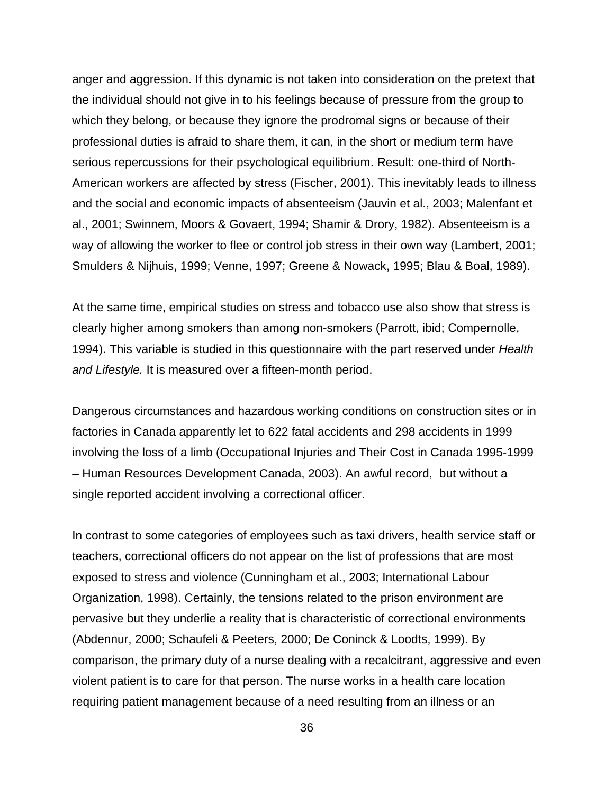anger and aggression. If this dynamic is not taken into consideration on the pretext that the individual should not give in to his feelings because of pressure from the group to which they belong, or because they ignore the prodromal signs or because of their professional duties is afraid to share them, it can, in the short or medium term have serious repercussions for their psychological equilibrium. Result: one-third of North-American workers are affected by stress (Fischer, 2001). This inevitably leads to illness and the social and economic impacts of absenteeism (Jauvin et al., 2003; Malenfant et al., 2001; Swinnem, Moors & Govaert, 1994; Shamir & Drory, 1982). Absenteeism is a way of allowing the worker to flee or control job stress in their own way (Lambert, 2001; Smulders & Nijhuis, 1999; Venne, 1997; Greene & Nowack, 1995; Blau & Boal, 1989).

At the same time, empirical studies on stress and tobacco use also show that stress is clearly higher among smokers than among non-smokers (Parrott, ibid; Compernolle, 1994). This variable is studied in this questionnaire with the part reserved under *Health and Lifestyle.* It is measured over a fifteen-month period.

Dangerous circumstances and hazardous working conditions on construction sites or in factories in Canada apparently let to 622 fatal accidents and 298 accidents in 1999 involving the loss of a limb (Occupational Injuries and Their Cost in Canada 1995-1999 – Human Resources Development Canada, 2003). An awful record, but without a single reported accident involving a correctional officer.

In contrast to some categories of employees such as taxi drivers, health service staff or teachers, correctional officers do not appear on the list of professions that are most exposed to stress and violence (Cunningham et al., 2003; International Labour Organization, 1998). Certainly, the tensions related to the prison environment are pervasive but they underlie a reality that is characteristic of correctional environments (Abdennur, 2000; Schaufeli & Peeters, 2000; De Coninck & Loodts, 1999). By comparison, the primary duty of a nurse dealing with a recalcitrant, aggressive and even violent patient is to care for that person. The nurse works in a health care location requiring patient management because of a need resulting from an illness or an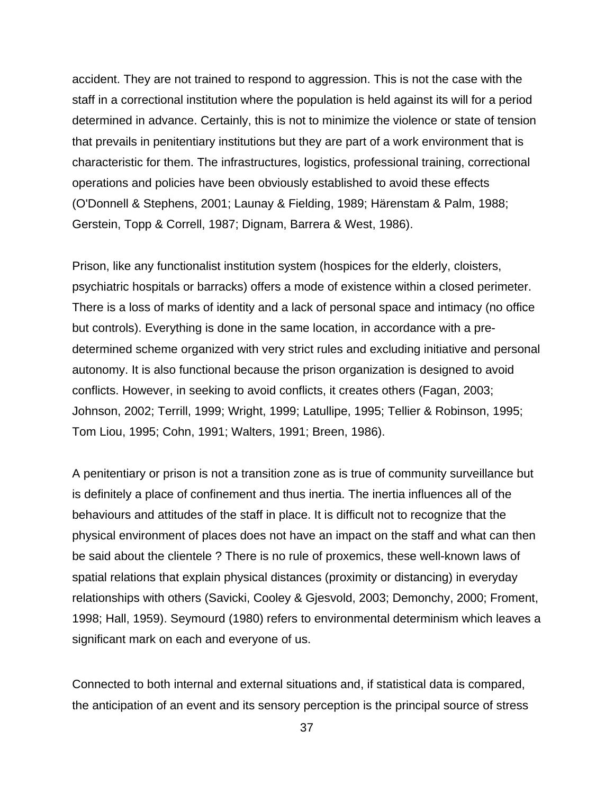accident. They are not trained to respond to aggression. This is not the case with the staff in a correctional institution where the population is held against its will for a period determined in advance. Certainly, this is not to minimize the violence or state of tension that prevails in penitentiary institutions but they are part of a work environment that is characteristic for them. The infrastructures, logistics, professional training, correctional operations and policies have been obviously established to avoid these effects (O'Donnell & Stephens, 2001; Launay & Fielding, 1989; Härenstam & Palm, 1988; Gerstein, Topp & Correll, 1987; Dignam, Barrera & West, 1986).

Prison, like any functionalist institution system (hospices for the elderly, cloisters, psychiatric hospitals or barracks) offers a mode of existence within a closed perimeter. There is a loss of marks of identity and a lack of personal space and intimacy (no office but controls). Everything is done in the same location, in accordance with a predetermined scheme organized with very strict rules and excluding initiative and personal autonomy. It is also functional because the prison organization is designed to avoid conflicts. However, in seeking to avoid conflicts, it creates others (Fagan, 2003; Johnson, 2002; Terrill, 1999; Wright, 1999; Latullipe, 1995; Tellier & Robinson, 1995; Tom Liou, 1995; Cohn, 1991; Walters, 1991; Breen, 1986).

A penitentiary or prison is not a transition zone as is true of community surveillance but is definitely a place of confinement and thus inertia. The inertia influences all of the behaviours and attitudes of the staff in place. It is difficult not to recognize that the physical environment of places does not have an impact on the staff and what can then be said about the clientele ? There is no rule of proxemics, these well-known laws of spatial relations that explain physical distances (proximity or distancing) in everyday relationships with others (Savicki, Cooley & Gjesvold, 2003; Demonchy, 2000; Froment, 1998; Hall, 1959). Seymourd (1980) refers to environmental determinism which leaves a significant mark on each and everyone of us.

Connected to both internal and external situations and, if statistical data is compared, the anticipation of an event and its sensory perception is the principal source of stress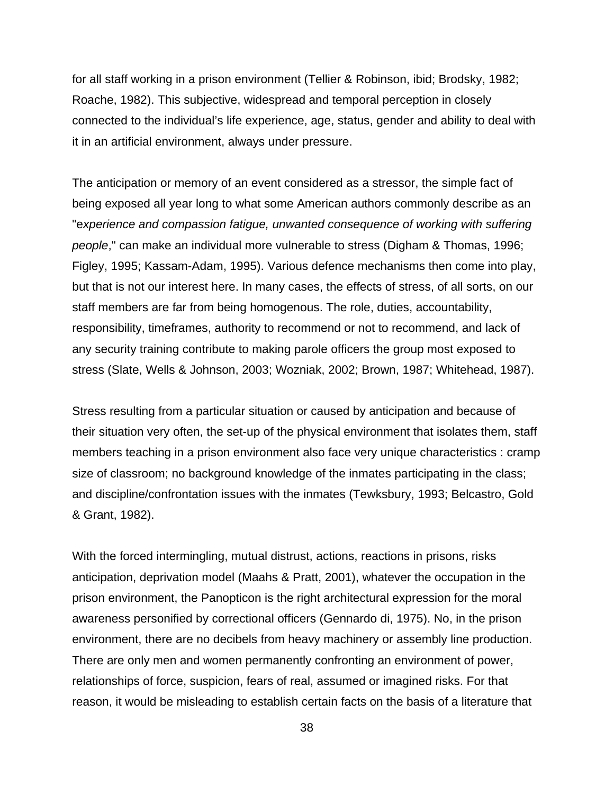for all staff working in a prison environment (Tellier & Robinson, ibid; Brodsky, 1982; Roache, 1982). This subjective, widespread and temporal perception in closely connected to the individual's life experience, age, status, gender and ability to deal with it in an artificial environment, always under pressure.

The anticipation or memory of an event considered as a stressor, the simple fact of being exposed all year long to what some American authors commonly describe as an "e*xperience and compassion fatigue, unwanted consequence of working with suffering people*," can make an individual more vulnerable to stress (Digham & Thomas, 1996; Figley, 1995; Kassam-Adam, 1995). Various defence mechanisms then come into play, but that is not our interest here. In many cases, the effects of stress, of all sorts, on our staff members are far from being homogenous. The role, duties, accountability, responsibility, timeframes, authority to recommend or not to recommend, and lack of any security training contribute to making parole officers the group most exposed to stress (Slate, Wells & Johnson, 2003; Wozniak, 2002; Brown, 1987; Whitehead, 1987).

Stress resulting from a particular situation or caused by anticipation and because of their situation very often, the set-up of the physical environment that isolates them, staff members teaching in a prison environment also face very unique characteristics : cramp size of classroom; no background knowledge of the inmates participating in the class; and discipline/confrontation issues with the inmates (Tewksbury, 1993; Belcastro, Gold & Grant, 1982).

With the forced intermingling, mutual distrust, actions, reactions in prisons, risks anticipation, deprivation model (Maahs & Pratt, 2001), whatever the occupation in the prison environment, the Panopticon is the right architectural expression for the moral awareness personified by correctional officers (Gennardo di, 1975). No, in the prison environment, there are no decibels from heavy machinery or assembly line production. There are only men and women permanently confronting an environment of power, relationships of force, suspicion, fears of real, assumed or imagined risks. For that reason, it would be misleading to establish certain facts on the basis of a literature that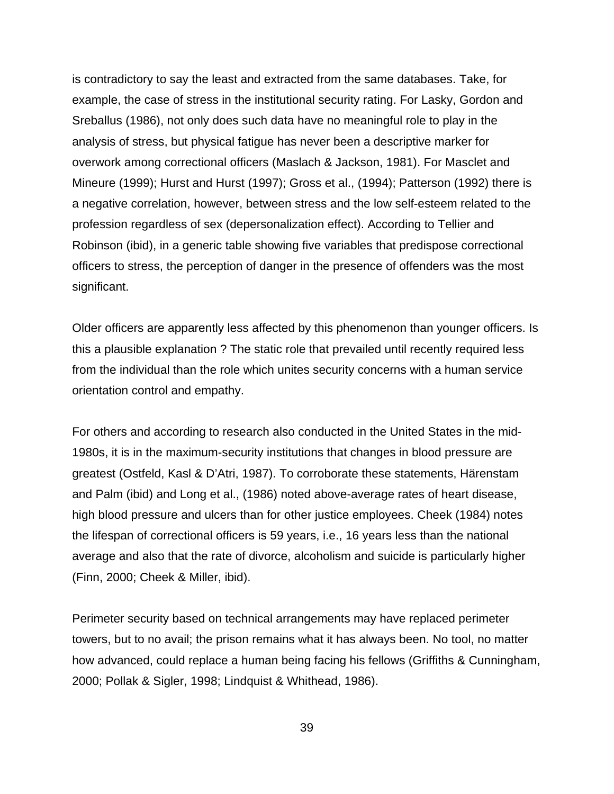is contradictory to say the least and extracted from the same databases. Take, for example, the case of stress in the institutional security rating. For Lasky, Gordon and Sreballus (1986), not only does such data have no meaningful role to play in the analysis of stress, but physical fatigue has never been a descriptive marker for overwork among correctional officers (Maslach & Jackson, 1981). For Masclet and Mineure (1999); Hurst and Hurst (1997); Gross et al., (1994); Patterson (1992) there is a negative correlation, however, between stress and the low self-esteem related to the profession regardless of sex (depersonalization effect). According to Tellier and Robinson (ibid), in a generic table showing five variables that predispose correctional officers to stress, the perception of danger in the presence of offenders was the most significant.

Older officers are apparently less affected by this phenomenon than younger officers. Is this a plausible explanation ? The static role that prevailed until recently required less from the individual than the role which unites security concerns with a human service orientation control and empathy.

For others and according to research also conducted in the United States in the mid-1980s, it is in the maximum-security institutions that changes in blood pressure are greatest (Ostfeld, Kasl & D'Atri, 1987). To corroborate these statements, Härenstam and Palm (ibid) and Long et al., (1986) noted above-average rates of heart disease, high blood pressure and ulcers than for other justice employees. Cheek (1984) notes the lifespan of correctional officers is 59 years, i.e., 16 years less than the national average and also that the rate of divorce, alcoholism and suicide is particularly higher (Finn, 2000; Cheek & Miller, ibid).

Perimeter security based on technical arrangements may have replaced perimeter towers, but to no avail; the prison remains what it has always been. No tool, no matter how advanced, could replace a human being facing his fellows (Griffiths & Cunningham, 2000; Pollak & Sigler, 1998; Lindquist & Whithead, 1986).

39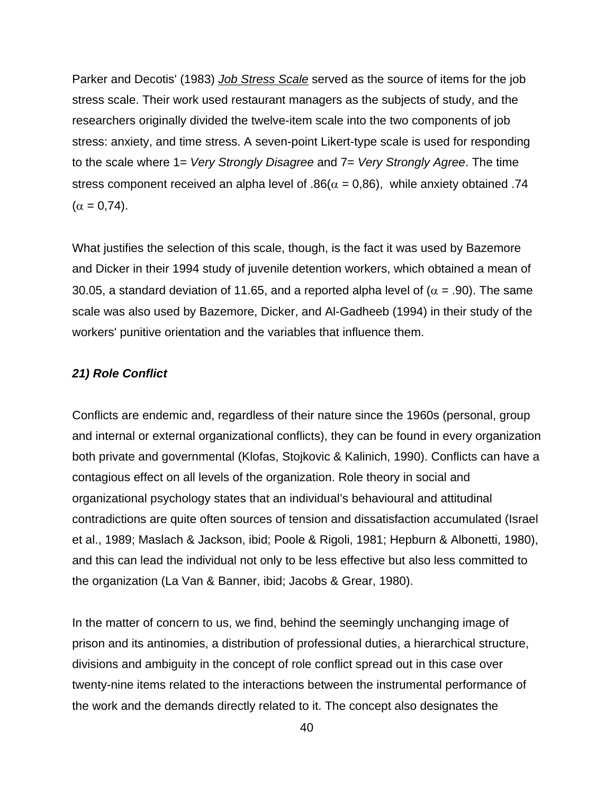Parker and Decotis' (1983) *Job Stress Scale* served as the source of items for the job stress scale. Their work used restaurant managers as the subjects of study, and the researchers originally divided the twelve-item scale into the two components of job stress: anxiety, and time stress. A seven-point Likert-type scale is used for responding to the scale where 1= *Very Strongly Disagree* and 7= *Very Strongly Agree*. The time stress component received an alpha level of  $.86(\alpha = 0.86)$ , while anxiety obtained .74  $(\alpha = 0.74)$ .

What justifies the selection of this scale, though, is the fact it was used by Bazemore and Dicker in their 1994 study of juvenile detention workers, which obtained a mean of 30.05, a standard deviation of 11.65, and a reported alpha level of ( $\alpha$  = .90). The same scale was also used by Bazemore, Dicker, and Al-Gadheeb (1994) in their study of the workers' punitive orientation and the variables that influence them.

### *21) Role Conflict*

Conflicts are endemic and, regardless of their nature since the 1960s (personal, group and internal or external organizational conflicts), they can be found in every organization both private and governmental (Klofas, Stojkovic & Kalinich, 1990). Conflicts can have a contagious effect on all levels of the organization. Role theory in social and organizational psychology states that an individual's behavioural and attitudinal contradictions are quite often sources of tension and dissatisfaction accumulated (Israel et al., 1989; Maslach & Jackson, ibid; Poole & Rigoli, 1981; Hepburn & Albonetti, 1980), and this can lead the individual not only to be less effective but also less committed to the organization (La Van & Banner, ibid; Jacobs & Grear, 1980).

In the matter of concern to us, we find, behind the seemingly unchanging image of prison and its antinomies, a distribution of professional duties, a hierarchical structure, divisions and ambiguity in the concept of role conflict spread out in this case over twenty-nine items related to the interactions between the instrumental performance of the work and the demands directly related to it. The concept also designates the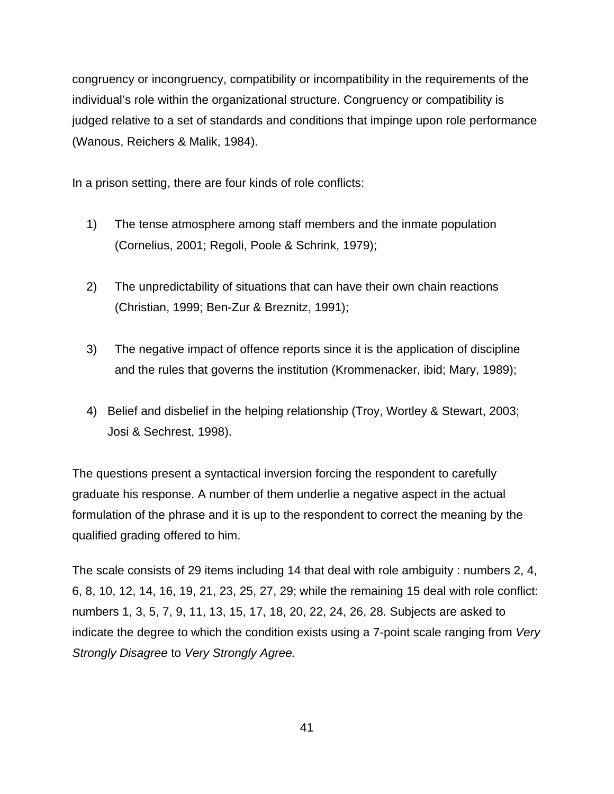congruency or incongruency, compatibility or incompatibility in the requirements of the individual's role within the organizational structure. Congruency or compatibility is judged relative to a set of standards and conditions that impinge upon role performance (Wanous, Reichers & Malik, 1984).

In a prison setting, there are four kinds of role conflicts:

- 1) The tense atmosphere among staff members and the inmate population (Cornelius, 2001; Regoli, Poole & Schrink, 1979);
- 2) The unpredictability of situations that can have their own chain reactions (Christian, 1999; Ben-Zur & Breznitz, 1991);
- 3) The negative impact of offence reports since it is the application of discipline and the rules that governs the institution (Krommenacker, ibid; Mary, 1989);
- 4) Belief and disbelief in the helping relationship (Troy, Wortley & Stewart, 2003; Josi & Sechrest, 1998).

The questions present a syntactical inversion forcing the respondent to carefully graduate his response. A number of them underlie a negative aspect in the actual formulation of the phrase and it is up to the respondent to correct the meaning by the qualified grading offered to him.

The scale consists of 29 items including 14 that deal with role ambiguity : numbers 2, 4, 6, 8, 10, 12, 14, 16, 19, 21, 23, 25, 27, 29; while the remaining 15 deal with role conflict: numbers 1, 3, 5, 7, 9, 11, 13, 15, 17, 18, 20, 22, 24, 26, 28. Subjects are asked to indicate the degree to which the condition exists using a 7-point scale ranging from *Very Strongly Disagree* to *Very Strongly Agree.*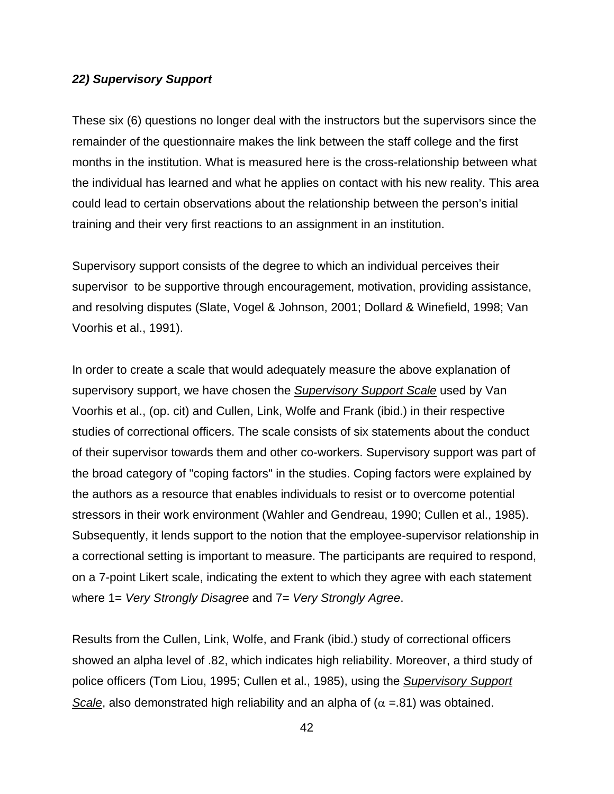#### *22) Supervisory Support*

These six (6) questions no longer deal with the instructors but the supervisors since the remainder of the questionnaire makes the link between the staff college and the first months in the institution. What is measured here is the cross-relationship between what the individual has learned and what he applies on contact with his new reality. This area could lead to certain observations about the relationship between the person's initial training and their very first reactions to an assignment in an institution.

Supervisory support consists of the degree to which an individual perceives their supervisor to be supportive through encouragement, motivation, providing assistance, and resolving disputes (Slate, Vogel & Johnson, 2001; Dollard & Winefield, 1998; Van Voorhis et al., 1991).

In order to create a scale that would adequately measure the above explanation of supervisory support, we have chosen the *Supervisory Support Scale* used by Van Voorhis et al., (op. cit) and Cullen, Link, Wolfe and Frank (ibid.) in their respective studies of correctional officers. The scale consists of six statements about the conduct of their supervisor towards them and other co-workers. Supervisory support was part of the broad category of "coping factors" in the studies. Coping factors were explained by the authors as a resource that enables individuals to resist or to overcome potential stressors in their work environment (Wahler and Gendreau, 1990; Cullen et al., 1985). Subsequently, it lends support to the notion that the employee-supervisor relationship in a correctional setting is important to measure. The participants are required to respond, on a 7-point Likert scale, indicating the extent to which they agree with each statement where 1= *Very Strongly Disagree* and 7= *Very Strongly Agree*.

Results from the Cullen, Link, Wolfe, and Frank (ibid.) study of correctional officers showed an alpha level of .82, which indicates high reliability. Moreover, a third study of police officers (Tom Liou, 1995; Cullen et al., 1985), using the *Supervisory Support Scale*, also demonstrated high reliability and an alpha of ( $\alpha$  =.81) was obtained.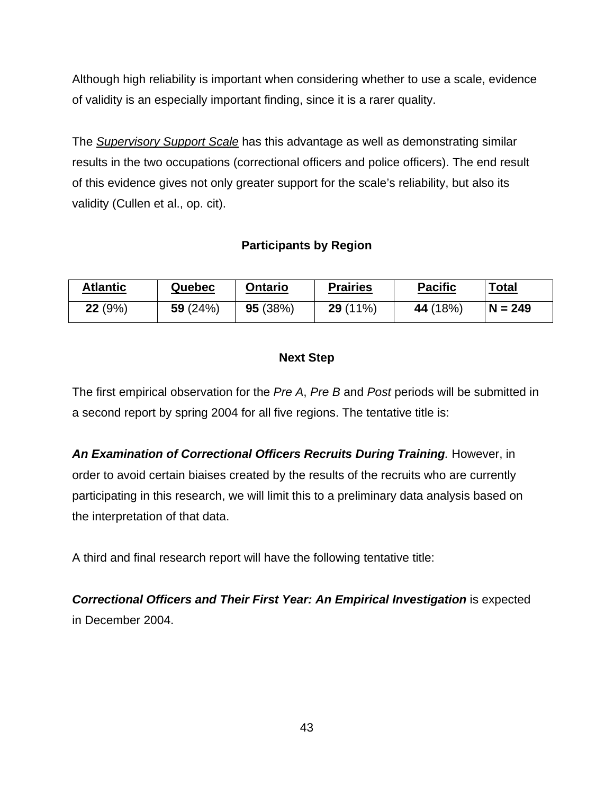Although high reliability is important when considering whether to use a scale, evidence of validity is an especially important finding, since it is a rarer quality.

The *Supervisory Support Scale* has this advantage as well as demonstrating similar results in the two occupations (correctional officers and police officers). The end result of this evidence gives not only greater support for the scale's reliability, but also its validity (Cullen et al., op. cit).

# **Participants by Region**

| <b>Atlantic</b> | Quebec     | <b>Ontario</b> | <b>Prairies</b> | <b>Pacific</b> | <b>Total</b> |
|-----------------|------------|----------------|-----------------|----------------|--------------|
| 22(9%)          | 59 $(24%)$ | 95(38%)        | $29(11\%)$      | 44 (18%)       | $N = 249$    |

# **Next Step**

The first empirical observation for the *Pre A*, *Pre B* and *Post* periods will be submitted in a second report by spring 2004 for all five regions. The tentative title is:

*An Examination of Correctional Officers Recruits During Training.* However, in order to avoid certain biaises created by the results of the recruits who are currently participating in this research, we will limit this to a preliminary data analysis based on the interpretation of that data.

A third and final research report will have the following tentative title:

*Correctional Officers and Their First Year: An Empirical Investigation* is expected in December 2004.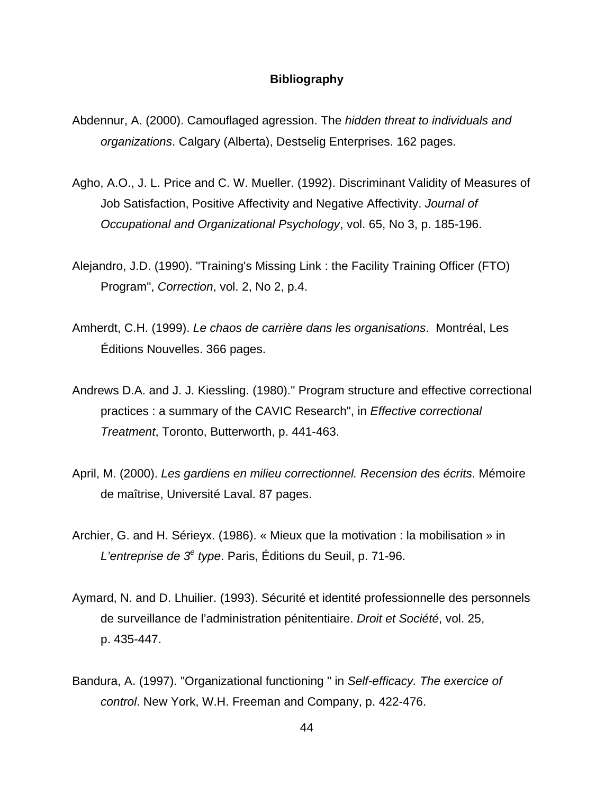#### **Bibliography**

- Abdennur, A. (2000). Camouflaged agression. The *hidden threat to individuals and organizations*. Calgary (Alberta), Destselig Enterprises. 162 pages.
- Agho, A.O., J. L. Price and C. W. Mueller. (1992). Discriminant Validity of Measures of Job Satisfaction, Positive Affectivity and Negative Affectivity. *Journal of Occupational and Organizational Psychology*, vol. 65, No 3, p. 185-196.
- Alejandro, J.D. (1990). "Training's Missing Link : the Facility Training Officer (FTO) Program", *Correction*, vol. 2, No 2, p.4.
- Amherdt, C.H. (1999). *Le chaos de carrière dans les organisations*. Montréal, Les Éditions Nouvelles. 366 pages.
- Andrews D.A. and J. J. Kiessling. (1980)." Program structure and effective correctional practices : a summary of the CAVIC Research", in *Effective correctional Treatment*, Toronto, Butterworth, p. 441-463.
- April, M. (2000). *Les gardiens en milieu correctionnel. Recension des écrits*. Mémoire de maîtrise, Université Laval. 87 pages.
- Archier, G. and H. Sérieyx. (1986). « Mieux que la motivation : la mobilisation » in L'entreprise de 3<sup>e</sup> type. Paris, Éditions du Seuil, p. 71-96.
- Aymard, N. and D. Lhuilier. (1993). Sécurité et identité professionnelle des personnels de surveillance de l'administration pénitentiaire. *Droit et Société*, vol. 25, p. 435-447.
- Bandura, A. (1997). "Organizational functioning " in *Self-efficacy. The exercice of control*. New York, W.H. Freeman and Company, p. 422-476.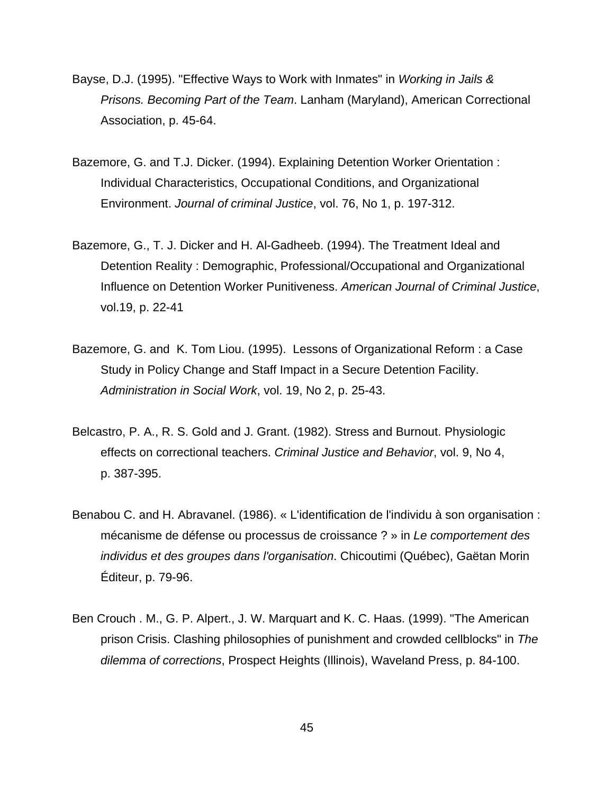- Bayse, D.J. (1995). "Effective Ways to Work with Inmates" in *Working in Jails & Prisons. Becoming Part of the Team*. Lanham (Maryland), American Correctional Association, p. 45-64.
- Bazemore, G. and T.J. Dicker. (1994). Explaining Detention Worker Orientation : Individual Characteristics, Occupational Conditions, and Organizational Environment. *Journal of criminal Justice*, vol. 76, No 1, p. 197-312.
- Bazemore, G., T. J. Dicker and H. Al-Gadheeb. (1994). The Treatment Ideal and Detention Reality : Demographic, Professional/Occupational and Organizational Influence on Detention Worker Punitiveness. *American Journal of Criminal Justice*, vol.19, p. 22-41
- Bazemore, G. and K. Tom Liou. (1995). Lessons of Organizational Reform : a Case Study in Policy Change and Staff Impact in a Secure Detention Facility. *Administration in Social Work*, vol. 19, No 2, p. 25-43.
- Belcastro, P. A., R. S. Gold and J. Grant. (1982). Stress and Burnout. Physiologic effects on correctional teachers. *Criminal Justice and Behavior*, vol. 9, No 4, p. 387-395.
- Benabou C. and H. Abravanel. (1986). « L'identification de l'individu à son organisation : mécanisme de défense ou processus de croissance ? » in *Le comportement des individus et des groupes dans l'organisation*. Chicoutimi (Québec), Gaëtan Morin Éditeur, p. 79-96.
- Ben Crouch . M., G. P. Alpert., J. W. Marquart and K. C. Haas. (1999). "The American prison Crisis. Clashing philosophies of punishment and crowded cellblocks" in *The dilemma of corrections*, Prospect Heights (Illinois), Waveland Press, p. 84-100.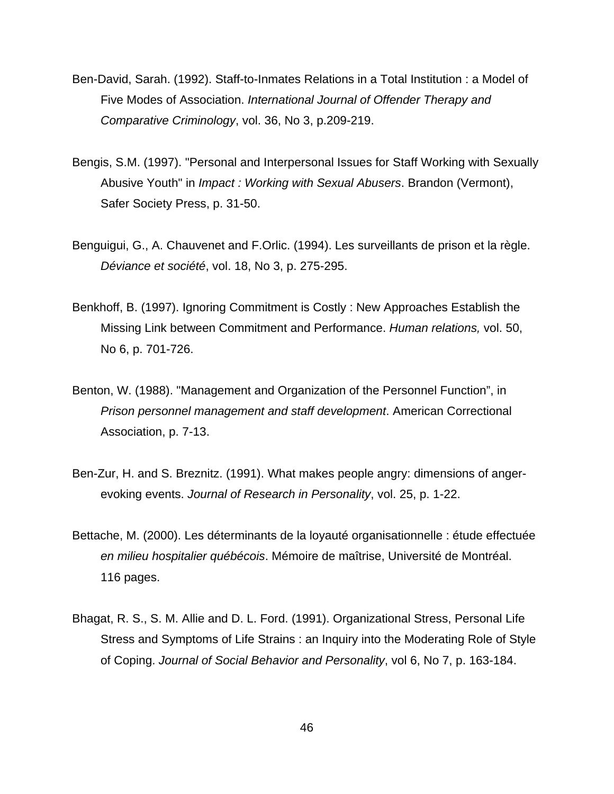- Ben-David, Sarah. (1992). Staff-to-Inmates Relations in a Total Institution : a Model of Five Modes of Association. *International Journal of Offender Therapy and Comparative Criminology*, vol. 36, No 3, p.209-219.
- Bengis, S.M. (1997). "Personal and Interpersonal Issues for Staff Working with Sexually Abusive Youth" in *Impact : Working with Sexual Abusers*. Brandon (Vermont), Safer Society Press, p. 31-50.
- Benguigui, G., A. Chauvenet and F.Orlic. (1994). Les surveillants de prison et la règle. *Déviance et société*, vol. 18, No 3, p. 275-295.
- Benkhoff, B. (1997). Ignoring Commitment is Costly : New Approaches Establish the Missing Link between Commitment and Performance. *Human relations,* vol. 50, No 6, p. 701-726.
- Benton, W. (1988). "Management and Organization of the Personnel Function", in *Prison personnel management and staff development*. American Correctional Association, p. 7-13.
- Ben-Zur, H. and S. Breznitz. (1991). What makes people angry: dimensions of angerevoking events. *Journal of Research in Personality*, vol. 25, p. 1-22.
- Bettache, M. (2000). Les déterminants de la loyauté organisationnelle : étude effectuée *en milieu hospitalier québécois*. Mémoire de maîtrise, Université de Montréal. 116 pages.
- Bhagat, R. S., S. M. Allie and D. L. Ford. (1991). Organizational Stress, Personal Life Stress and Symptoms of Life Strains : an Inquiry into the Moderating Role of Style of Coping. *Journal of Social Behavior and Personality*, vol 6, No 7, p. 163-184.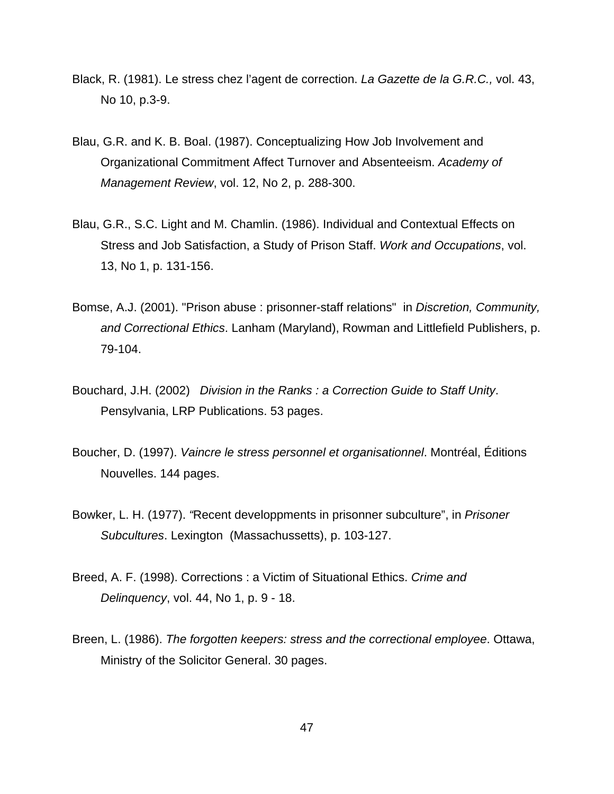- Black, R. (1981). Le stress chez l'agent de correction. *La Gazette de la G.R.C.,* vol. 43, No 10, p.3-9.
- Blau, G.R. and K. B. Boal. (1987). Conceptualizing How Job Involvement and Organizational Commitment Affect Turnover and Absenteeism. *Academy of Management Review*, vol. 12, No 2, p. 288-300.
- Blau, G.R., S.C. Light and M. Chamlin. (1986). Individual and Contextual Effects on Stress and Job Satisfaction, a Study of Prison Staff. *Work and Occupations*, vol. 13, No 1, p. 131-156.
- Bomse, A.J. (2001). "Prison abuse : prisonner-staff relations" in *Discretion, Community, and Correctional Ethics*. Lanham (Maryland), Rowman and Littlefield Publishers, p. 79-104.
- Bouchard, J.H. (2002) *Division in the Ranks : a Correction Guide to Staff Unity*. Pensylvania, LRP Publications. 53 pages.
- Boucher, D. (1997). *Vaincre le stress personnel et organisationnel*. Montréal, Éditions Nouvelles. 144 pages.
- Bowker, L. H. (1977). *"*Recent developpments in prisonner subculture", in *Prisoner Subcultures*. Lexington (Massachussetts), p. 103-127.
- Breed, A. F. (1998). Corrections : a Victim of Situational Ethics. *Crime and Delinquency*, vol. 44, No 1, p. 9 - 18.
- Breen, L. (1986). *The forgotten keepers: stress and the correctional employee*. Ottawa, Ministry of the Solicitor General. 30 pages.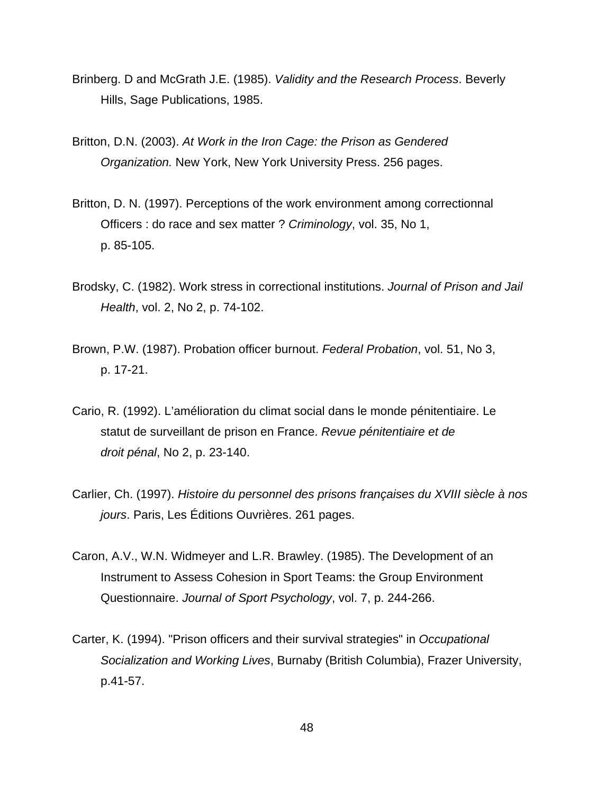- Brinberg. D and McGrath J.E. (1985). *Validity and the Research Process*. Beverly Hills, Sage Publications, 1985.
- Britton, D.N. (2003). *At Work in the Iron Cage: the Prison as Gendered Organization.* New York, New York University Press. 256 pages.
- Britton, D. N. (1997). Perceptions of the work environment among correctionnal Officers : do race and sex matter ? *Criminology*, vol. 35, No 1, p. 85-105.
- Brodsky, C. (1982). Work stress in correctional institutions. *Journal of Prison and Jail Health*, vol. 2, No 2, p. 74-102.
- Brown, P.W. (1987). Probation officer burnout. *Federal Probation*, vol. 51, No 3, p. 17-21.
- Cario, R. (1992). L'amélioration du climat social dans le monde pénitentiaire. Le statut de surveillant de prison en France. *Revue pénitentiaire et de droit pénal*, No 2, p. 23-140.
- Carlier, Ch. (1997). *Histoire du personnel des prisons françaises du XVIII siècle à nos jours*. Paris, Les Éditions Ouvrières. 261 pages.
- Caron, A.V., W.N. Widmeyer and L.R. Brawley. (1985). The Development of an Instrument to Assess Cohesion in Sport Teams: the Group Environment Questionnaire. *Journal of Sport Psychology*, vol. 7, p. 244-266.
- Carter, K. (1994). "Prison officers and their survival strategies" in *Occupational Socialization and Working Lives*, Burnaby (British Columbia), Frazer University, p.41-57.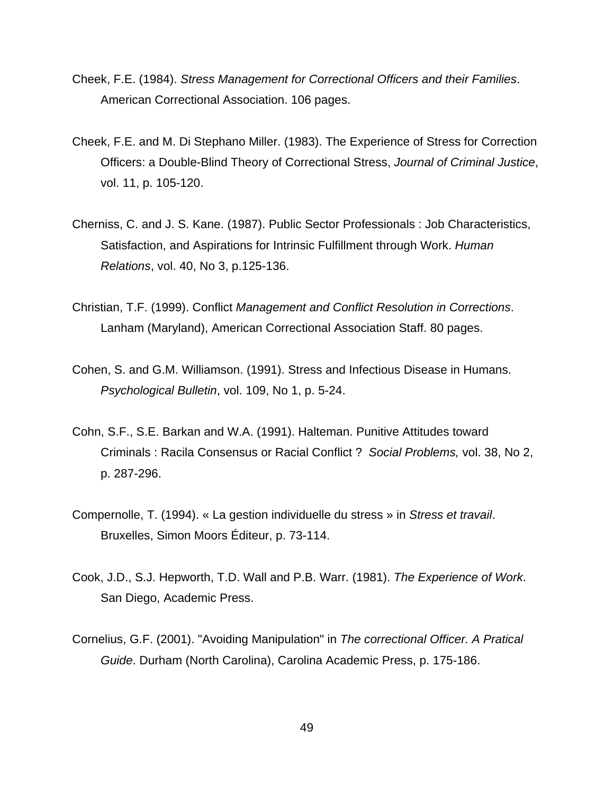- Cheek, F.E. (1984). *Stress Management for Correctional Officers and their Families*. American Correctional Association. 106 pages.
- Cheek, F.E. and M. Di Stephano Miller. (1983). The Experience of Stress for Correction Officers: a Double-Blind Theory of Correctional Stress, *Journal of Criminal Justice*, vol. 11, p. 105-120.
- Cherniss, C. and J. S. Kane. (1987). Public Sector Professionals : Job Characteristics, Satisfaction, and Aspirations for Intrinsic Fulfillment through Work. *Human Relations*, vol. 40, No 3, p.125-136.
- Christian, T.F. (1999). Conflict *Management and Conflict Resolution in Corrections*. Lanham (Maryland), American Correctional Association Staff. 80 pages.
- Cohen, S. and G.M. Williamson. (1991). Stress and Infectious Disease in Humans. *Psychological Bulletin*, vol. 109, No 1, p. 5-24.
- Cohn, S.F., S.E. Barkan and W.A. (1991). Halteman. Punitive Attitudes toward Criminals : Racila Consensus or Racial Conflict ? *Social Problems,* vol. 38, No 2, p. 287-296.
- Compernolle, T. (1994). « La gestion individuelle du stress » in *Stress et travail*. Bruxelles, Simon Moors Éditeur, p. 73-114.
- Cook, J.D., S.J. Hepworth, T.D. Wall and P.B. Warr. (1981). *The Experience of Work*. San Diego, Academic Press.
- Cornelius, G.F. (2001). "Avoiding Manipulation" in *The correctional Officer. A Pratical Guide*. Durham (North Carolina), Carolina Academic Press, p. 175-186.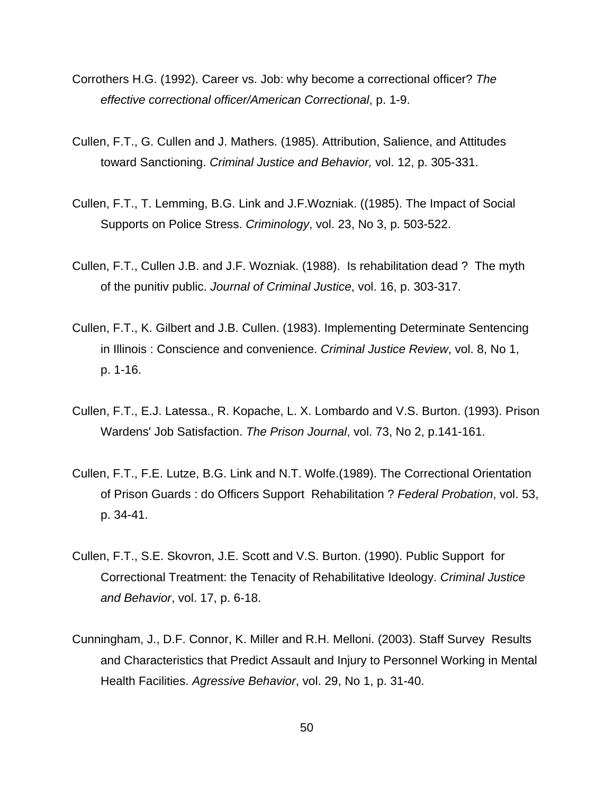- Corrothers H.G. (1992). Career vs. Job: why become a correctional officer? *The effective correctional officer/American Correctional*, p. 1-9.
- Cullen, F.T., G. Cullen and J. Mathers. (1985). Attribution, Salience, and Attitudes toward Sanctioning. *Criminal Justice and Behavior,* vol. 12, p. 305-331.
- Cullen, F.T., T. Lemming, B.G. Link and J.F.Wozniak. ((1985). The Impact of Social Supports on Police Stress. *Criminology*, vol. 23, No 3, p. 503-522.
- Cullen, F.T., Cullen J.B. and J.F. Wozniak. (1988). Is rehabilitation dead ? The myth of the punitiv public. *Journal of Criminal Justice*, vol. 16, p. 303-317.
- Cullen, F.T., K. Gilbert and J.B. Cullen. (1983). Implementing Determinate Sentencing in Illinois : Conscience and convenience. *Criminal Justice Review*, vol. 8, No 1, p. 1-16.
- Cullen, F.T., E.J. Latessa., R. Kopache, L. X. Lombardo and V.S. Burton. (1993). Prison Wardens' Job Satisfaction. *The Prison Journal*, vol. 73, No 2, p.141-161.
- Cullen, F.T., F.E. Lutze, B.G. Link and N.T. Wolfe.(1989). The Correctional Orientation of Prison Guards : do Officers Support Rehabilitation ? *Federal Probation*, vol. 53, p. 34-41.
- Cullen, F.T., S.E. Skovron, J.E. Scott and V.S. Burton. (1990). Public Support for Correctional Treatment: the Tenacity of Rehabilitative Ideology. *Criminal Justice and Behavior*, vol. 17, p. 6-18.
- Cunningham, J., D.F. Connor, K. Miller and R.H. Melloni. (2003). Staff Survey Results and Characteristics that Predict Assault and Injury to Personnel Working in Mental Health Facilities. *Agressive Behavior*, vol. 29, No 1, p. 31-40.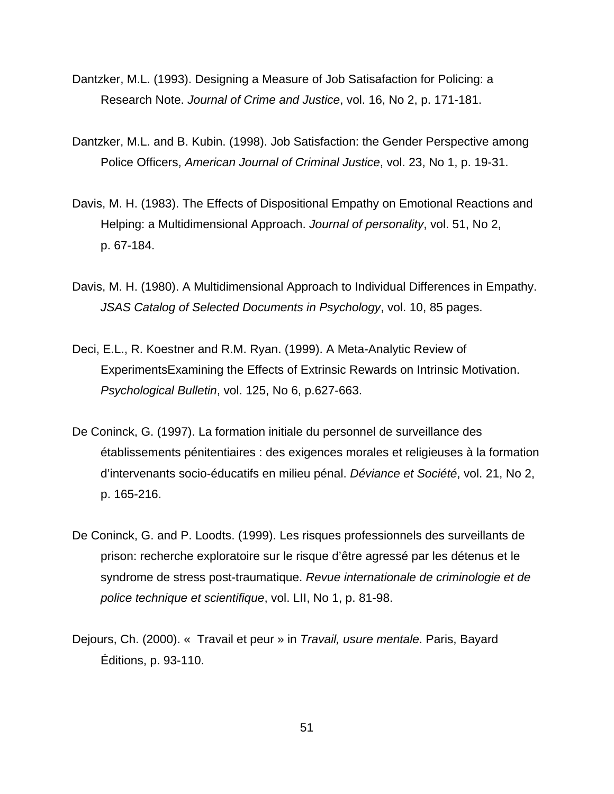- Dantzker, M.L. (1993). Designing a Measure of Job Satisafaction for Policing: a Research Note. *Journal of Crime and Justice*, vol. 16, No 2, p. 171-181.
- Dantzker, M.L. and B. Kubin. (1998). Job Satisfaction: the Gender Perspective among Police Officers, *American Journal of Criminal Justice*, vol. 23, No 1, p. 19-31.
- Davis, M. H. (1983). The Effects of Dispositional Empathy on Emotional Reactions and Helping: a Multidimensional Approach. *Journal of personality*, vol. 51, No 2, p. 67-184.
- Davis, M. H. (1980). A Multidimensional Approach to Individual Differences in Empathy. *JSAS Catalog of Selected Documents in Psychology*, vol. 10, 85 pages.
- Deci, E.L., R. Koestner and R.M. Ryan. (1999). A Meta-Analytic Review of ExperimentsExamining the Effects of Extrinsic Rewards on Intrinsic Motivation. *Psychological Bulletin*, vol. 125, No 6, p.627-663.
- De Coninck, G. (1997). La formation initiale du personnel de surveillance des établissements pénitentiaires : des exigences morales et religieuses à la formation d'intervenants socio-éducatifs en milieu pénal. *Déviance et Société*, vol. 21, No 2, p. 165-216.
- De Coninck, G. and P. Loodts. (1999). Les risques professionnels des surveillants de prison: recherche exploratoire sur le risque d'être agressé par les détenus et le syndrome de stress post-traumatique. *Revue internationale de criminologie et de police technique et scientifique*, vol. LII, No 1, p. 81-98.
- Dejours, Ch. (2000). « Travail et peur » in *Travail, usure mentale*. Paris, Bayard Éditions, p. 93-110.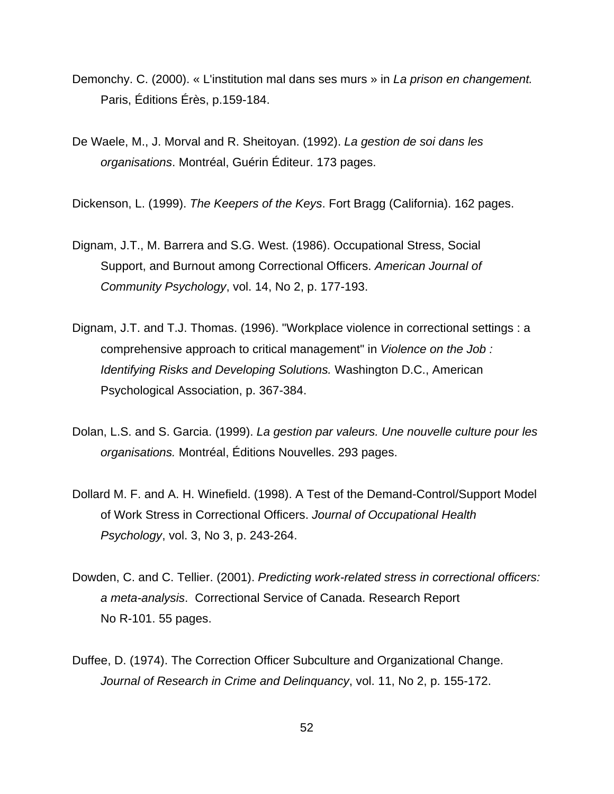- Demonchy. C. (2000). « L'institution mal dans ses murs » in *La prison en changement.*  Paris, Éditions Érès, p.159-184.
- De Waele, M., J. Morval and R. Sheitoyan. (1992). *La gestion de soi dans les organisations*. Montréal, Guérin Éditeur. 173 pages.

Dickenson, L. (1999). *The Keepers of the Keys*. Fort Bragg (California). 162 pages.

- Dignam, J.T., M. Barrera and S.G. West. (1986). Occupational Stress, Social Support, and Burnout among Correctional Officers. *American Journal of Community Psychology*, vol. 14, No 2, p. 177-193.
- Dignam, J.T. and T.J. Thomas. (1996). "Workplace violence in correctional settings : a comprehensive approach to critical management" in *Violence on the Job : Identifying Risks and Developing Solutions.* Washington D.C., American Psychological Association, p. 367-384.
- Dolan, L.S. and S. Garcia. (1999). *La gestion par valeurs. Une nouvelle culture pour les organisations.* Montréal, Éditions Nouvelles. 293 pages.
- Dollard M. F. and A. H. Winefield. (1998). A Test of the Demand-Control/Support Model of Work Stress in Correctional Officers. *Journal of Occupational Health Psychology*, vol. 3, No 3, p. 243-264.
- Dowden, C. and C. Tellier. (2001). *Predicting work-related stress in correctional officers: a meta-analysis*.Correctional Service of Canada. Research Report No R-101. 55 pages.
- Duffee, D. (1974). The Correction Officer Subculture and Organizational Change. *Journal of Research in Crime and Delinquancy*, vol. 11, No 2, p. 155-172.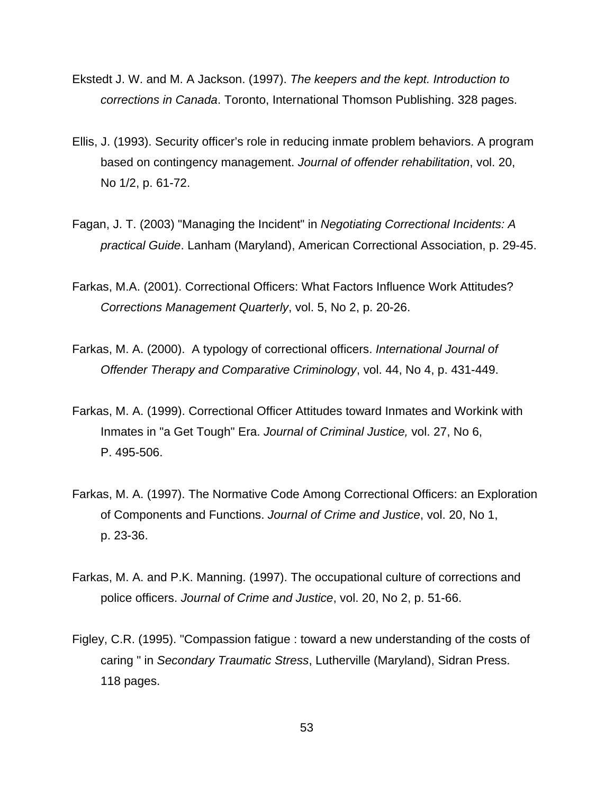- Ekstedt J. W. and M. A Jackson. (1997). *The keepers and the kept. Introduction to corrections in Canada*. Toronto, International Thomson Publishing. 328 pages.
- Ellis, J. (1993). Security officer's role in reducing inmate problem behaviors. A program based on contingency management. *Journal of offender rehabilitation*, vol. 20, No 1/2, p. 61-72.
- Fagan, J. T. (2003) "Managing the Incident" in *Negotiating Correctional Incidents: A practical Guide*. Lanham (Maryland), American Correctional Association, p. 29-45.
- Farkas, M.A. (2001). Correctional Officers: What Factors Influence Work Attitudes? *Corrections Management Quarterly*, vol. 5, No 2, p. 20-26.
- Farkas, M. A. (2000). A typology of correctional officers. *International Journal of Offender Therapy and Comparative Criminology*, vol. 44, No 4, p. 431-449.
- Farkas, M. A. (1999). Correctional Officer Attitudes toward Inmates and Workink with Inmates in "a Get Tough" Era. *Journal of Criminal Justice,* vol. 27, No 6, P. 495-506.
- Farkas, M. A. (1997). The Normative Code Among Correctional Officers: an Exploration of Components and Functions. *Journal of Crime and Justice*, vol. 20, No 1, p. 23-36.
- Farkas, M. A. and P.K. Manning. (1997). The occupational culture of corrections and police officers. *Journal of Crime and Justice*, vol. 20, No 2, p. 51-66.
- Figley, C.R. (1995). "Compassion fatigue : toward a new understanding of the costs of caring " in *Secondary Traumatic Stress*, Lutherville (Maryland), Sidran Press. 118 pages.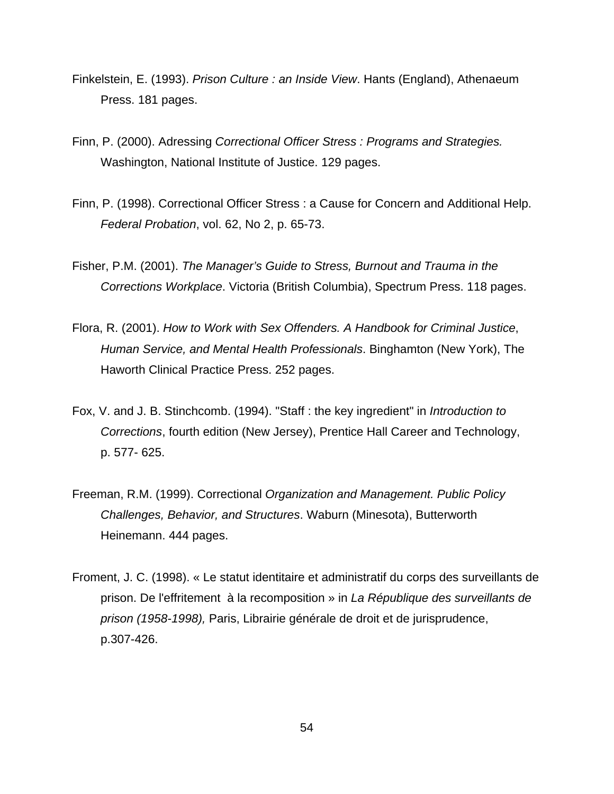- Finkelstein, E. (1993). *Prison Culture : an Inside View*. Hants (England), Athenaeum Press. 181 pages.
- Finn, P. (2000). Adressing *Correctional Officer Stress : Programs and Strategies.* Washington, National Institute of Justice. 129 pages.
- Finn, P. (1998). Correctional Officer Stress : a Cause for Concern and Additional Help. *Federal Probation*, vol. 62, No 2, p. 65-73.
- Fisher, P.M. (2001). *The Manager's Guide to Stress, Burnout and Trauma in the Corrections Workplace*. Victoria (British Columbia), Spectrum Press. 118 pages.
- Flora, R. (2001). *How to Work with Sex Offenders. A Handbook for Criminal Justice*, *Human Service, and Mental Health Professionals*. Binghamton (New York), The Haworth Clinical Practice Press. 252 pages.
- Fox, V. and J. B. Stinchcomb. (1994). "Staff : the key ingredient" in *Introduction to Corrections*, fourth edition (New Jersey), Prentice Hall Career and Technology, p. 577- 625.
- Freeman, R.M. (1999). Correctional *Organization and Management. Public Policy Challenges, Behavior, and Structures*. Waburn (Minesota), Butterworth Heinemann. 444 pages.
- Froment, J. C. (1998). « Le statut identitaire et administratif du corps des surveillants de prison. De l'effritement à la recomposition » in *La République des surveillants de prison (1958-1998),* Paris, Librairie générale de droit et de jurisprudence, p.307-426.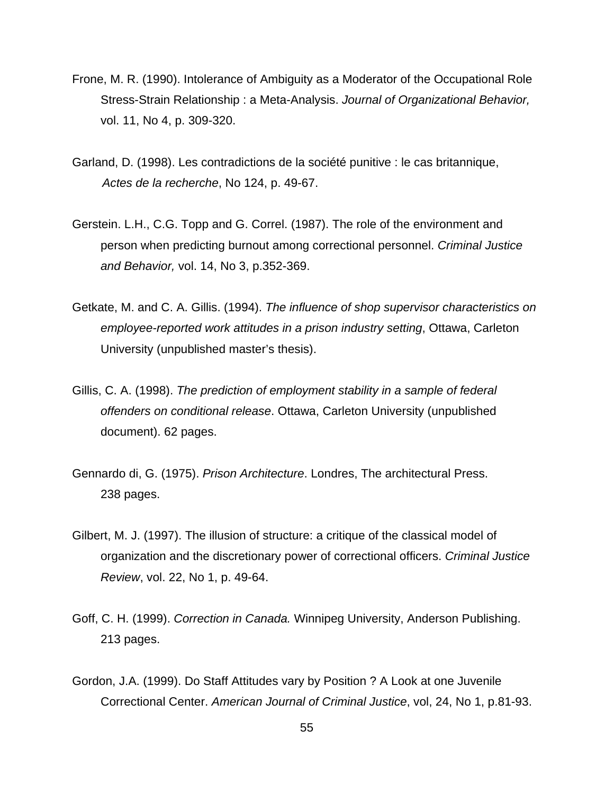- Frone, M. R. (1990). Intolerance of Ambiguity as a Moderator of the Occupational Role Stress-Strain Relationship : a Meta-Analysis. *Journal of Organizational Behavior,* vol. 11, No 4, p. 309-320.
- Garland, D. (1998). Les contradictions de la société punitive : le cas britannique, *Actes de la recherche*, No 124, p. 49-67.
- Gerstein. L.H., C.G. Topp and G. Correl. (1987). The role of the environment and person when predicting burnout among correctional personnel. *Criminal Justice and Behavior,* vol. 14, No 3, p.352-369.
- Getkate, M. and C. A. Gillis. (1994). *The influence of shop supervisor characteristics on employee-reported work attitudes in a prison industry setting*, Ottawa, Carleton University (unpublished master's thesis).
- Gillis, C. A. (1998). *The prediction of employment stability in a sample of federal offenders on conditional release*. Ottawa, Carleton University (unpublished document). 62 pages.
- Gennardo di, G. (1975). *Prison Architecture*. Londres, The architectural Press. 238 pages.
- Gilbert, M. J. (1997). The illusion of structure: a critique of the classical model of organization and the discretionary power of correctional officers. *Criminal Justice Review*, vol. 22, No 1, p. 49-64.
- Goff, C. H. (1999). *Correction in Canada.* Winnipeg University, Anderson Publishing. 213 pages.
- Gordon, J.A. (1999). Do Staff Attitudes vary by Position ? A Look at one Juvenile Correctional Center. *American Journal of Criminal Justice*, vol, 24, No 1, p.81-93.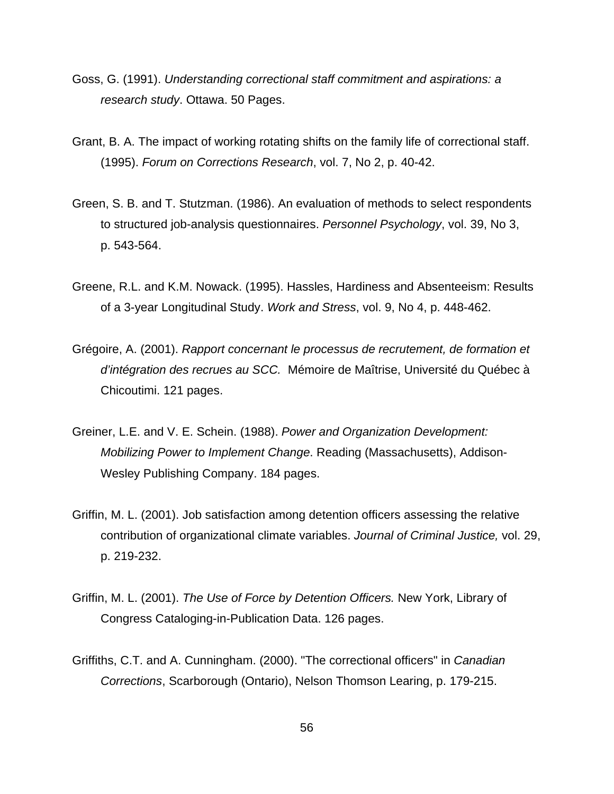- Goss, G. (1991). *Understanding correctional staff commitment and aspirations: a research study*. Ottawa. 50 Pages.
- Grant, B. A. The impact of working rotating shifts on the family life of correctional staff. (1995). *Forum on Corrections Research*, vol. 7, No 2, p. 40-42.
- Green, S. B. and T. Stutzman. (1986). An evaluation of methods to select respondents to structured job-analysis questionnaires. *Personnel Psychology*, vol. 39, No 3, p. 543-564.
- Greene, R.L. and K.M. Nowack. (1995). Hassles, Hardiness and Absenteeism: Results of a 3-year Longitudinal Study. *Work and Stress*, vol. 9, No 4, p. 448-462.
- Grégoire, A. (2001). *Rapport concernant le processus de recrutement, de formation et d'intégration des recrues au SCC.* Mémoire de Maîtrise, Université du Québec à Chicoutimi. 121 pages.
- Greiner, L.E. and V. E. Schein. (1988). *Power and Organization Development: Mobilizing Power to Implement Change*. Reading (Massachusetts), Addison-Wesley Publishing Company. 184 pages.
- Griffin, M. L. (2001). Job satisfaction among detention officers assessing the relative contribution of organizational climate variables. *Journal of Criminal Justice,* vol. 29, p. 219-232.
- Griffin, M. L. (2001). *The Use of Force by Detention Officers.* New York, Library of Congress Cataloging-in-Publication Data. 126 pages.
- Griffiths, C.T. and A. Cunningham. (2000). "The correctional officers" in *Canadian Corrections*, Scarborough (Ontario), Nelson Thomson Learing, p. 179-215.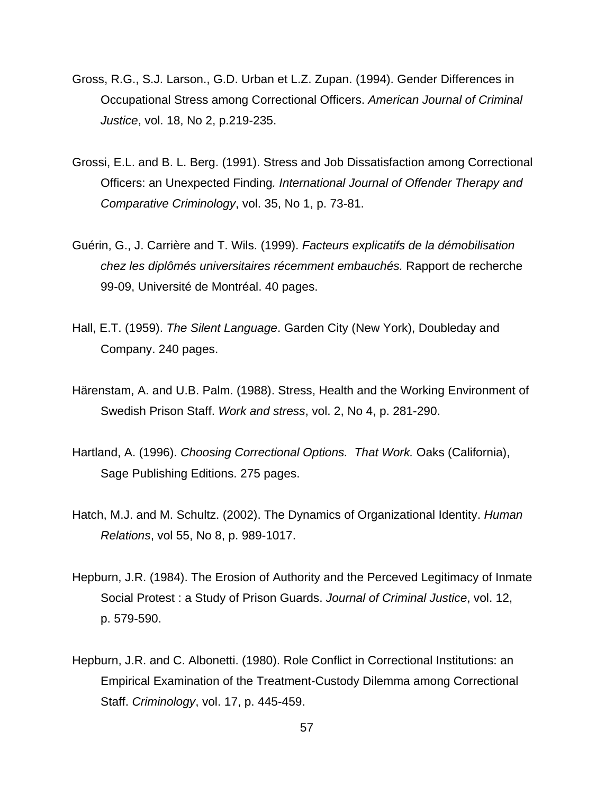- Gross, R.G., S.J. Larson., G.D. Urban et L.Z. Zupan. (1994). Gender Differences in Occupational Stress among Correctional Officers. *American Journal of Criminal Justice*, vol. 18, No 2, p.219-235.
- Grossi, E.L. and B. L. Berg. (1991). Stress and Job Dissatisfaction among Correctional Officers: an Unexpected Finding*. International Journal of Offender Therapy and Comparative Criminology*, vol. 35, No 1, p. 73-81.
- Guérin, G., J. Carrière and T. Wils. (1999). *Facteurs explicatifs de la démobilisation chez les diplômés universitaires récemment embauchés.* Rapport de recherche 99-09, Université de Montréal. 40 pages.
- Hall, E.T. (1959). *The Silent Language*. Garden City (New York), Doubleday and Company. 240 pages.
- Härenstam, A. and U.B. Palm. (1988). Stress, Health and the Working Environment of Swedish Prison Staff. *Work and stress*, vol. 2, No 4, p. 281-290.
- Hartland, A. (1996). *Choosing Correctional Options. That Work.* Oaks (California), Sage Publishing Editions. 275 pages.
- Hatch, M.J. and M. Schultz. (2002). The Dynamics of Organizational Identity. *Human Relations*, vol 55, No 8, p. 989-1017.
- Hepburn, J.R. (1984). The Erosion of Authority and the Perceved Legitimacy of Inmate Social Protest : a Study of Prison Guards. *Journal of Criminal Justice*, vol. 12, p. 579-590.
- Hepburn, J.R. and C. Albonetti. (1980). Role Conflict in Correctional Institutions: an Empirical Examination of the Treatment-Custody Dilemma among Correctional Staff. *Criminology*, vol. 17, p. 445-459.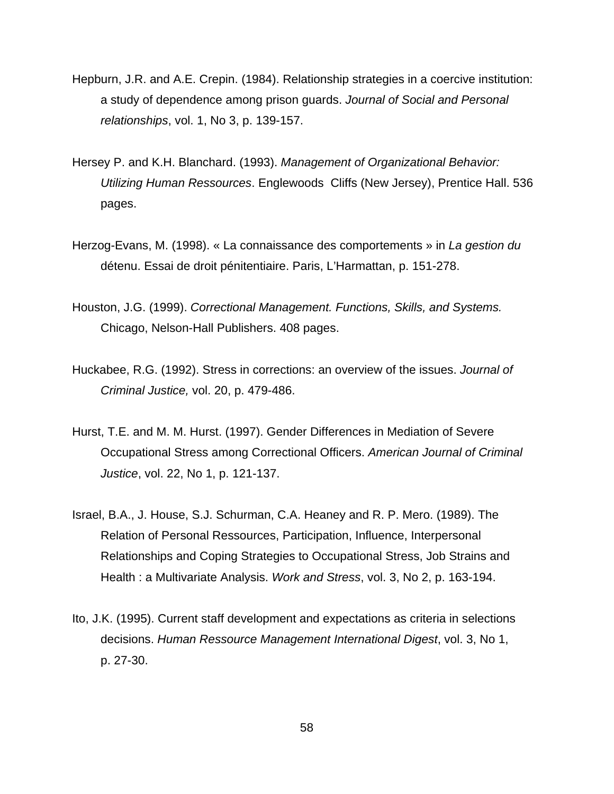- Hepburn, J.R. and A.E. Crepin. (1984). Relationship strategies in a coercive institution: a study of dependence among prison guards. *Journal of Social and Personal relationships*, vol. 1, No 3, p. 139-157.
- Hersey P. and K.H. Blanchard. (1993). *Management of Organizational Behavior: Utilizing Human Ressources*. Englewoods Cliffs (New Jersey), Prentice Hall. 536 pages.
- Herzog-Evans, M. (1998). « La connaissance des comportements » in *La gestion du*  détenu. Essai de droit pénitentiaire. Paris, L'Harmattan, p. 151-278.
- Houston, J.G. (1999). *Correctional Management. Functions, Skills, and Systems.* Chicago, Nelson-Hall Publishers. 408 pages.
- Huckabee, R.G. (1992). Stress in corrections: an overview of the issues. *Journal of Criminal Justice,* vol. 20, p. 479-486.
- Hurst, T.E. and M. M. Hurst. (1997). Gender Differences in Mediation of Severe Occupational Stress among Correctional Officers. *American Journal of Criminal Justice*, vol. 22, No 1, p. 121-137.
- Israel, B.A., J. House, S.J. Schurman, C.A. Heaney and R. P. Mero. (1989). The Relation of Personal Ressources, Participation, Influence, Interpersonal Relationships and Coping Strategies to Occupational Stress, Job Strains and Health : a Multivariate Analysis. *Work and Stress*, vol. 3, No 2, p. 163-194.
- Ito, J.K. (1995). Current staff development and expectations as criteria in selections decisions. *Human Ressource Management International Digest*, vol. 3, No 1, p. 27-30.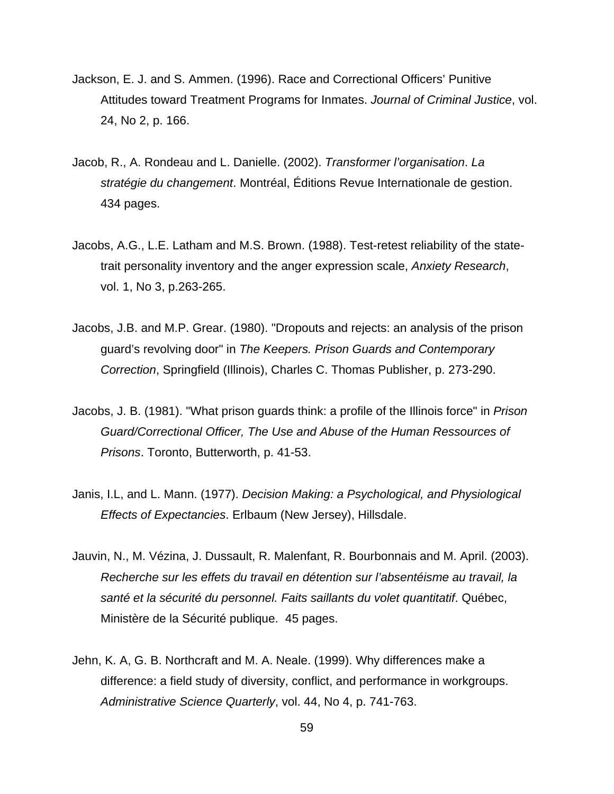- Jackson, E. J. and S. Ammen. (1996). Race and Correctional Officers' Punitive Attitudes toward Treatment Programs for Inmates. *Journal of Criminal Justice*, vol. 24, No 2, p. 166.
- Jacob, R., A. Rondeau and L. Danielle. (2002). *Transformer l'organisation*. *La stratégie du changement*. Montréal, Éditions Revue Internationale de gestion. 434 pages.
- Jacobs, A.G., L.E. Latham and M.S. Brown. (1988). Test-retest reliability of the statetrait personality inventory and the anger expression scale, *Anxiety Research*, vol. 1, No 3, p.263-265.
- Jacobs, J.B. and M.P. Grear. (1980). "Dropouts and rejects: an analysis of the prison guard's revolving door" in *The Keepers. Prison Guards and Contemporary Correction*, Springfield (Illinois), Charles C. Thomas Publisher, p. 273-290.
- Jacobs, J. B. (1981). "What prison guards think: a profile of the Illinois force" in *Prison Guard/Correctional Officer, The Use and Abuse of the Human Ressources of Prisons*. Toronto, Butterworth, p. 41-53.
- Janis, I.L, and L. Mann. (1977). *Decision Making: a Psychological, and Physiological Effects of Expectancies*. Erlbaum (New Jersey), Hillsdale.
- Jauvin, N., M. Vézina, J. Dussault, R. Malenfant, R. Bourbonnais and M. April. (2003). *Recherche sur les effets du travail en détention sur l'absentéisme au travail, la santé et la sécurité du personnel. Faits saillants du volet quantitatif*. Québec, Ministère de la Sécurité publique. 45 pages.
- Jehn, K. A, G. B. Northcraft and M. A. Neale. (1999). Why differences make a difference: a field study of diversity, conflict, and performance in workgroups. *Administrative Science Quarterly*, vol. 44, No 4, p. 741-763.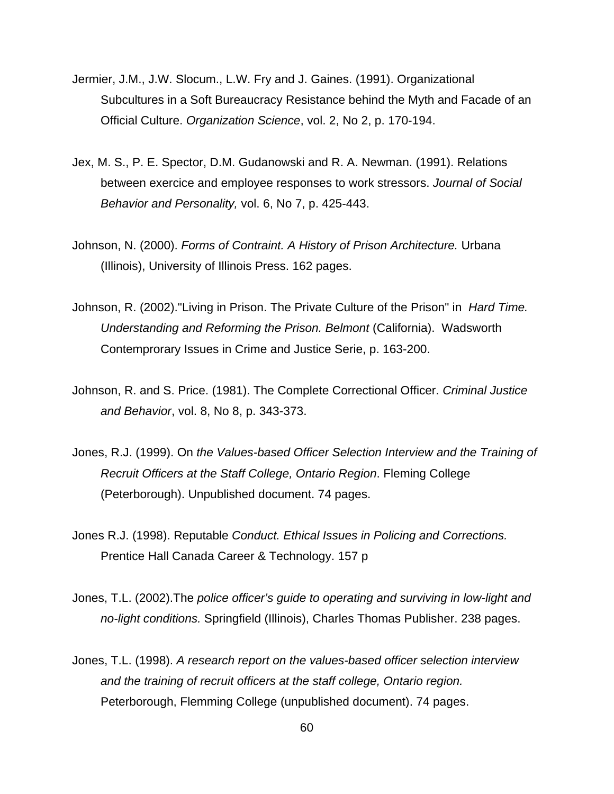- Jermier, J.M., J.W. Slocum., L.W. Fry and J. Gaines. (1991). Organizational Subcultures in a Soft Bureaucracy Resistance behind the Myth and Facade of an Official Culture. *Organization Science*, vol. 2, No 2, p. 170-194.
- Jex, M. S., P. E. Spector, D.M. Gudanowski and R. A. Newman. (1991). Relations between exercice and employee responses to work stressors. *Journal of Social Behavior and Personality,* vol. 6, No 7, p. 425-443.
- Johnson, N. (2000). *Forms of Contraint. A History of Prison Architecture.* Urbana (Illinois), University of Illinois Press. 162 pages.
- Johnson, R. (2002)."Living in Prison. The Private Culture of the Prison" in *Hard Time. Understanding and Reforming the Prison. Belmont* (California). Wadsworth Contemprorary Issues in Crime and Justice Serie, p. 163-200.
- Johnson, R. and S. Price. (1981). The Complete Correctional Officer. *Criminal Justice and Behavior*, vol. 8, No 8, p. 343-373.
- Jones, R.J. (1999). On *the Values-based Officer Selection Interview and the Training of Recruit Officers at the Staff College, Ontario Region*. Fleming College (Peterborough). Unpublished document. 74 pages.
- Jones R.J. (1998). Reputable *Conduct. Ethical Issues in Policing and Corrections.* Prentice Hall Canada Career & Technology. 157 p
- Jones, T.L. (2002).The *police officer's guide to operating and surviving in low-light and no-light conditions.* Springfield (Illinois), Charles Thomas Publisher. 238 pages.
- Jones, T.L. (1998). *A research report on the values-based officer selection interview and the training of recruit officers at the staff college, Ontario region.* Peterborough, Flemming College (unpublished document). 74 pages.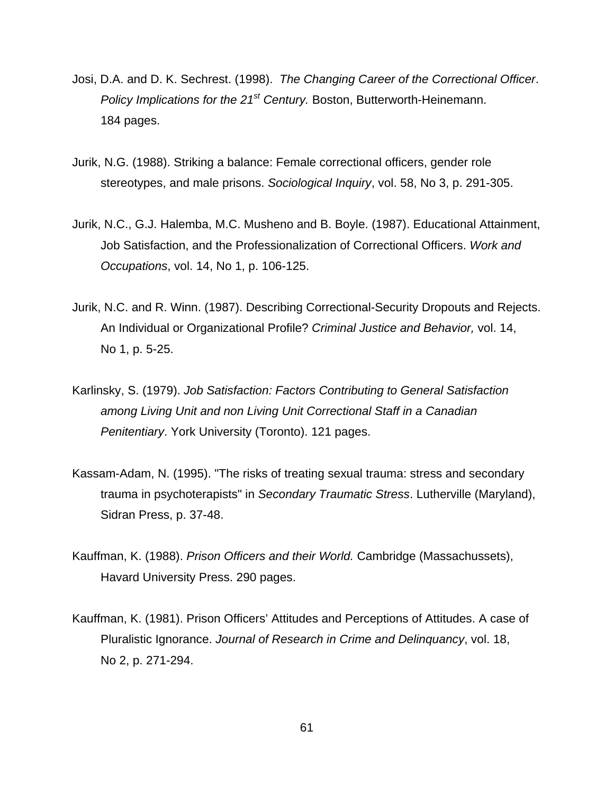- Josi, D.A. and D. K. Sechrest. (1998). *The Changing Career of the Correctional Officer*. *Policy Implications for the 21<sup>st</sup> Century. Boston, Butterworth-Heinemann.* 184 pages.
- Jurik, N.G. (1988). Striking a balance: Female correctional officers, gender role stereotypes, and male prisons. *Sociological Inquiry*, vol. 58, No 3, p. 291-305.
- Jurik, N.C., G.J. Halemba, M.C. Musheno and B. Boyle. (1987). Educational Attainment, Job Satisfaction, and the Professionalization of Correctional Officers. *Work and Occupations*, vol. 14, No 1, p. 106-125.
- Jurik, N.C. and R. Winn. (1987). Describing Correctional-Security Dropouts and Rejects. An Individual or Organizational Profile? *Criminal Justice and Behavior,* vol. 14, No 1, p. 5-25.
- Karlinsky, S. (1979). *Job Satisfaction: Factors Contributing to General Satisfaction among Living Unit and non Living Unit Correctional Staff in a Canadian Penitentiary*. York University (Toronto). 121 pages.
- Kassam-Adam, N. (1995). "The risks of treating sexual trauma: stress and secondary trauma in psychoterapists" in *Secondary Traumatic Stress*. Lutherville (Maryland), Sidran Press, p. 37-48.
- Kauffman, K. (1988). *Prison Officers and their World.* Cambridge (Massachussets), Havard University Press. 290 pages.
- Kauffman, K. (1981). Prison Officers' Attitudes and Perceptions of Attitudes. A case of Pluralistic Ignorance. *Journal of Research in Crime and Delinquancy*, vol. 18, No 2, p. 271-294.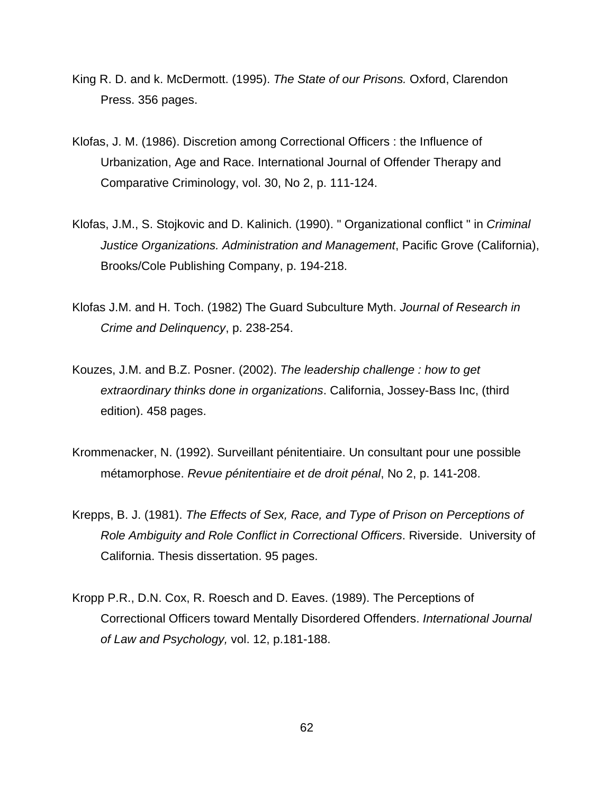- King R. D. and k. McDermott. (1995). *The State of our Prisons.* Oxford, Clarendon Press. 356 pages.
- Klofas, J. M. (1986). Discretion among Correctional Officers : the Influence of Urbanization, Age and Race. International Journal of Offender Therapy and Comparative Criminology, vol. 30, No 2, p. 111-124.
- Klofas, J.M., S. Stojkovic and D. Kalinich. (1990). " Organizational conflict " in *Criminal Justice Organizations. Administration and Management*, Pacific Grove (California), Brooks/Cole Publishing Company, p. 194-218.
- Klofas J.M. and H. Toch. (1982) The Guard Subculture Myth. *Journal of Research in Crime and Delinquency*, p. 238-254.
- Kouzes, J.M. and B.Z. Posner. (2002). *The leadership challenge : how to get extraordinary thinks done in organizations*. California, Jossey-Bass Inc, (third edition). 458 pages.
- Krommenacker, N. (1992). Surveillant pénitentiaire. Un consultant pour une possible métamorphose. *Revue pénitentiaire et de droit pénal*, No 2, p. 141-208.
- Krepps, B. J. (1981). *The Effects of Sex, Race, and Type of Prison on Perceptions of Role Ambiguity and Role Conflict in Correctional Officers*. Riverside. University of California. Thesis dissertation. 95 pages.
- Kropp P.R., D.N. Cox, R. Roesch and D. Eaves. (1989). The Perceptions of Correctional Officers toward Mentally Disordered Offenders. *International Journal of Law and Psychology,* vol. 12, p.181-188.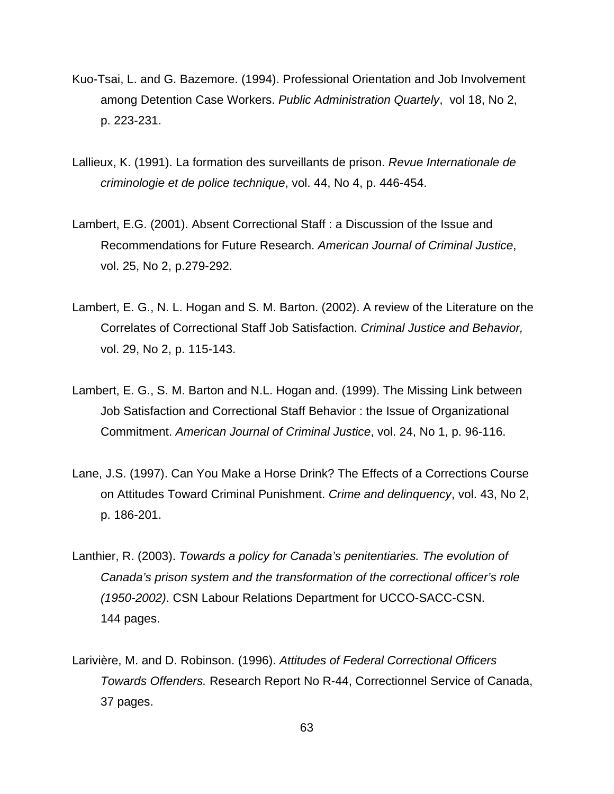- Kuo-Tsai, L. and G. Bazemore. (1994). Professional Orientation and Job Involvement among Detention Case Workers. *Public Administration Quartely*, vol 18, No 2, p. 223-231.
- Lallieux, K. (1991). La formation des surveillants de prison. *Revue Internationale de criminologie et de police technique*, vol. 44, No 4, p. 446-454.
- Lambert, E.G. (2001). Absent Correctional Staff : a Discussion of the Issue and Recommendations for Future Research. *American Journal of Criminal Justice*, vol. 25, No 2, p.279-292.
- Lambert, E. G., N. L. Hogan and S. M. Barton. (2002). A review of the Literature on the Correlates of Correctional Staff Job Satisfaction. *Criminal Justice and Behavior,*  vol. 29, No 2, p. 115-143.
- Lambert, E. G., S. M. Barton and N.L. Hogan and. (1999). The Missing Link between Job Satisfaction and Correctional Staff Behavior : the Issue of Organizational Commitment. *American Journal of Criminal Justice*, vol. 24, No 1, p. 96-116.
- Lane, J.S. (1997). Can You Make a Horse Drink? The Effects of a Corrections Course on Attitudes Toward Criminal Punishment. *Crime and delinquency*, vol. 43, No 2, p. 186-201.
- Lanthier, R. (2003). *Towards a policy for Canada's penitentiaries. The evolution of Canada's prison system and the transformation of the correctional officer's role (1950-2002)*. CSN Labour Relations Department for UCCO-SACC-CSN. 144 pages.
- Larivière, M. and D. Robinson. (1996). *Attitudes of Federal Correctional Officers Towards Offenders.* Research Report No R-44, Correctionnel Service of Canada, 37 pages.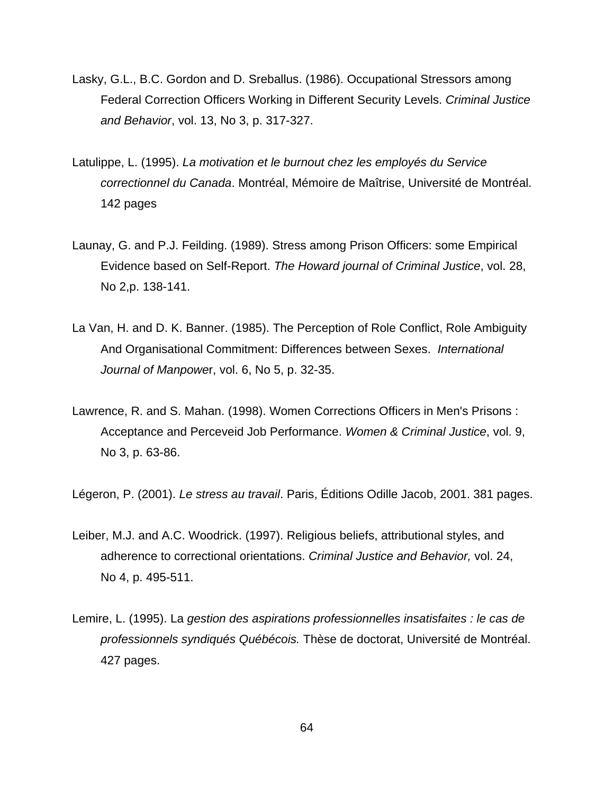- Lasky, G.L., B.C. Gordon and D. Sreballus. (1986). Occupational Stressors among Federal Correction Officers Working in Different Security Levels. *Criminal Justice and Behavior*, vol. 13, No 3, p. 317-327.
- Latulippe, L. (1995). *La motivation et le burnout chez les employés du Service correctionnel du Canada*. Montréal, Mémoire de Maîtrise, Université de Montréal. 142 pages
- Launay, G. and P.J. Feilding. (1989). Stress among Prison Officers: some Empirical Evidence based on Self-Report. *The Howard journal of Criminal Justice*, vol. 28, No 2,p. 138-141.
- La Van, H. and D. K. Banner. (1985). The Perception of Role Conflict, Role Ambiguity And Organisational Commitment: Differences between Sexes. *International Journal of Manpowe*r, vol. 6, No 5, p. 32-35.
- Lawrence, R. and S. Mahan. (1998). Women Corrections Officers in Men's Prisons : Acceptance and Perceveid Job Performance. *Women & Criminal Justice*, vol. 9, No 3, p. 63-86.

Légeron, P. (2001). *Le stress au travail*. Paris, Éditions Odille Jacob, 2001. 381 pages.

- Leiber, M.J. and A.C. Woodrick. (1997). Religious beliefs, attributional styles, and adherence to correctional orientations. *Criminal Justice and Behavior,* vol. 24, No 4, p. 495-511.
- Lemire, L. (1995). La *gestion des aspirations professionnelles insatisfaites : le cas de professionnels syndiqués Québécois.* Thèse de doctorat, Université de Montréal. 427 pages.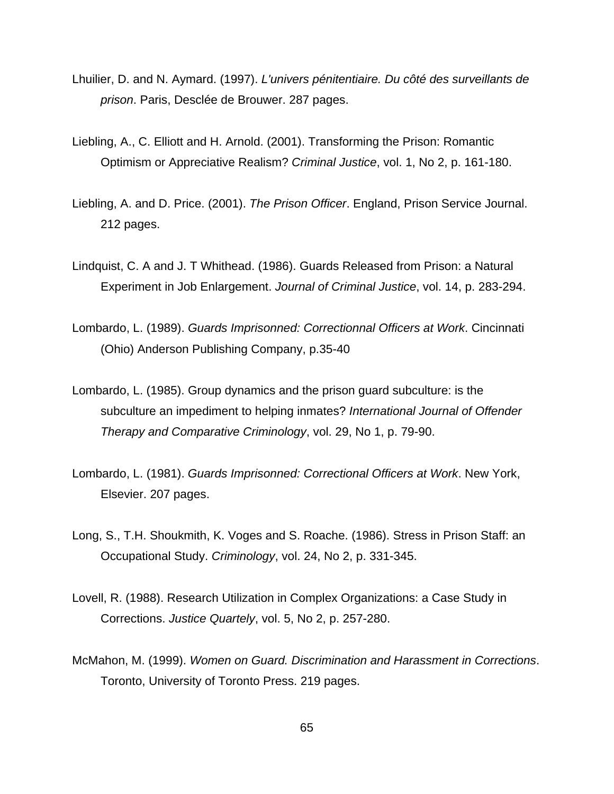- Lhuilier, D. and N. Aymard. (1997). *L'univers pénitentiaire. Du côté des surveillants de prison*. Paris, Desclée de Brouwer. 287 pages.
- Liebling, A., C. Elliott and H. Arnold. (2001). Transforming the Prison: Romantic Optimism or Appreciative Realism? *Criminal Justice*, vol. 1, No 2, p. 161-180.
- Liebling, A. and D. Price. (2001). *The Prison Officer*. England, Prison Service Journal. 212 pages.
- Lindquist, C. A and J. T Whithead. (1986). Guards Released from Prison: a Natural Experiment in Job Enlargement. *Journal of Criminal Justice*, vol. 14, p. 283-294.
- Lombardo, L. (1989). *Guards Imprisonned: Correctionnal Officers at Work*. Cincinnati (Ohio) Anderson Publishing Company, p.35-40
- Lombardo, L. (1985). Group dynamics and the prison guard subculture: is the subculture an impediment to helping inmates? *International Journal of Offender Therapy and Comparative Criminology*, vol. 29, No 1, p. 79-90.
- Lombardo, L. (1981). *Guards Imprisonned: Correctional Officers at Work*. New York, Elsevier. 207 pages.
- Long, S., T.H. Shoukmith, K. Voges and S. Roache. (1986). Stress in Prison Staff: an Occupational Study. *Criminology*, vol. 24, No 2, p. 331-345.
- Lovell, R. (1988). Research Utilization in Complex Organizations: a Case Study in Corrections. *Justice Quartely*, vol. 5, No 2, p. 257-280.
- McMahon, M. (1999). *Women on Guard. Discrimination and Harassment in Corrections*. Toronto, University of Toronto Press. 219 pages.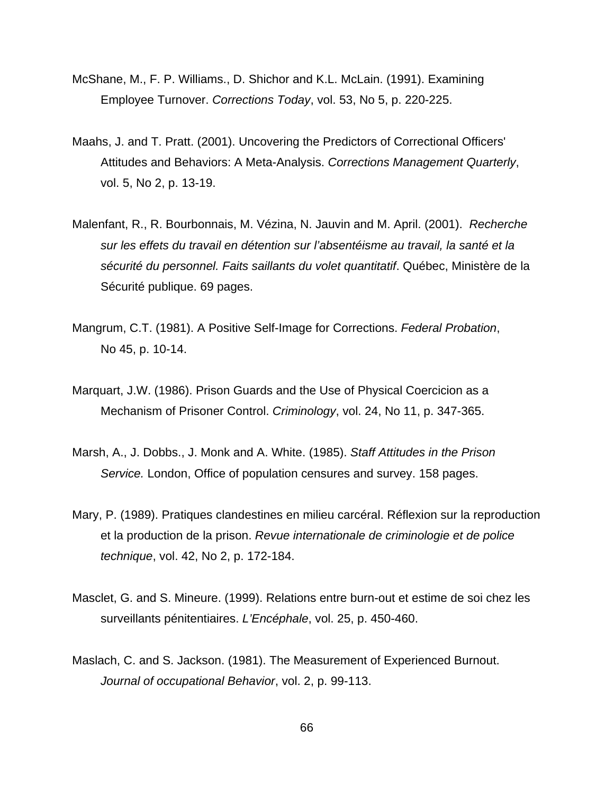- McShane, M., F. P. Williams., D. Shichor and K.L. McLain. (1991). Examining Employee Turnover. *Corrections Today*, vol. 53, No 5, p. 220-225.
- Maahs, J. and T. Pratt. (2001). Uncovering the Predictors of Correctional Officers' Attitudes and Behaviors: A Meta-Analysis. *Corrections Management Quarterly*, vol. 5, No 2, p. 13-19.
- Malenfant, R., R. Bourbonnais, M. Vézina, N. Jauvin and M. April. (2001). *Recherche sur les effets du travail en détention sur l'absentéisme au travail, la santé et la sécurité du personnel. Faits saillants du volet quantitatif*. Québec, Ministère de la Sécurité publique. 69 pages.
- Mangrum, C.T. (1981). A Positive Self-Image for Corrections. *Federal Probation*, No 45, p. 10-14.
- Marquart, J.W. (1986). Prison Guards and the Use of Physical Coercicion as a Mechanism of Prisoner Control. *Criminology*, vol. 24, No 11, p. 347-365.
- Marsh, A., J. Dobbs., J. Monk and A. White. (1985). *Staff Attitudes in the Prison Service.* London, Office of population censures and survey. 158 pages.
- Mary, P. (1989). Pratiques clandestines en milieu carcéral. Réflexion sur la reproduction et la production de la prison. *Revue internationale de criminologie et de police technique*, vol. 42, No 2, p. 172-184.
- Masclet, G. and S. Mineure. (1999). Relations entre burn-out et estime de soi chez les surveillants pénitentiaires. *L'Encéphale*, vol. 25, p. 450-460.
- Maslach, C. and S. Jackson. (1981). The Measurement of Experienced Burnout. *Journal of occupational Behavior*, vol. 2, p. 99-113.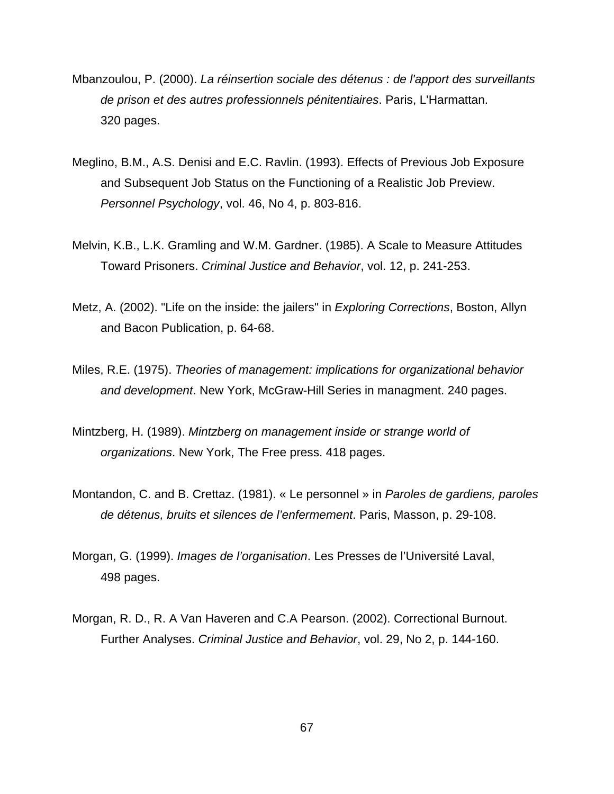- Mbanzoulou, P. (2000). *La réinsertion sociale des détenus : de l'apport des surveillants de prison et des autres professionnels pénitentiaires*. Paris, L'Harmattan. 320 pages.
- Meglino, B.M., A.S. Denisi and E.C. Ravlin. (1993). Effects of Previous Job Exposure and Subsequent Job Status on the Functioning of a Realistic Job Preview. *Personnel Psychology*, vol. 46, No 4, p. 803-816.
- Melvin, K.B., L.K. Gramling and W.M. Gardner. (1985). A Scale to Measure Attitudes Toward Prisoners. *Criminal Justice and Behavior*, vol. 12, p. 241-253.
- Metz, A. (2002). "Life on the inside: the jailers" in *Exploring Corrections*, Boston, Allyn and Bacon Publication, p. 64-68.
- Miles, R.E. (1975). *Theories of management: implications for organizational behavior and development*. New York, McGraw-Hill Series in managment. 240 pages.
- Mintzberg, H. (1989). *Mintzberg on management inside or strange world of organizations*. New York, The Free press. 418 pages.
- Montandon, C. and B. Crettaz. (1981). « Le personnel » in *Paroles de gardiens, paroles de détenus, bruits et silences de l'enfermement*. Paris, Masson, p. 29-108.
- Morgan, G. (1999). *Images de l'organisation*. Les Presses de l'Université Laval, 498 pages.
- Morgan, R. D., R. A Van Haveren and C.A Pearson. (2002). Correctional Burnout. Further Analyses. *Criminal Justice and Behavior*, vol. 29, No 2, p. 144-160.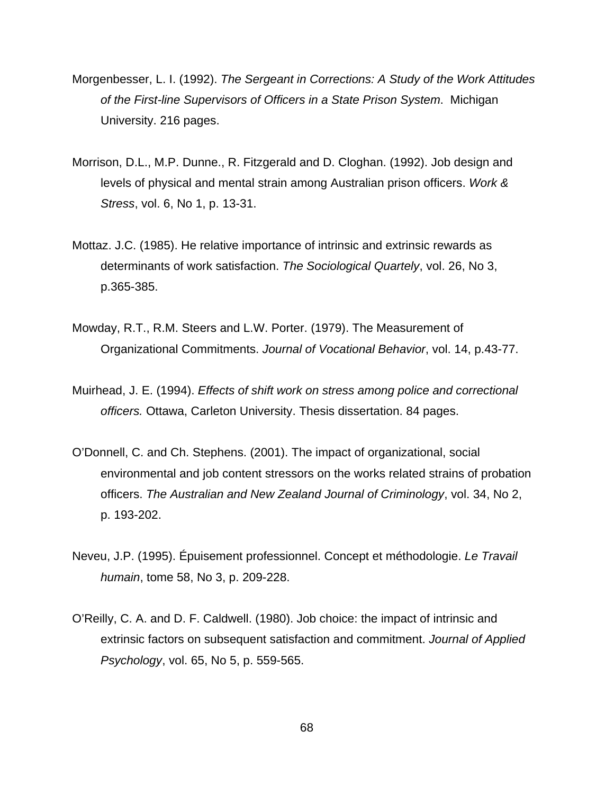- Morgenbesser, L. I. (1992). *The Sergeant in Corrections: A Study of the Work Attitudes of the First-line Supervisors of Officers in a State Prison System*. Michigan University. 216 pages.
- Morrison, D.L., M.P. Dunne., R. Fitzgerald and D. Cloghan. (1992). Job design and levels of physical and mental strain among Australian prison officers. *Work & Stress*, vol. 6, No 1, p. 13-31.
- Mottaz. J.C. (1985). He relative importance of intrinsic and extrinsic rewards as determinants of work satisfaction. *The Sociological Quartely*, vol. 26, No 3, p.365-385.
- Mowday, R.T., R.M. Steers and L.W. Porter. (1979). The Measurement of Organizational Commitments. *Journal of Vocational Behavior*, vol. 14, p.43-77.
- Muirhead, J. E. (1994). *Effects of shift work on stress among police and correctional officers.* Ottawa, Carleton University. Thesis dissertation. 84 pages.
- O'Donnell, C. and Ch. Stephens. (2001). The impact of organizational, social environmental and job content stressors on the works related strains of probation officers. *The Australian and New Zealand Journal of Criminology*, vol. 34, No 2, p. 193-202.
- Neveu, J.P. (1995). Épuisement professionnel. Concept et méthodologie. *Le Travail humain*, tome 58, No 3, p. 209-228.
- O'Reilly, C. A. and D. F. Caldwell. (1980). Job choice: the impact of intrinsic and extrinsic factors on subsequent satisfaction and commitment. *Journal of Applied Psychology*, vol. 65, No 5, p. 559-565.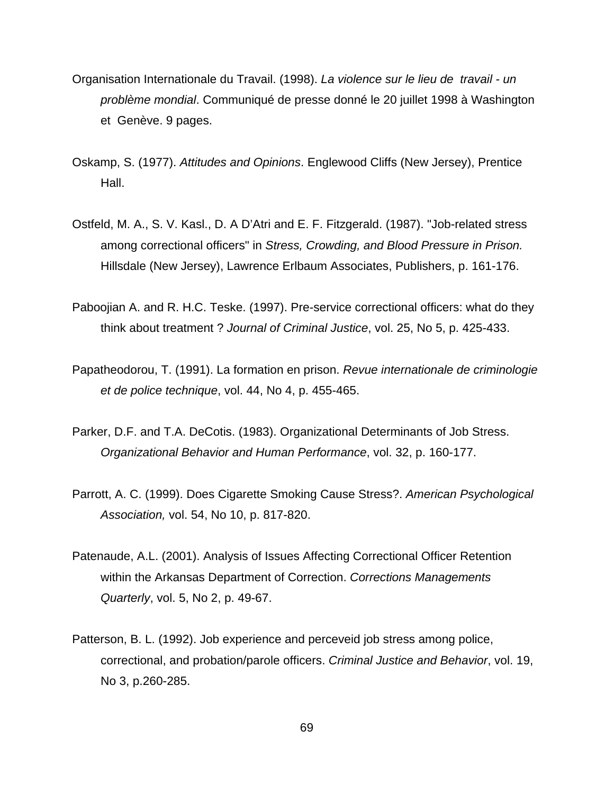- Organisation Internationale du Travail. (1998). *La violence sur le lieu de travail un problème mondial*. Communiqué de presse donné le 20 juillet 1998 à Washington et Genève. 9 pages.
- Oskamp, S. (1977). *Attitudes and Opinions*. Englewood Cliffs (New Jersey), Prentice Hall.
- Ostfeld, M. A., S. V. Kasl., D. A D'Atri and E. F. Fitzgerald. (1987). "Job-related stress among correctional officers" in *Stress, Crowding, and Blood Pressure in Prison.* Hillsdale (New Jersey), Lawrence Erlbaum Associates, Publishers, p. 161-176.
- Paboojian A. and R. H.C. Teske. (1997). Pre-service correctional officers: what do they think about treatment ? *Journal of Criminal Justice*, vol. 25, No 5, p. 425-433.
- Papatheodorou, T. (1991). La formation en prison. *Revue internationale de criminologie et de police technique*, vol. 44, No 4, p. 455-465.
- Parker, D.F. and T.A. DeCotis. (1983). Organizational Determinants of Job Stress. *Organizational Behavior and Human Performance*, vol. 32, p. 160-177.
- Parrott, A. C. (1999). Does Cigarette Smoking Cause Stress?. *American Psychological Association,* vol. 54, No 10, p. 817-820.
- Patenaude, A.L. (2001). Analysis of Issues Affecting Correctional Officer Retention within the Arkansas Department of Correction. *Corrections Managements Quarterly*, vol. 5, No 2, p. 49-67.
- Patterson, B. L. (1992). Job experience and perceveid job stress among police, correctional, and probation/parole officers. *Criminal Justice and Behavior*, vol. 19, No 3, p.260-285.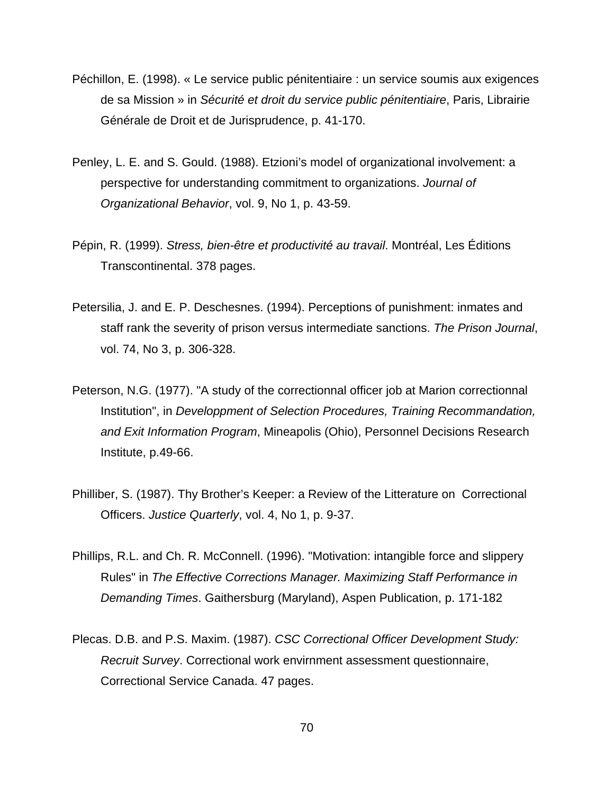- Péchillon, E. (1998). « Le service public pénitentiaire : un service soumis aux exigences de sa Mission » in *Sécurité et droit du service public pénitentiaire*, Paris, Librairie Générale de Droit et de Jurisprudence, p. 41-170.
- Penley, L. E. and S. Gould. (1988). Etzioni's model of organizational involvement: a perspective for understanding commitment to organizations. *Journal of Organizational Behavior*, vol. 9, No 1, p. 43-59.
- Pépin, R. (1999). *Stress, bien-être et productivité au travail*. Montréal, Les Éditions Transcontinental. 378 pages.
- Petersilia, J. and E. P. Deschesnes. (1994). Perceptions of punishment: inmates and staff rank the severity of prison versus intermediate sanctions. *The Prison Journal*, vol. 74, No 3, p. 306-328.
- Peterson, N.G. (1977). "A study of the correctionnal officer job at Marion correctionnal Institution", in *Developpment of Selection Procedures, Training Recommandation, and Exit Information Program*, Mineapolis (Ohio), Personnel Decisions Research Institute, p.49-66.
- Philliber, S. (1987). Thy Brother's Keeper: a Review of the Litterature on Correctional Officers. *Justice Quarterly*, vol. 4, No 1, p. 9-37.
- Phillips, R.L. and Ch. R. McConnell. (1996). "Motivation: intangible force and slippery Rules" in *The Effective Corrections Manager. Maximizing Staff Performance in Demanding Times*. Gaithersburg (Maryland), Aspen Publication, p. 171-182
- Plecas. D.B. and P.S. Maxim. (1987). *CSC Correctional Officer Development Study: Recruit Survey*. Correctional work envirnment assessment questionnaire, Correctional Service Canada. 47 pages.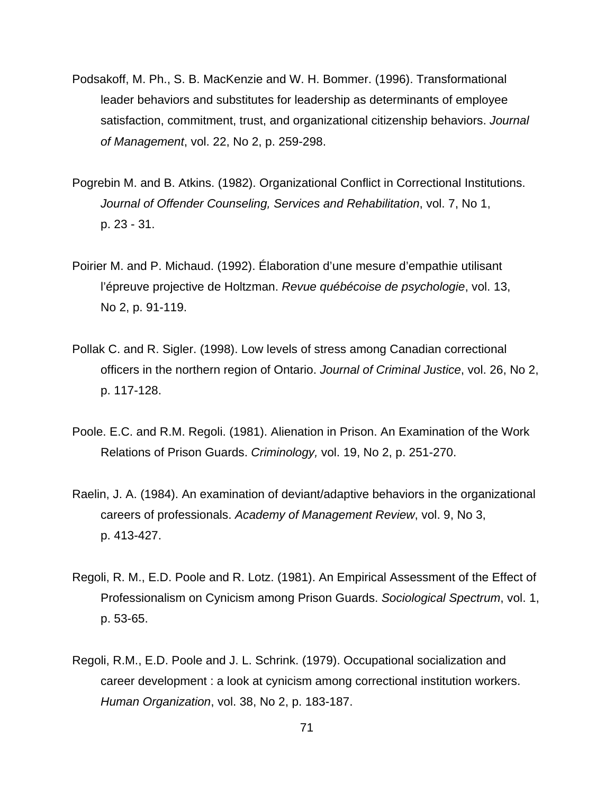- Podsakoff, M. Ph., S. B. MacKenzie and W. H. Bommer. (1996). Transformational leader behaviors and substitutes for leadership as determinants of employee satisfaction, commitment, trust, and organizational citizenship behaviors. *Journal of Management*, vol. 22, No 2, p. 259-298.
- Pogrebin M. and B. Atkins. (1982). Organizational Conflict in Correctional Institutions. *Journal of Offender Counseling, Services and Rehabilitation*, vol. 7, No 1, p. 23 - 31.
- Poirier M. and P. Michaud. (1992). Élaboration d'une mesure d'empathie utilisant l'épreuve projective de Holtzman. *Revue québécoise de psychologie*, vol. 13, No 2, p. 91-119.
- Pollak C. and R. Sigler. (1998). Low levels of stress among Canadian correctional officers in the northern region of Ontario. *Journal of Criminal Justice*, vol. 26, No 2, p. 117-128.
- Poole. E.C. and R.M. Regoli. (1981). Alienation in Prison. An Examination of the Work Relations of Prison Guards. *Criminology,* vol. 19, No 2, p. 251-270.
- Raelin, J. A. (1984). An examination of deviant/adaptive behaviors in the organizational careers of professionals. *Academy of Management Review*, vol. 9, No 3, p. 413-427.
- Regoli, R. M., E.D. Poole and R. Lotz. (1981). An Empirical Assessment of the Effect of Professionalism on Cynicism among Prison Guards. *Sociological Spectrum*, vol. 1, p. 53-65.
- Regoli, R.M., E.D. Poole and J. L. Schrink. (1979). Occupational socialization and career development : a look at cynicism among correctional institution workers. *Human Organization*, vol. 38, No 2, p. 183-187.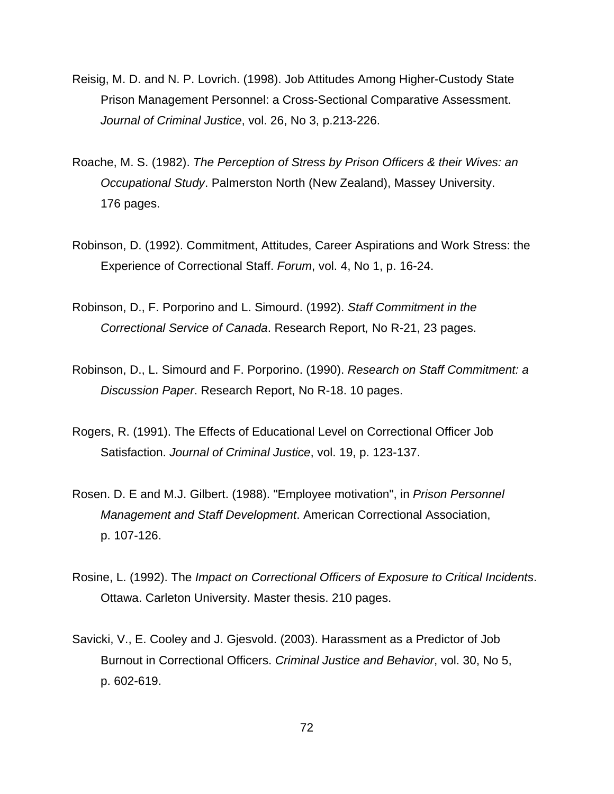- Reisig, M. D. and N. P. Lovrich. (1998). Job Attitudes Among Higher-Custody State Prison Management Personnel: a Cross-Sectional Comparative Assessment. *Journal of Criminal Justice*, vol. 26, No 3, p.213-226.
- Roache, M. S. (1982). *The Perception of Stress by Prison Officers & their Wives: an Occupational Study*. Palmerston North (New Zealand), Massey University. 176 pages.
- Robinson, D. (1992). Commitment, Attitudes, Career Aspirations and Work Stress: the Experience of Correctional Staff. *Forum*, vol. 4, No 1, p. 16-24.
- Robinson, D., F. Porporino and L. Simourd. (1992). *Staff Commitment in the Correctional Service of Canada*. Research Report*,* No R-21, 23 pages.
- Robinson, D., L. Simourd and F. Porporino. (1990). *Research on Staff Commitment: a Discussion Paper*. Research Report, No R-18. 10 pages.
- Rogers, R. (1991). The Effects of Educational Level on Correctional Officer Job Satisfaction. *Journal of Criminal Justice*, vol. 19, p. 123-137.
- Rosen. D. E and M.J. Gilbert. (1988). "Employee motivation", in *Prison Personnel Management and Staff Development*. American Correctional Association, p. 107-126.
- Rosine, L. (1992). The *Impact on Correctional Officers of Exposure to Critical Incidents*. Ottawa. Carleton University. Master thesis. 210 pages.
- Savicki, V., E. Cooley and J. Gjesvold. (2003). Harassment as a Predictor of Job Burnout in Correctional Officers. *Criminal Justice and Behavior*, vol. 30, No 5, p. 602-619.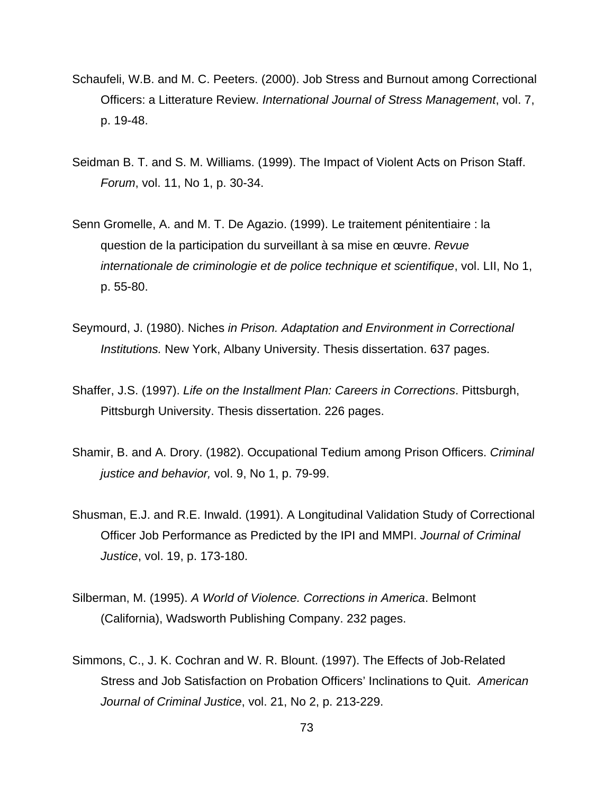- Schaufeli, W.B. and M. C. Peeters. (2000). Job Stress and Burnout among Correctional Officers: a Litterature Review. *International Journal of Stress Management*, vol. 7, p. 19-48.
- Seidman B. T. and S. M. Williams. (1999). The Impact of Violent Acts on Prison Staff. *Forum*, vol. 11, No 1, p. 30-34.
- Senn Gromelle, A. and M. T. De Agazio. (1999). Le traitement pénitentiaire : la question de la participation du surveillant à sa mise en œuvre. *Revue internationale de criminologie et de police technique et scientifique*, vol. LII, No 1, p. 55-80.
- Seymourd, J. (1980). Niches *in Prison. Adaptation and Environment in Correctional Institutions.* New York, Albany University. Thesis dissertation. 637 pages.
- Shaffer, J.S. (1997). *Life on the Installment Plan: Careers in Corrections*. Pittsburgh, Pittsburgh University. Thesis dissertation. 226 pages.
- Shamir, B. and A. Drory. (1982). Occupational Tedium among Prison Officers. *Criminal justice and behavior,* vol. 9, No 1, p. 79-99.
- Shusman, E.J. and R.E. Inwald. (1991). A Longitudinal Validation Study of Correctional Officer Job Performance as Predicted by the IPI and MMPI. *Journal of Criminal Justice*, vol. 19, p. 173-180.
- Silberman, M. (1995). *A World of Violence. Corrections in America*. Belmont (California), Wadsworth Publishing Company. 232 pages.
- Simmons, C., J. K. Cochran and W. R. Blount. (1997). The Effects of Job-Related Stress and Job Satisfaction on Probation Officers' Inclinations to Quit. *American Journal of Criminal Justice*, vol. 21, No 2, p. 213-229.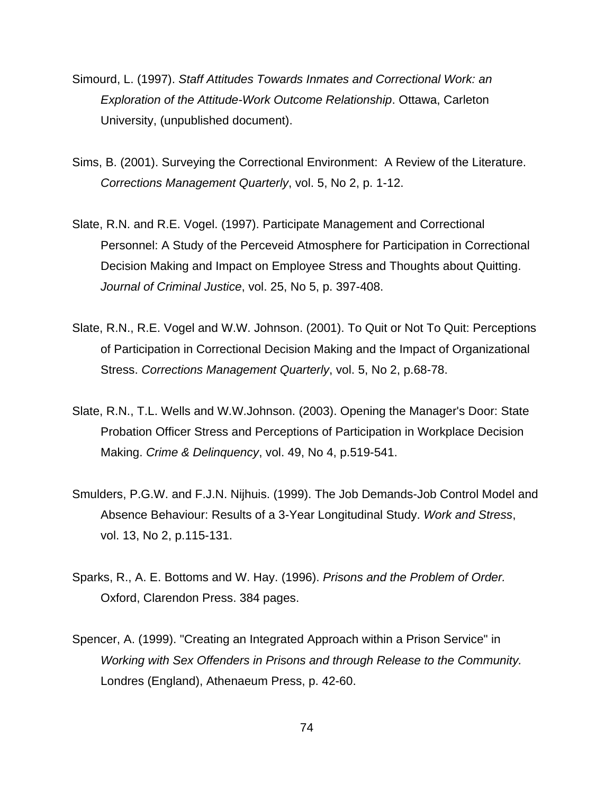- Simourd, L. (1997). *Staff Attitudes Towards Inmates and Correctional Work: an Exploration of the Attitude-Work Outcome Relationship*. Ottawa, Carleton University, (unpublished document).
- Sims, B. (2001). Surveying the Correctional Environment: A Review of the Literature. *Corrections Management Quarterly*, vol. 5, No 2, p. 1-12.
- Slate, R.N. and R.E. Vogel. (1997). Participate Management and Correctional Personnel: A Study of the Perceveid Atmosphere for Participation in Correctional Decision Making and Impact on Employee Stress and Thoughts about Quitting. *Journal of Criminal Justice*, vol. 25, No 5, p. 397-408.
- Slate, R.N., R.E. Vogel and W.W. Johnson. (2001). To Quit or Not To Quit: Perceptions of Participation in Correctional Decision Making and the Impact of Organizational Stress. *Corrections Management Quarterly*, vol. 5, No 2, p.68-78.
- Slate, R.N., T.L. Wells and W.W.Johnson. (2003). Opening the Manager's Door: State Probation Officer Stress and Perceptions of Participation in Workplace Decision Making. *Crime & Delinquency*, vol. 49, No 4, p.519-541.
- Smulders, P.G.W. and F.J.N. Nijhuis. (1999). The Job Demands-Job Control Model and Absence Behaviour: Results of a 3-Year Longitudinal Study. *Work and Stress*, vol. 13, No 2, p.115-131.
- Sparks, R., A. E. Bottoms and W. Hay. (1996). *Prisons and the Problem of Order.* Oxford, Clarendon Press. 384 pages.
- Spencer, A. (1999). "Creating an Integrated Approach within a Prison Service" in *Working with Sex Offenders in Prisons and through Release to the Community.* Londres (England), Athenaeum Press, p. 42-60.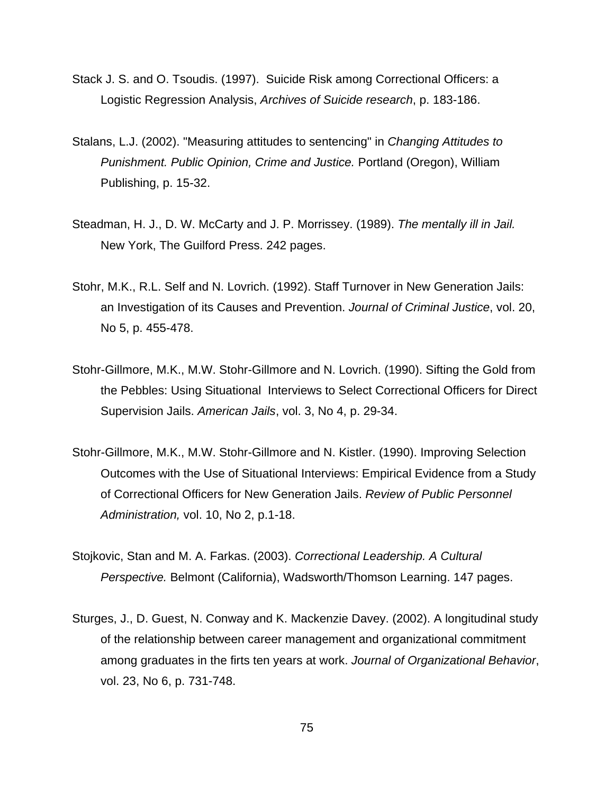- Stack J. S. and O. Tsoudis. (1997). Suicide Risk among Correctional Officers: a Logistic Regression Analysis, *Archives of Suicide research*, p. 183-186.
- Stalans, L.J. (2002). "Measuring attitudes to sentencing" in *Changing Attitudes to Punishment. Public Opinion, Crime and Justice.* Portland (Oregon), William Publishing, p. 15-32.
- Steadman, H. J., D. W. McCarty and J. P. Morrissey. (1989). *The mentally ill in Jail.* New York, The Guilford Press. 242 pages.
- Stohr, M.K., R.L. Self and N. Lovrich. (1992). Staff Turnover in New Generation Jails: an Investigation of its Causes and Prevention. *Journal of Criminal Justice*, vol. 20, No 5, p. 455-478.
- Stohr-Gillmore, M.K., M.W. Stohr-Gillmore and N. Lovrich. (1990). Sifting the Gold from the Pebbles: Using Situational Interviews to Select Correctional Officers for Direct Supervision Jails. *American Jails*, vol. 3, No 4, p. 29-34.
- Stohr-Gillmore, M.K., M.W. Stohr-Gillmore and N. Kistler. (1990). Improving Selection Outcomes with the Use of Situational Interviews: Empirical Evidence from a Study of Correctional Officers for New Generation Jails. *Review of Public Personnel Administration,* vol. 10, No 2, p.1-18.
- Stojkovic, Stan and M. A. Farkas. (2003). *Correctional Leadership. A Cultural Perspective.* Belmont (California), Wadsworth/Thomson Learning. 147 pages.
- Sturges, J., D. Guest, N. Conway and K. Mackenzie Davey. (2002). A longitudinal study of the relationship between career management and organizational commitment among graduates in the firts ten years at work. *Journal of Organizational Behavior*, vol. 23, No 6, p. 731-748.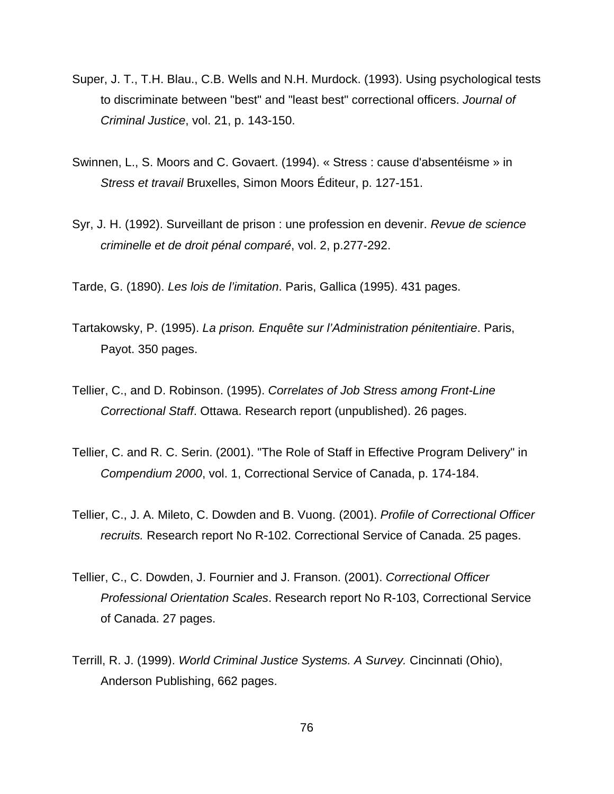- Super, J. T., T.H. Blau., C.B. Wells and N.H. Murdock. (1993). Using psychological tests to discriminate between "best" and "least best" correctional officers. *Journal of Criminal Justice*, vol. 21, p. 143-150.
- Swinnen, L., S. Moors and C. Govaert. (1994). « Stress : cause d'absentéisme » in *Stress et travail* Bruxelles, Simon Moors Éditeur, p. 127-151.
- Syr, J. H. (1992). Surveillant de prison : une profession en devenir. *Revue de science criminelle et de droit pénal comparé*, vol. 2, p.277-292.

Tarde, G. (1890). *Les lois de l'imitation*. Paris, Gallica (1995). 431 pages.

- Tartakowsky, P. (1995). *La prison. Enquête sur l'Administration pénitentiaire*. Paris, Payot. 350 pages.
- Tellier, C., and D. Robinson. (1995). *Correlates of Job Stress among Front-Line Correctional Staff*. Ottawa. Research report (unpublished). 26 pages.
- Tellier, C. and R. C. Serin. (2001). "The Role of Staff in Effective Program Delivery" in *Compendium 2000*, vol. 1, Correctional Service of Canada, p. 174-184.
- Tellier, C., J. A. Mileto, C. Dowden and B. Vuong. (2001). *Profile of Correctional Officer recruits.* Research report No R-102. Correctional Service of Canada. 25 pages.
- Tellier, C., C. Dowden, J. Fournier and J. Franson. (2001). *Correctional Officer Professional Orientation Scales*. Research report No R-103, Correctional Service of Canada. 27 pages.
- Terrill, R. J. (1999). *World Criminal Justice Systems. A Survey.* Cincinnati (Ohio), Anderson Publishing, 662 pages.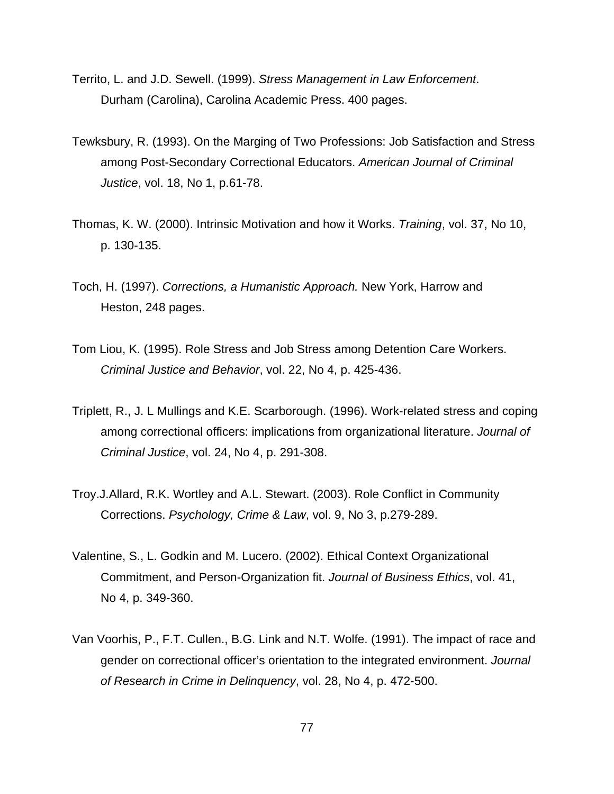- Territo, L. and J.D. Sewell. (1999). *Stress Management in Law Enforcement*. Durham (Carolina), Carolina Academic Press. 400 pages.
- Tewksbury, R. (1993). On the Marging of Two Professions: Job Satisfaction and Stress among Post-Secondary Correctional Educators. *American Journal of Criminal Justice*, vol. 18, No 1, p.61-78.
- Thomas, K. W. (2000). Intrinsic Motivation and how it Works. *Training*, vol. 37, No 10, p. 130-135.
- Toch, H. (1997). *Corrections, a Humanistic Approach.* New York, Harrow and Heston, 248 pages.
- Tom Liou, K. (1995). Role Stress and Job Stress among Detention Care Workers. *Criminal Justice and Behavior*, vol. 22, No 4, p. 425-436.
- Triplett, R., J. L Mullings and K.E. Scarborough. (1996). Work-related stress and coping among correctional officers: implications from organizational literature. *Journal of Criminal Justice*, vol. 24, No 4, p. 291-308.
- Troy.J.Allard, R.K. Wortley and A.L. Stewart. (2003). Role Conflict in Community Corrections. *Psychology, Crime & Law*, vol. 9, No 3, p.279-289.
- Valentine, S., L. Godkin and M. Lucero. (2002). Ethical Context Organizational Commitment, and Person-Organization fit. *Journal of Business Ethics*, vol. 41, No 4, p. 349-360.
- Van Voorhis, P., F.T. Cullen., B.G. Link and N.T. Wolfe. (1991). The impact of race and gender on correctional officer's orientation to the integrated environment. *Journal of Research in Crime in Delinquency*, vol. 28, No 4, p. 472-500.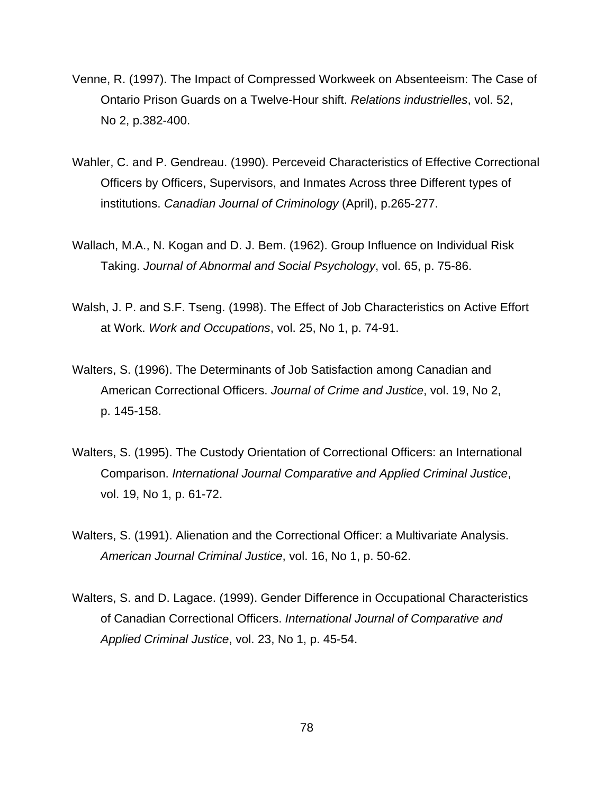- Venne, R. (1997). The Impact of Compressed Workweek on Absenteeism: The Case of Ontario Prison Guards on a Twelve-Hour shift. *Relations industrielles*, vol. 52, No 2, p.382-400.
- Wahler, C. and P. Gendreau. (1990). Perceveid Characteristics of Effective Correctional Officers by Officers, Supervisors, and Inmates Across three Different types of institutions. *Canadian Journal of Criminology* (April), p.265-277.
- Wallach, M.A., N. Kogan and D. J. Bem. (1962). Group Influence on Individual Risk Taking. *Journal of Abnormal and Social Psychology*, vol. 65, p. 75-86.
- Walsh, J. P. and S.F. Tseng. (1998). The Effect of Job Characteristics on Active Effort at Work. *Work and Occupations*, vol. 25, No 1, p. 74-91.
- Walters, S. (1996). The Determinants of Job Satisfaction among Canadian and American Correctional Officers. *Journal of Crime and Justice*, vol. 19, No 2, p. 145-158.
- Walters, S. (1995). The Custody Orientation of Correctional Officers: an International Comparison. *International Journal Comparative and Applied Criminal Justice*, vol. 19, No 1, p. 61-72.
- Walters, S. (1991). Alienation and the Correctional Officer: a Multivariate Analysis. *American Journal Criminal Justice*, vol. 16, No 1, p. 50-62.
- Walters, S. and D. Lagace. (1999). Gender Difference in Occupational Characteristics of Canadian Correctional Officers. *International Journal of Comparative and Applied Criminal Justice*, vol. 23, No 1, p. 45-54.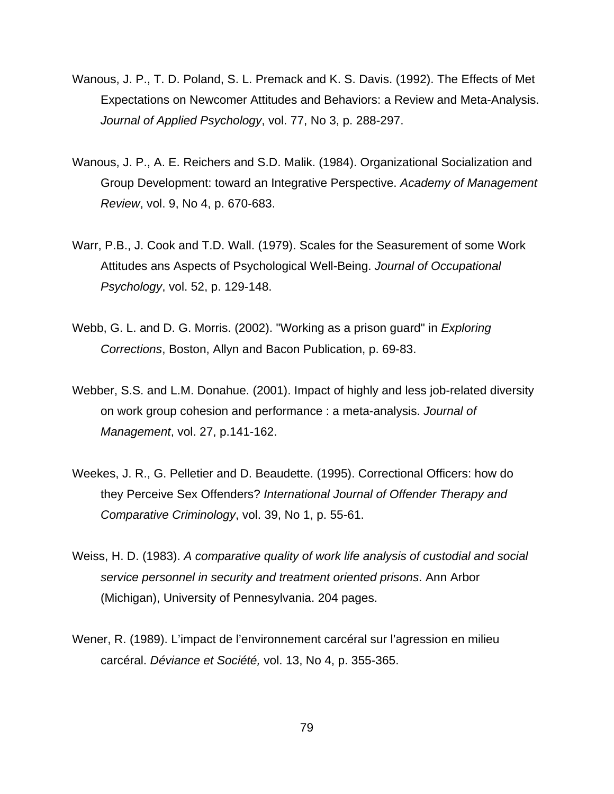- Wanous, J. P., T. D. Poland, S. L. Premack and K. S. Davis. (1992). The Effects of Met Expectations on Newcomer Attitudes and Behaviors: a Review and Meta-Analysis. *Journal of Applied Psychology*, vol. 77, No 3, p. 288-297.
- Wanous, J. P., A. E. Reichers and S.D. Malik. (1984). Organizational Socialization and Group Development: toward an Integrative Perspective. *Academy of Management Review*, vol. 9, No 4, p. 670-683.
- Warr, P.B., J. Cook and T.D. Wall. (1979). Scales for the Seasurement of some Work Attitudes ans Aspects of Psychological Well-Being. *Journal of Occupational Psychology*, vol. 52, p. 129-148.
- Webb, G. L. and D. G. Morris. (2002). "Working as a prison guard" in *Exploring Corrections*, Boston, Allyn and Bacon Publication, p. 69-83.
- Webber, S.S. and L.M. Donahue. (2001). Impact of highly and less job-related diversity on work group cohesion and performance : a meta-analysis. *Journal of Management*, vol. 27, p.141-162.
- Weekes, J. R., G. Pelletier and D. Beaudette. (1995). Correctional Officers: how do they Perceive Sex Offenders? *International Journal of Offender Therapy and Comparative Criminology*, vol. 39, No 1, p. 55-61.
- Weiss, H. D. (1983). *A comparative quality of work life analysis of custodial and social service personnel in security and treatment oriented prisons*. Ann Arbor (Michigan), University of Pennesylvania. 204 pages.
- Wener, R. (1989). L'impact de l'environnement carcéral sur l'agression en milieu carcéral. *Déviance et Société,* vol. 13, No 4, p. 355-365.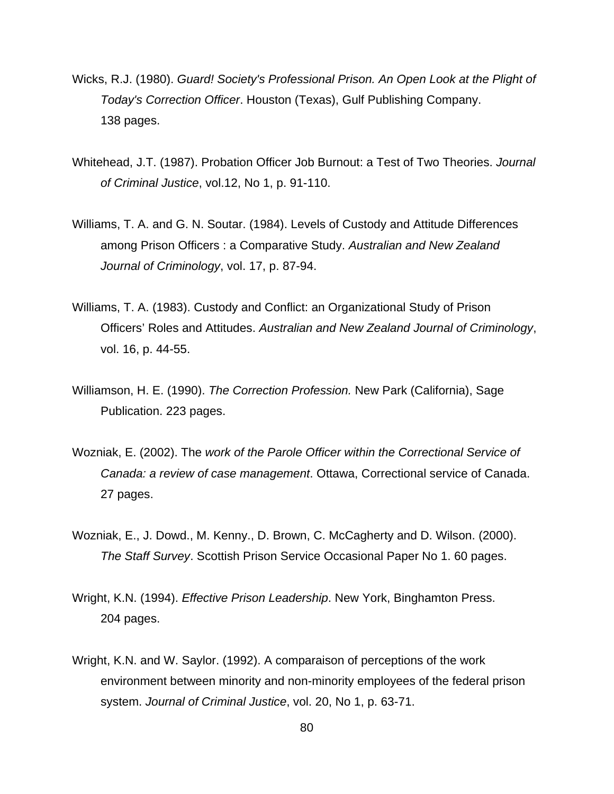- Wicks, R.J. (1980). *Guard! Society's Professional Prison. An Open Look at the Plight of Today's Correction Officer*. Houston (Texas), Gulf Publishing Company. 138 pages.
- Whitehead, J.T. (1987). Probation Officer Job Burnout: a Test of Two Theories. *Journal of Criminal Justice*, vol.12, No 1, p. 91-110.
- Williams, T. A. and G. N. Soutar. (1984). Levels of Custody and Attitude Differences among Prison Officers : a Comparative Study. *Australian and New Zealand Journal of Criminology*, vol. 17, p. 87-94.
- Williams, T. A. (1983). Custody and Conflict: an Organizational Study of Prison Officers' Roles and Attitudes. *Australian and New Zealand Journal of Criminology*, vol. 16, p. 44-55.
- Williamson, H. E. (1990). *The Correction Profession.* New Park (California), Sage Publication. 223 pages.
- Wozniak, E. (2002). The *work of the Parole Officer within the Correctional Service of Canada: a review of case management*. Ottawa, Correctional service of Canada. 27 pages.
- Wozniak, E., J. Dowd., M. Kenny., D. Brown, C. McCagherty and D. Wilson. (2000). *The Staff Survey*. Scottish Prison Service Occasional Paper No 1. 60 pages.
- Wright, K.N. (1994). *Effective Prison Leadership*. New York, Binghamton Press. 204 pages.
- Wright, K.N. and W. Saylor. (1992). A comparaison of perceptions of the work environment between minority and non-minority employees of the federal prison system. *Journal of Criminal Justice*, vol. 20, No 1, p. 63-71.